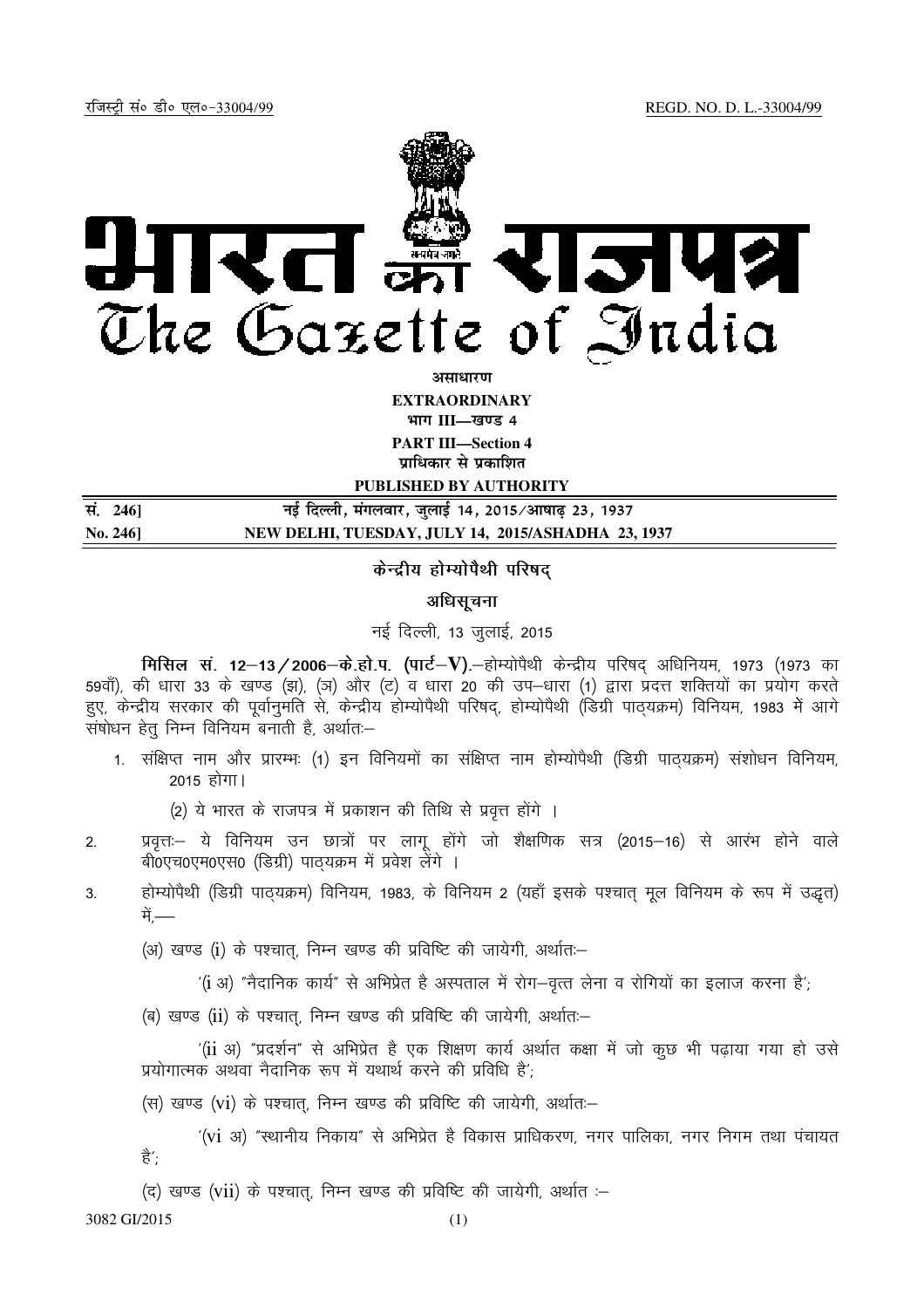

**असाधारण EXTRAORDINARY** भाग III—खण्ड 4 **PART III—Section 4** 

**प्राधिकार से प्रकाशित** 

**PUBLISHED BY AUTHORITY**

| सं. 246]              | नई दिल्ली, मंगलवार, जुलाई 14, 2015⁄आषाढ़ 23, 1937  |
|-----------------------|----------------------------------------------------|
| $\mathrm{No.}\,246$ ] | NEW DELHI, TUESDAY, JULY 14, 2015/ASHADHA 23, 1937 |

## केन्द्रीय होम्योपैथी परिषद

## अधिसूचना

नई दिल्ली, 13 जुलाई, 2015

**मिसिल सं. 12-13/2006-के.हो.प. (पार्ट-V).**-होम्योपैथी केन्द्रीय परिषद् अधिनियम, 1973 (1973 का 59वाँ), की धारा 33 के खण्ड (झ), (ञ) और (ट) व धारा 20 की उप–धारा (1) द्वारा प्रदत्त शक्तियों का प्रयोग करते हुए, केन्द्रीय सरकार की पूर्वानुमति से, केन्द्रीय होम्योपैथी परिषद, होम्योपैथी (डिग्री पाठयक्रम) विनियम, 1983 में आगे .<br>संषोधन हेतु निम्न विनियम बनाती है, अर्थातः–

1. संक्षिप्त नाम और प्रारम्भः (1) इन विनियमों का संक्षिप्त नाम होम्योपैथी (डिग्री पाठ्यक्रम) संशोधन विनियम, 2015 होगा।

(2) ये भारत के राजपत्र में प्रकाशन की तिथि से प्रवृत्त होंगे ।

- 2. प्रवृत्त:- ये विनियम उन छात्रों पर लागू होंगे जो शैक्षणिक सत्र (2015-16) से आरंभ होने वाले बी0एच0एम0एस0 (डिग्री) पाठयक्रम में प्रवेश लेंगे ।
- 3. होम्योपैथी (डिग्री पाठयक्रम) विनियम, 1983, के विनियम 2 (यहाँ इसके पश्चात मूल विनियम के रूप में उद्धत) में —

(अ) खण्ड (i) के पश्चात्, निम्न खण्ड की प्रविष्टि की जायेगी, अर्थातः-

 $^{\prime}$ (i अ) "नैदानिक कार्य" से अभिप्रेत है अस्पताल में रोग-वृत्त लेना व रोगियों का इलाज करना है';

(ब) खण्ड (ii) के पश्चात्, निम्न खण्ड की प्रविष्टि की जायेगी, अर्थातः-

 $^{\prime}$ (ii अ) "प्रदर्शन" से अभिप्रेत है एक शिक्षण कार्य अर्थात कक्षा में जो कुछ भी पढाया गया हो उसे प्रयोगात्मक अथवा नैदानिक रूप में यथार्थ करने की प्रविधि है';

(स) खण्ड (vi) के पश्चात, निम्न खण्ड की प्रविष्टि की जायेगी, अर्थातः-

 $^{\prime}$ (vi अ) "स्थानीय निकाय" से अभिप्रेत है विकास प्राधिकरण, नगर पालिका, नगर निगम तथा पंचायत ਵੈ $^{\prime}$ :

(द) खण्ड (vii) के पश्चात्, निम्न खण्ड की प्रविष्टि की जायेगी, अर्थात :-

3082 GI/2015 (1)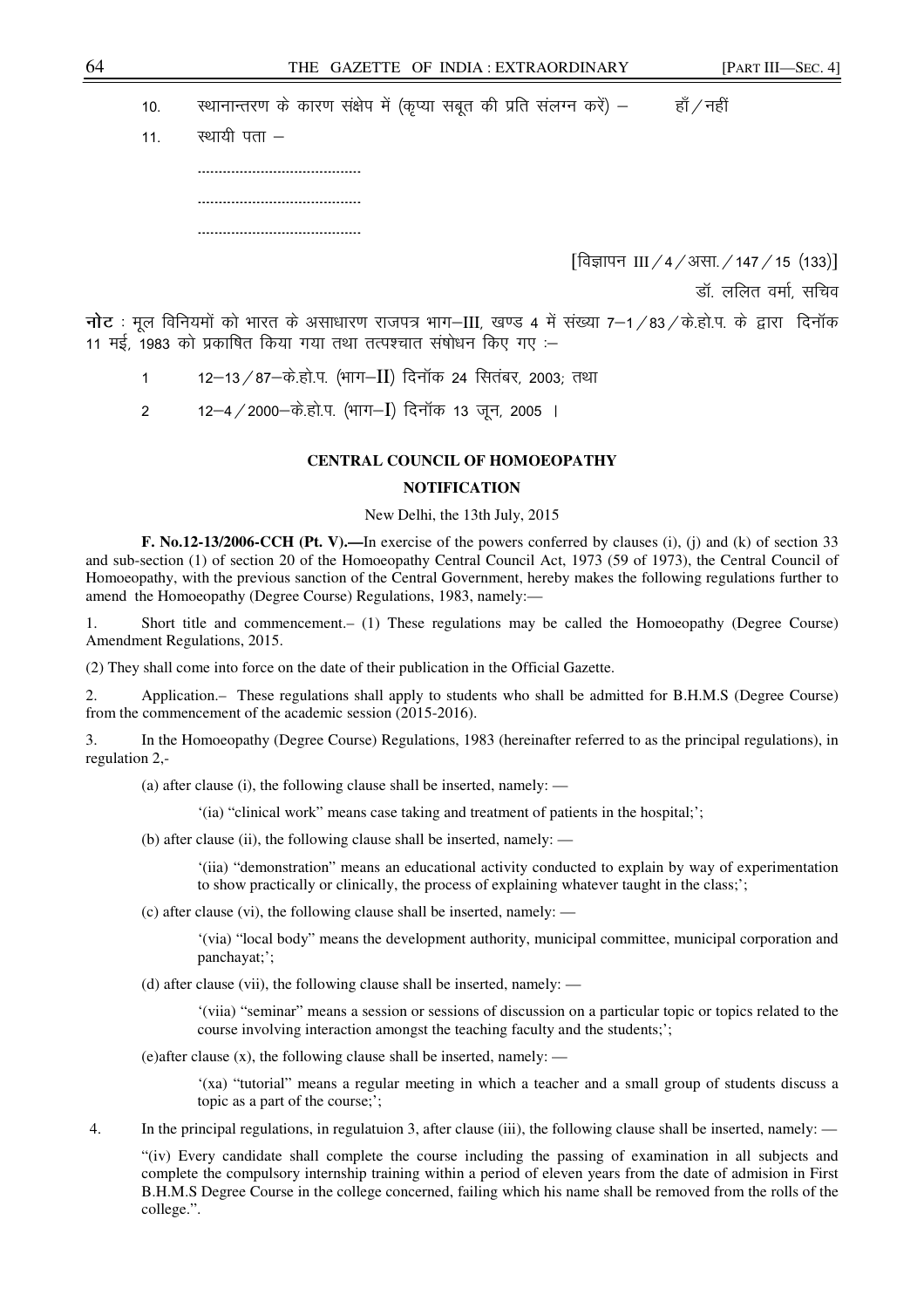10. स्थानान्तरण के कारण संक्षेप में (कृप्या सबूत की प्रति संलग्न करें) – बाँ/नहीं

| 11. $\overline{\phantom{a} }$ रथायी पता $-$ |
|---------------------------------------------|
|                                             |
|                                             |
|                                             |

[विज्ञापन III / 4 / असा. / 147 / 15 (133)]

डॉ. ललित वर्मा. सचिव

नोट: मूल विनियमों को भारत के असाधारण राजपत्र भाग-III, खण्ड 4 में संख्या 7-1/83/के.हो.प. के द्वारा दिनॉक 11 मई, 1983 को प्रकाषित किया गया तथा तत्पश्चात संषोधन किए गए :–

1 12–13/87–के.हो.प. (भाग–II) दिनॉक 24 सितंबर, 2003; तथा

2 12–4 / 2000–के.हो.प. (भाग–I) दिनॉक 13 जून, 2005 ।

## **CENTRAL COUNCIL OF HOMOEOPATHY**

#### **NOTIFICATION**

#### New Delhi, the 13th July, 2015

**F. No.12-13/2006-CCH (Pt. V).—**In exercise of the powers conferred by clauses (i), (j) and (k) of section 33 and sub-section (1) of section 20 of the Homoeopathy Central Council Act, 1973 (59 of 1973), the Central Council of Homoeopathy, with the previous sanction of the Central Government, hereby makes the following regulations further to amend the Homoeopathy (Degree Course) Regulations, 1983, namely:—

1. Short title and commencement.– (1) These regulations may be called the Homoeopathy (Degree Course) Amendment Regulations, 2015.

(2) They shall come into force on the date of their publication in the Official Gazette.

2. Application.– These regulations shall apply to students who shall be admitted for B.H.M.S (Degree Course) from the commencement of the academic session (2015-2016).

3. In the Homoeopathy (Degree Course) Regulations, 1983 (hereinafter referred to as the principal regulations), in regulation 2,-

(a) after clause (i), the following clause shall be inserted, namely: —

'(ia) "clinical work" means case taking and treatment of patients in the hospital;';

(b) after clause (ii), the following clause shall be inserted, namely: —

'(iia) "demonstration" means an educational activity conducted to explain by way of experimentation to show practically or clinically, the process of explaining whatever taught in the class;';

(c) after clause (vi), the following clause shall be inserted, namely: —

'(via) "local body" means the development authority, municipal committee, municipal corporation and panchayat;';

(d) after clause (vii), the following clause shall be inserted, namely: —

'(viia) "seminar" means a session or sessions of discussion on a particular topic or topics related to the course involving interaction amongst the teaching faculty and the students;';

(e)after clause (x), the following clause shall be inserted, namely: —

'(xa) "tutorial" means a regular meeting in which a teacher and a small group of students discuss a topic as a part of the course;';

4. In the principal regulations, in regulatuion 3, after clause (iii), the following clause shall be inserted, namely: —

"(iv) Every candidate shall complete the course including the passing of examination in all subjects and complete the compulsory internship training within a period of eleven years from the date of admision in First B.H.M.S Degree Course in the college concerned, failing which his name shall be removed from the rolls of the college.".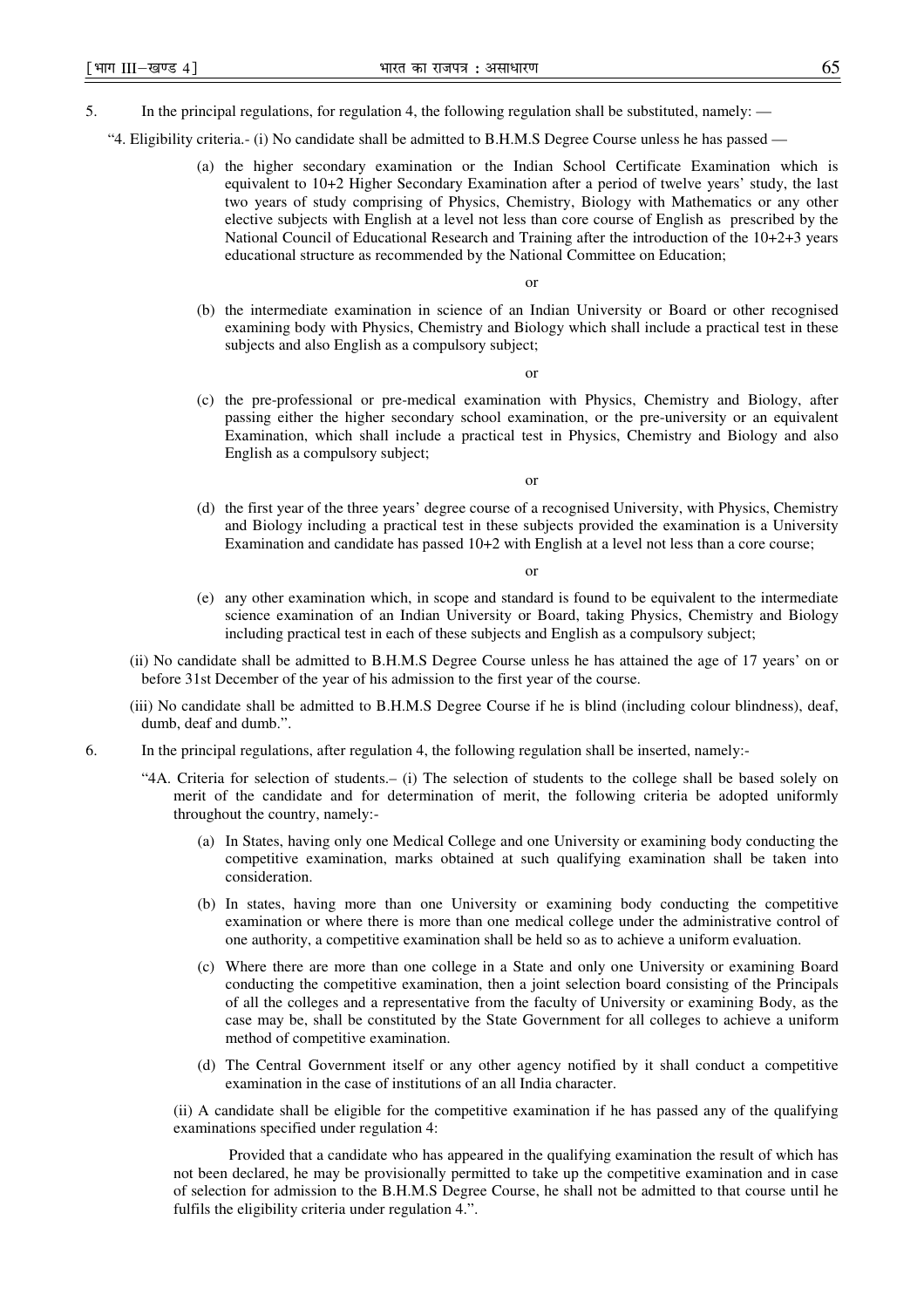- 5. In the principal regulations, for regulation 4, the following regulation shall be substituted, namely:
	- "4. Eligibility criteria.- (i) No candidate shall be admitted to B.H.M.S Degree Course unless he has passed
		- (a) the higher secondary examination or the Indian School Certificate Examination which is equivalent to 10+2 Higher Secondary Examination after a period of twelve years' study, the last two years of study comprising of Physics, Chemistry, Biology with Mathematics or any other elective subjects with English at a level not less than core course of English as prescribed by the National Council of Educational Research and Training after the introduction of the 10+2+3 years educational structure as recommended by the National Committee on Education;

or

(b) the intermediate examination in science of an Indian University or Board or other recognised examining body with Physics, Chemistry and Biology which shall include a practical test in these subjects and also English as a compulsory subject;

or

(c) the pre-professional or pre-medical examination with Physics, Chemistry and Biology, after passing either the higher secondary school examination, or the pre-university or an equivalent Examination, which shall include a practical test in Physics, Chemistry and Biology and also English as a compulsory subject;

or

(d) the first year of the three years' degree course of a recognised University, with Physics, Chemistry and Biology including a practical test in these subjects provided the examination is a University Examination and candidate has passed  $10+2$  with English at a level not less than a core course;

or

- (e) any other examination which, in scope and standard is found to be equivalent to the intermediate science examination of an Indian University or Board, taking Physics, Chemistry and Biology including practical test in each of these subjects and English as a compulsory subject;
- (ii) No candidate shall be admitted to B.H.M.S Degree Course unless he has attained the age of 17 years' on or before 31st December of the year of his admission to the first year of the course.
- (iii) No candidate shall be admitted to B.H.M.S Degree Course if he is blind (including colour blindness), deaf, dumb, deaf and dumb.".
- 6. In the principal regulations, after regulation 4, the following regulation shall be inserted, namely:-
	- "4A. Criteria for selection of students.– (i) The selection of students to the college shall be based solely on merit of the candidate and for determination of merit, the following criteria be adopted uniformly throughout the country, namely:-
		- (a) In States, having only one Medical College and one University or examining body conducting the competitive examination, marks obtained at such qualifying examination shall be taken into consideration.
		- (b) In states, having more than one University or examining body conducting the competitive examination or where there is more than one medical college under the administrative control of one authority, a competitive examination shall be held so as to achieve a uniform evaluation.
		- (c) Where there are more than one college in a State and only one University or examining Board conducting the competitive examination, then a joint selection board consisting of the Principals of all the colleges and a representative from the faculty of University or examining Body, as the case may be, shall be constituted by the State Government for all colleges to achieve a uniform method of competitive examination.
		- (d) The Central Government itself or any other agency notified by it shall conduct a competitive examination in the case of institutions of an all India character.

(ii) A candidate shall be eligible for the competitive examination if he has passed any of the qualifying examinations specified under regulation 4:

Provided that a candidate who has appeared in the qualifying examination the result of which has not been declared, he may be provisionally permitted to take up the competitive examination and in case of selection for admission to the B.H.M.S Degree Course, he shall not be admitted to that course until he fulfils the eligibility criteria under regulation 4.".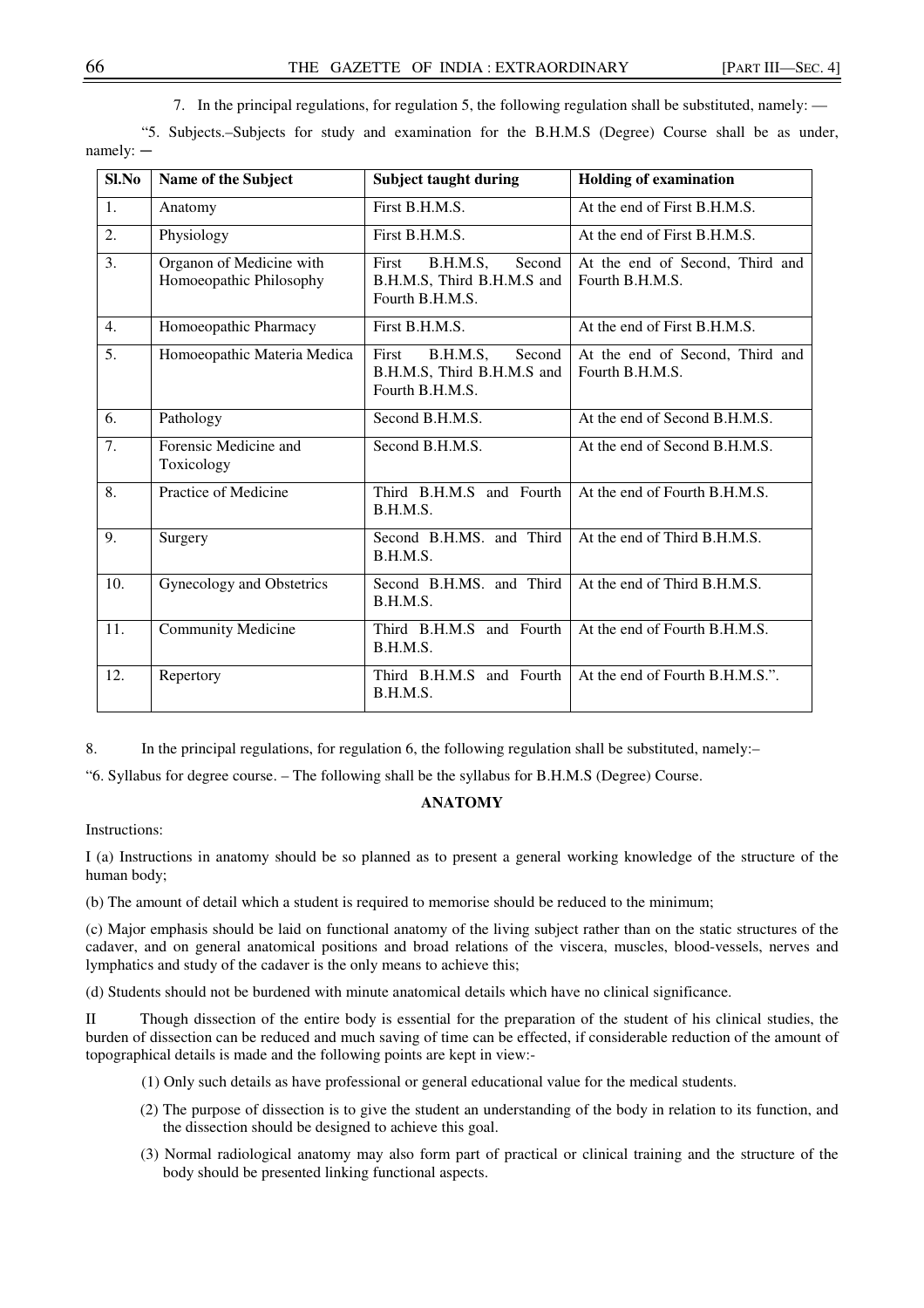7. In the principal regulations, for regulation 5, the following regulation shall be substituted, namely: —

 "5. Subjects.–Subjects for study and examination for the B.H.M.S (Degree) Course shall be as under, namely: —

| Sl.No            | Name of the Subject                                 | <b>Subject taught during</b>                                                 | <b>Holding of examination</b>                      |
|------------------|-----------------------------------------------------|------------------------------------------------------------------------------|----------------------------------------------------|
| $\mathbf{1}$ .   | Anatomy                                             | First B.H.M.S.                                                               | At the end of First B.H.M.S.                       |
| 2.               | Physiology                                          | First B.H.M.S.                                                               | At the end of First B.H.M.S.                       |
| 3.               | Organon of Medicine with<br>Homoeopathic Philosophy | B.H.M.S,<br>First<br>Second<br>B.H.M.S, Third B.H.M.S and<br>Fourth B.H.M.S. | At the end of Second, Third and<br>Fourth B.H.M.S. |
| 4.               | Homoeopathic Pharmacy                               | First B.H.M.S.                                                               | At the end of First B.H.M.S.                       |
| $\overline{5}$ . | Homoeopathic Materia Medica                         | B.H.M.S,<br>First<br>Second<br>B.H.M.S, Third B.H.M.S and<br>Fourth B.H.M.S. | At the end of Second, Third and<br>Fourth B.H.M.S. |
| 6.               | Pathology                                           | Second B.H.M.S.                                                              | At the end of Second B.H.M.S.                      |
| 7.               | Forensic Medicine and<br>Toxicology                 | Second B.H.M.S.                                                              | At the end of Second B.H.M.S.                      |
| 8.               | Practice of Medicine                                | Third B.H.M.S and Fourth<br>B.H.M.S.                                         | At the end of Fourth B.H.M.S.                      |
| 9.               | Surgery                                             | Second B.H.MS. and Third<br>B.H.M.S.                                         | At the end of Third B.H.M.S.                       |
| 10.              | Gynecology and Obstetrics                           | Second B.H.MS. and Third<br>B.H.M.S.                                         | At the end of Third B.H.M.S.                       |
| 11.              | <b>Community Medicine</b>                           | Third B.H.M.S and Fourth<br>B.H.M.S.                                         | At the end of Fourth B.H.M.S.                      |
| 12.              | Repertory                                           | Third B.H.M.S and Fourth<br>B.H.M.S.                                         | At the end of Fourth B.H.M.S.".                    |

8. In the principal regulations, for regulation 6, the following regulation shall be substituted, namely:-

"6. Syllabus for degree course. – The following shall be the syllabus for B.H.M.S (Degree) Course.

## **ANATOMY**

Instructions:

I (a) Instructions in anatomy should be so planned as to present a general working knowledge of the structure of the human body;

(b) The amount of detail which a student is required to memorise should be reduced to the minimum;

(c) Major emphasis should be laid on functional anatomy of the living subject rather than on the static structures of the cadaver, and on general anatomical positions and broad relations of the viscera, muscles, blood-vessels, nerves and lymphatics and study of the cadaver is the only means to achieve this;

(d) Students should not be burdened with minute anatomical details which have no clinical significance.

II Though dissection of the entire body is essential for the preparation of the student of his clinical studies, the burden of dissection can be reduced and much saving of time can be effected, if considerable reduction of the amount of topographical details is made and the following points are kept in view:-

- (1) Only such details as have professional or general educational value for the medical students.
- (2) The purpose of dissection is to give the student an understanding of the body in relation to its function, and the dissection should be designed to achieve this goal.
- (3) Normal radiological anatomy may also form part of practical or clinical training and the structure of the body should be presented linking functional aspects.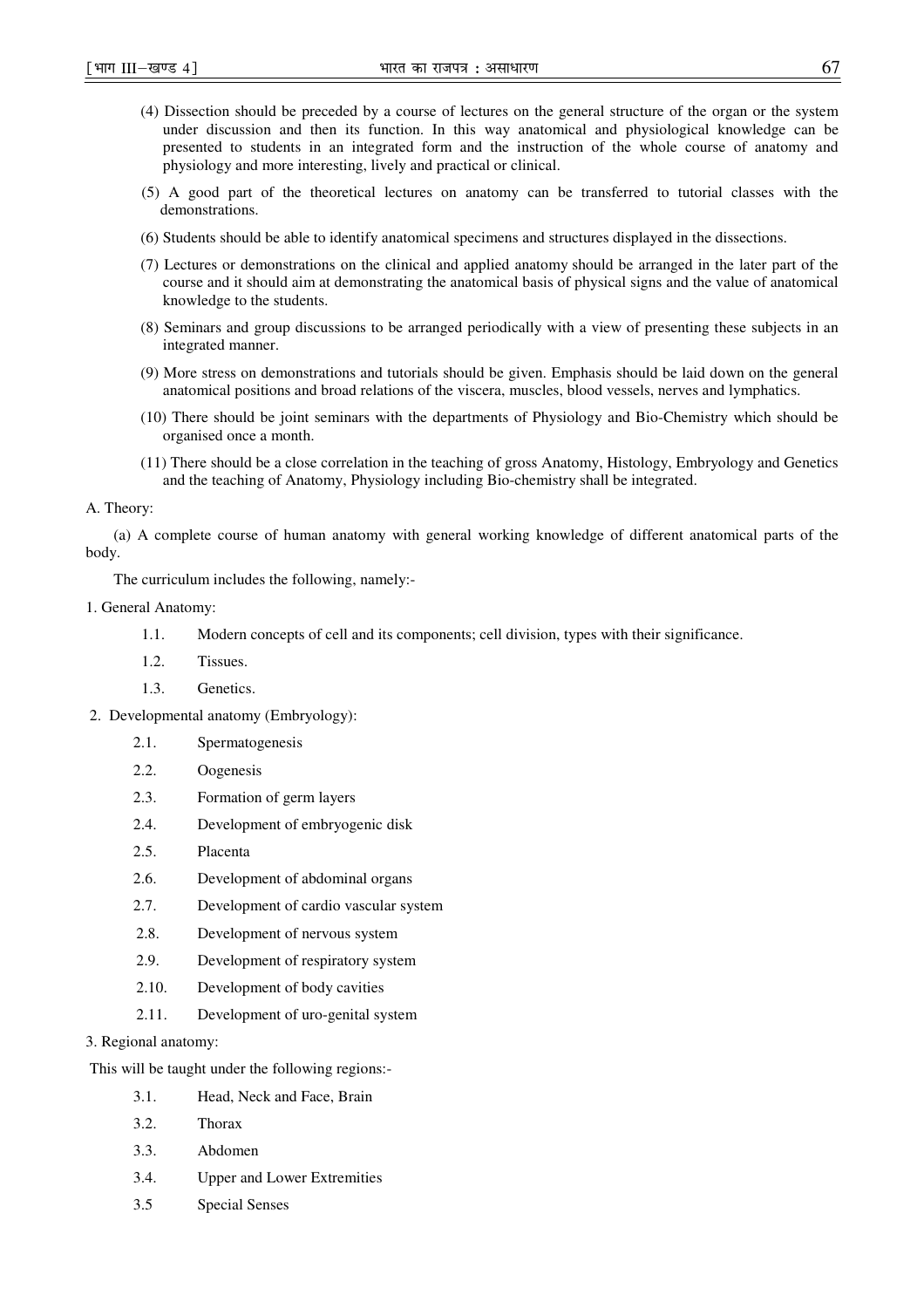- (4) Dissection should be preceded by a course of lectures on the general structure of the organ or the system under discussion and then its function. In this way anatomical and physiological knowledge can be presented to students in an integrated form and the instruction of the whole course of anatomy and physiology and more interesting, lively and practical or clinical.
- (5) A good part of the theoretical lectures on anatomy can be transferred to tutorial classes with the demonstrations.
- (6) Students should be able to identify anatomical specimens and structures displayed in the dissections.
- (7) Lectures or demonstrations on the clinical and applied anatomy should be arranged in the later part of the course and it should aim at demonstrating the anatomical basis of physical signs and the value of anatomical knowledge to the students.
- (8) Seminars and group discussions to be arranged periodically with a view of presenting these subjects in an integrated manner.
- (9) More stress on demonstrations and tutorials should be given. Emphasis should be laid down on the general anatomical positions and broad relations of the viscera, muscles, blood vessels, nerves and lymphatics.
- (10) There should be joint seminars with the departments of Physiology and Bio-Chemistry which should be organised once a month.
- (11) There should be a close correlation in the teaching of gross Anatomy, Histology, Embryology and Genetics and the teaching of Anatomy, Physiology including Bio-chemistry shall be integrated.

### A. Theory:

(a) A complete course of human anatomy with general working knowledge of different anatomical parts of the body.

The curriculum includes the following, namely:-

## 1. General Anatomy:

- 1.1. Modern concepts of cell and its components; cell division, types with their significance.
- 1.2. Tissues.
- 1.3. Genetics.
- 2. Developmental anatomy (Embryology):
	- 2.1. Spermatogenesis
	- 2.2. Oogenesis
	- 2.3. Formation of germ layers
	- 2.4. Development of embryogenic disk
	- 2.5. Placenta
	- 2.6. Development of abdominal organs
	- 2.7. Development of cardio vascular system
	- 2.8. Development of nervous system
	- 2.9. Development of respiratory system
	- 2.10. Development of body cavities
	- 2.11. Development of uro-genital system
- 3. Regional anatomy:

This will be taught under the following regions:-

- 3.1. Head, Neck and Face, Brain
- 3.2. Thorax
- 3.3. Abdomen
- 3.4. Upper and Lower Extremities
- 3.5 Special Senses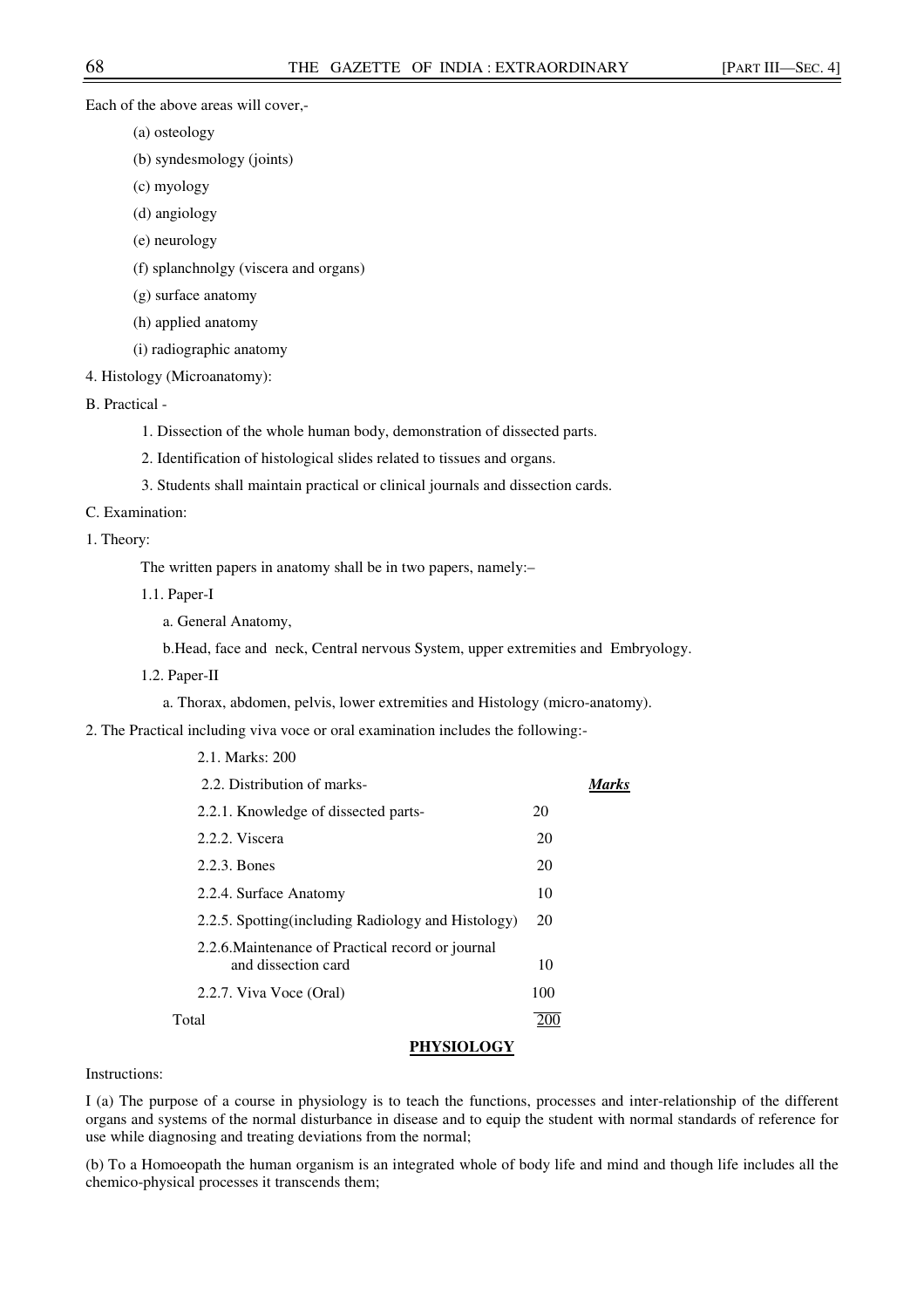Each of the above areas will cover,-

- (a) osteology
- (b) syndesmology (joints)
- (c) myology
- (d) angiology
- (e) neurology
- (f) splanchnolgy (viscera and organs)
- (g) surface anatomy
- (h) applied anatomy
- (i) radiographic anatomy
- 4. Histology (Microanatomy):

B. Practical -

- 1. Dissection of the whole human body, demonstration of dissected parts.
- 2. Identification of histological slides related to tissues and organs.
- 3. Students shall maintain practical or clinical journals and dissection cards.
- C. Examination:
- 1. Theory:

The written papers in anatomy shall be in two papers, namely:–

- 1.1. Paper-I
	- a. General Anatomy,

2.1. Marks: 200

- b.Head, face and neck, Central nervous System, upper extremities and Embryology.
- 1.2. Paper-II
	- a. Thorax, abdomen, pelvis, lower extremities and Histology (micro-anatomy).

2. The Practical including viva voce or oral examination includes the following:-

| 2.2. Distribution of marks-                         |     |
|-----------------------------------------------------|-----|
| 2.2.1. Knowledge of dissected parts-                | 20  |
| 2.2.2. Viscera                                      | 20  |
| 2.2.3. Bones                                        | 20  |
| 2.2.4. Surface Anatomy                              | 10  |
| 2.2.5. Spotting (including Radiology and Histology) | 20  |
| 2.2.6. Maintenance of Practical record or journal   |     |
| and dissection card                                 | 10  |
| 2.2.7. Viva Voce (Oral)                             | 100 |
| Total                                               |     |

### **PHYSIOLOGY**

## Instructions:

I (a) The purpose of a course in physiology is to teach the functions, processes and inter-relationship of the different organs and systems of the normal disturbance in disease and to equip the student with normal standards of reference for use while diagnosing and treating deviations from the normal;

(b) To a Homoeopath the human organism is an integrated whole of body life and mind and though life includes all the chemico-physical processes it transcends them;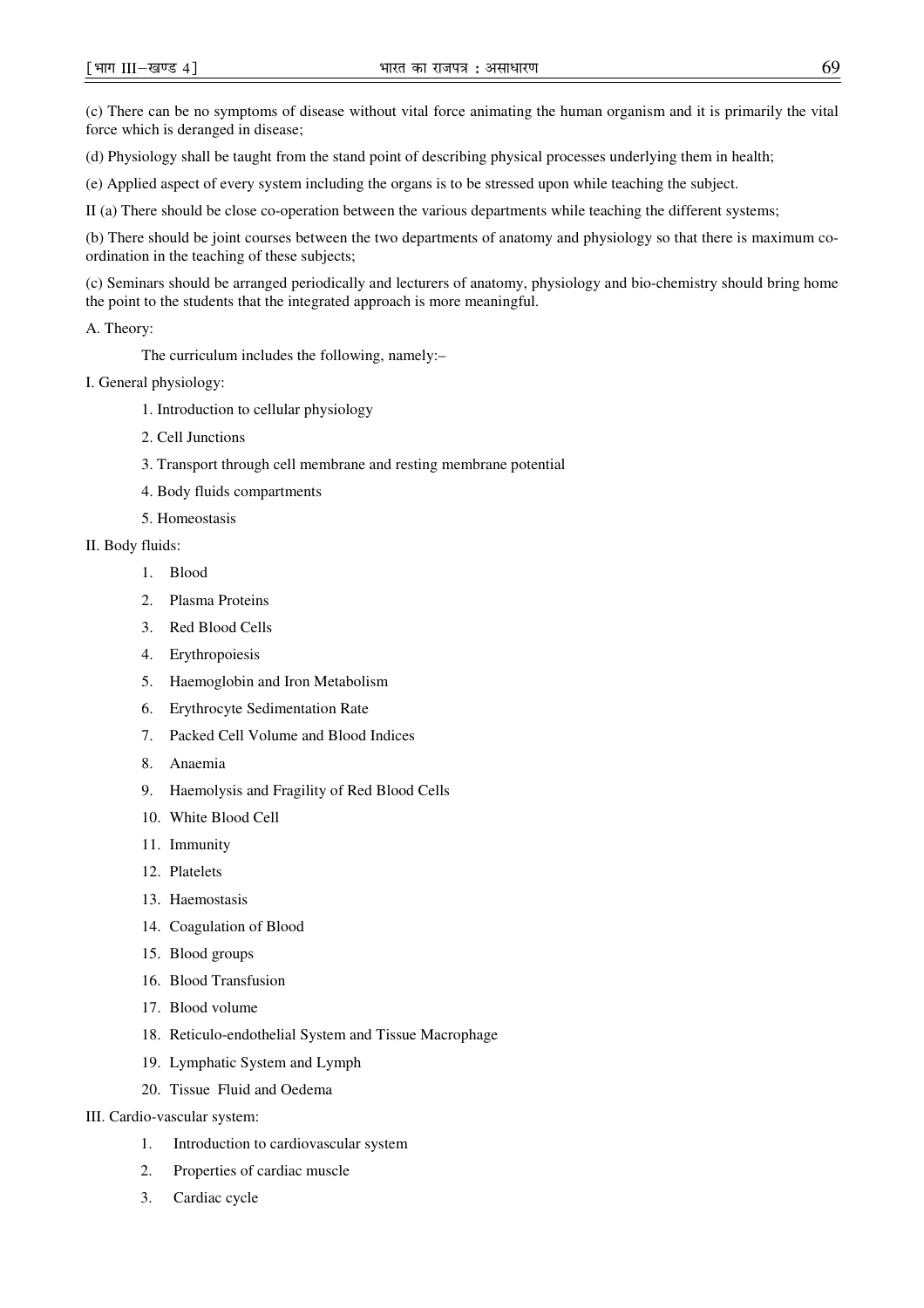(c) There can be no symptoms of disease without vital force animating the human organism and it is primarily the vital force which is deranged in disease;

(d) Physiology shall be taught from the stand point of describing physical processes underlying them in health;

(e) Applied aspect of every system including the organs is to be stressed upon while teaching the subject.

II (a) There should be close co-operation between the various departments while teaching the different systems;

(b) There should be joint courses between the two departments of anatomy and physiology so that there is maximum coordination in the teaching of these subjects;

(c) Seminars should be arranged periodically and lecturers of anatomy, physiology and bio-chemistry should bring home the point to the students that the integrated approach is more meaningful.

A. Theory:

The curriculum includes the following, namely:–

- I. General physiology:
	- 1. Introduction to cellular physiology
	- 2. Cell Junctions
	- 3. Transport through cell membrane and resting membrane potential
	- 4. Body fluids compartments
	- 5. Homeostasis
- II. Body fluids:
	- 1. Blood
	- 2. Plasma Proteins
	- 3. Red Blood Cells
	- 4. Erythropoiesis
	- 5. Haemoglobin and Iron Metabolism
	- 6. Erythrocyte Sedimentation Rate
	- 7. Packed Cell Volume and Blood Indices
	- 8. Anaemia
	- 9. Haemolysis and Fragility of Red Blood Cells
	- 10. White Blood Cell
	- 11. Immunity
	- 12. Platelets
	- 13. Haemostasis
	- 14. Coagulation of Blood
	- 15. Blood groups
	- 16. Blood Transfusion
	- 17. Blood volume
	- 18. Reticulo-endothelial System and Tissue Macrophage
	- 19. Lymphatic System and Lymph
	- 20. Tissue Fluid and Oedema
- III. Cardio-vascular system:
	- 1. Introduction to cardiovascular system
	- 2. Properties of cardiac muscle
	- 3. Cardiac cycle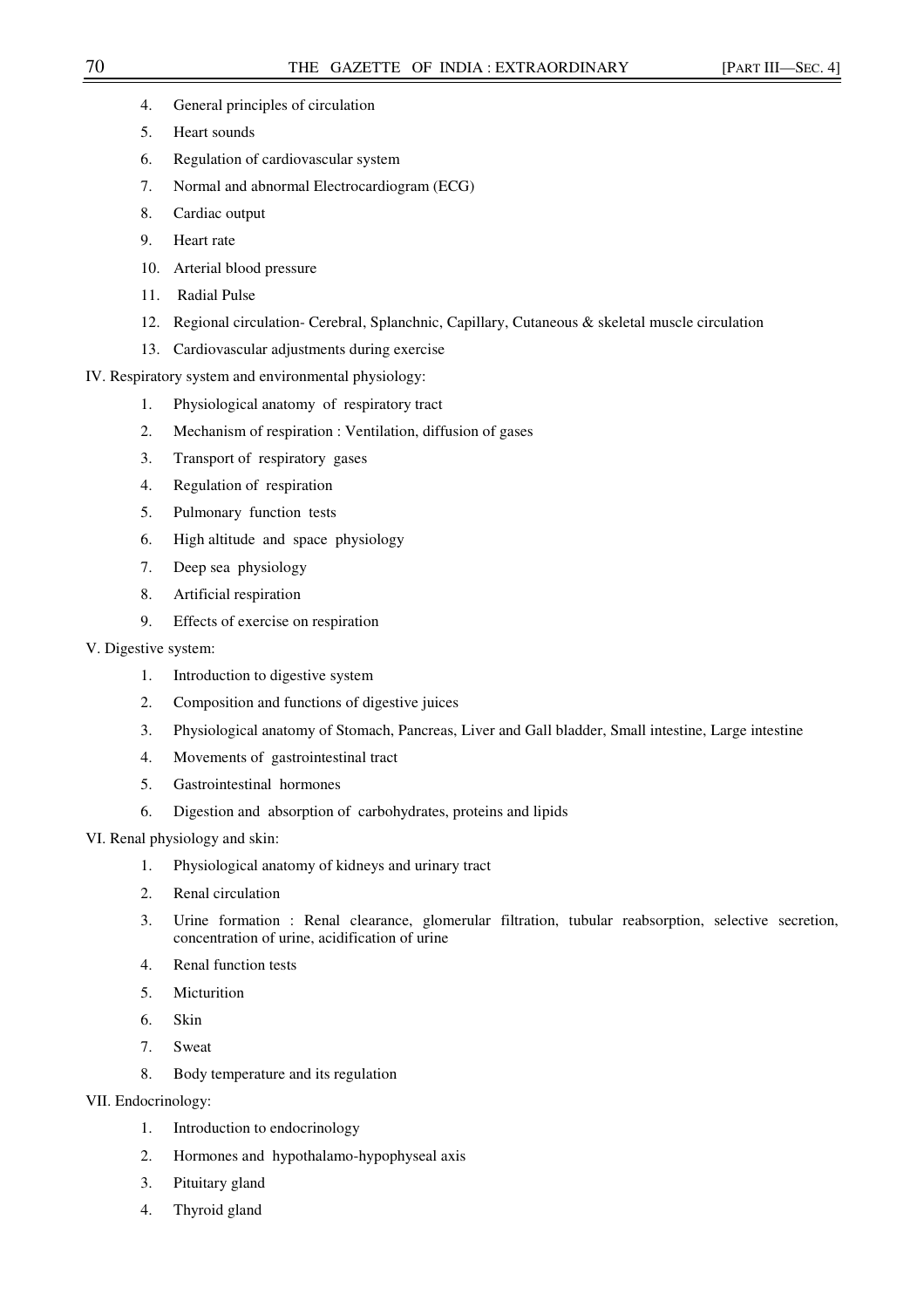- 4. General principles of circulation
- 5. Heart sounds
- 6. Regulation of cardiovascular system
- 7. Normal and abnormal Electrocardiogram (ECG)
- 8. Cardiac output
- 9. Heart rate
- 10. Arterial blood pressure
- 11. Radial Pulse
- 12. Regional circulation- Cerebral, Splanchnic, Capillary, Cutaneous & skeletal muscle circulation
- 13. Cardiovascular adjustments during exercise
- IV. Respiratory system and environmental physiology:
	- 1. Physiological anatomy of respiratory tract
	- 2. Mechanism of respiration : Ventilation, diffusion of gases
	- 3. Transport of respiratory gases
	- 4. Regulation of respiration
	- 5. Pulmonary function tests
	- 6. High altitude and space physiology
	- 7. Deep sea physiology
	- 8. Artificial respiration
	- 9. Effects of exercise on respiration

### V. Digestive system:

- 1. Introduction to digestive system
- 2. Composition and functions of digestive juices
- 3. Physiological anatomy of Stomach, Pancreas, Liver and Gall bladder, Small intestine, Large intestine
- 4. Movements of gastrointestinal tract
- 5. Gastrointestinal hormones
- 6. Digestion and absorption of carbohydrates, proteins and lipids

## VI. Renal physiology and skin:

- 1. Physiological anatomy of kidneys and urinary tract
- 2. Renal circulation
- 3. Urine formation : Renal clearance, glomerular filtration, tubular reabsorption, selective secretion, concentration of urine, acidification of urine
- 4. Renal function tests
- 5. Micturition
- 6. Skin
- 7. Sweat
- 8. Body temperature and its regulation
- VII. Endocrinology:
	- 1. Introduction to endocrinology
	- 2. Hormones and hypothalamo-hypophyseal axis
	- 3. Pituitary gland
	- 4. Thyroid gland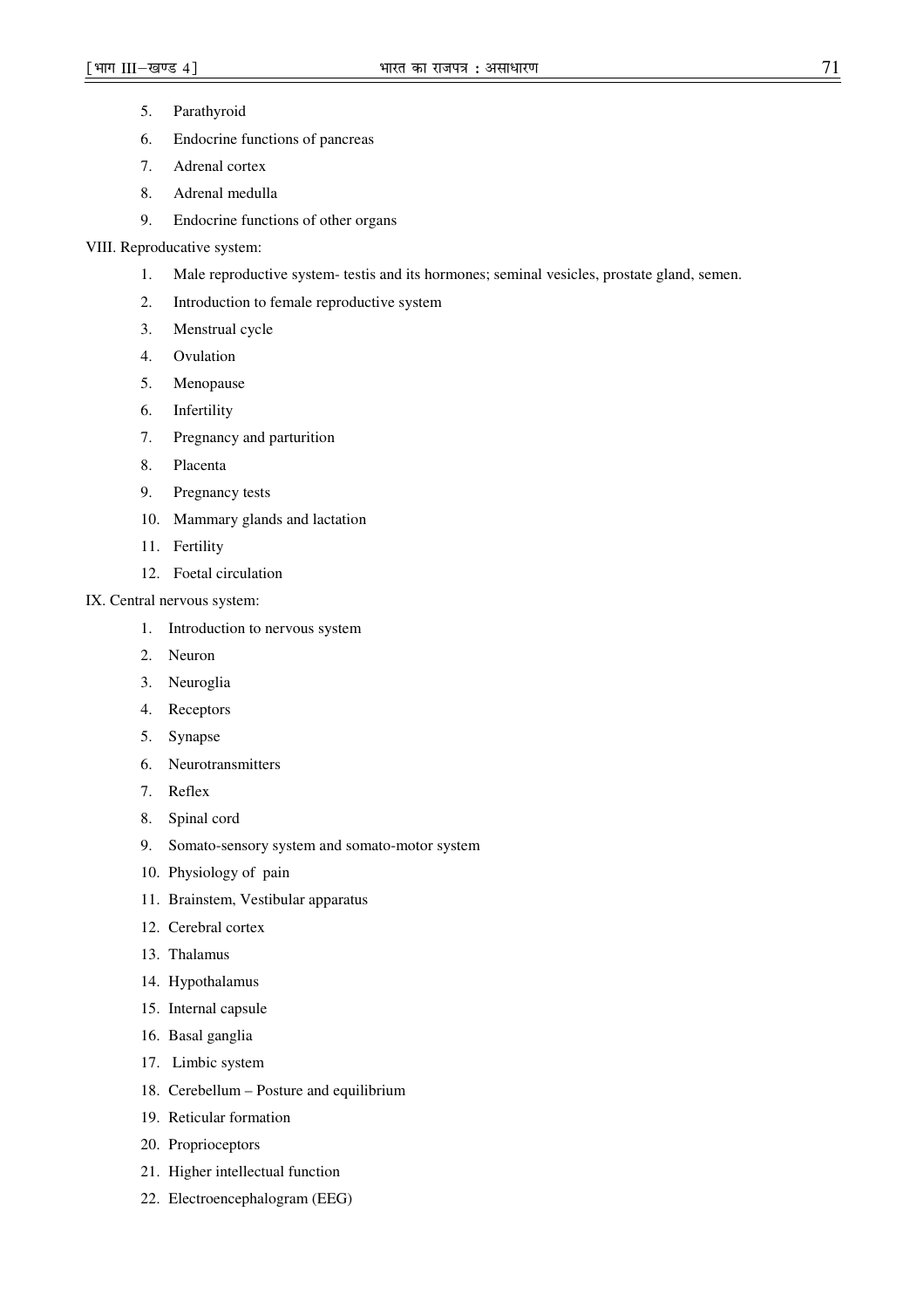- 5. Parathyroid
- 6. Endocrine functions of pancreas
- 7. Adrenal cortex
- 8. Adrenal medulla
- 9. Endocrine functions of other organs

## VIII. Reproducative system:

- 1. Male reproductive system- testis and its hormones; seminal vesicles, prostate gland, semen.
- 2. Introduction to female reproductive system
- 3. Menstrual cycle
- 4. Ovulation
- 5. Menopause
- 6. Infertility
- 7. Pregnancy and parturition
- 8. Placenta
- 9. Pregnancy tests
- 10. Mammary glands and lactation
- 11. Fertility
- 12. Foetal circulation
- IX. Central nervous system:
	- 1. Introduction to nervous system
	- 2. Neuron
	- 3. Neuroglia
	- 4. Receptors
	- 5. Synapse
	- 6. Neurotransmitters
	- 7. Reflex
	- 8. Spinal cord
	- 9. Somato-sensory system and somato-motor system
	- 10. Physiology of pain
	- 11. Brainstem, Vestibular apparatus
	- 12. Cerebral cortex
	- 13. Thalamus
	- 14. Hypothalamus
	- 15. Internal capsule
	- 16. Basal ganglia
	- 17. Limbic system
	- 18. Cerebellum Posture and equilibrium
	- 19. Reticular formation
	- 20. Proprioceptors
	- 21. Higher intellectual function
	- 22. Electroencephalogram (EEG)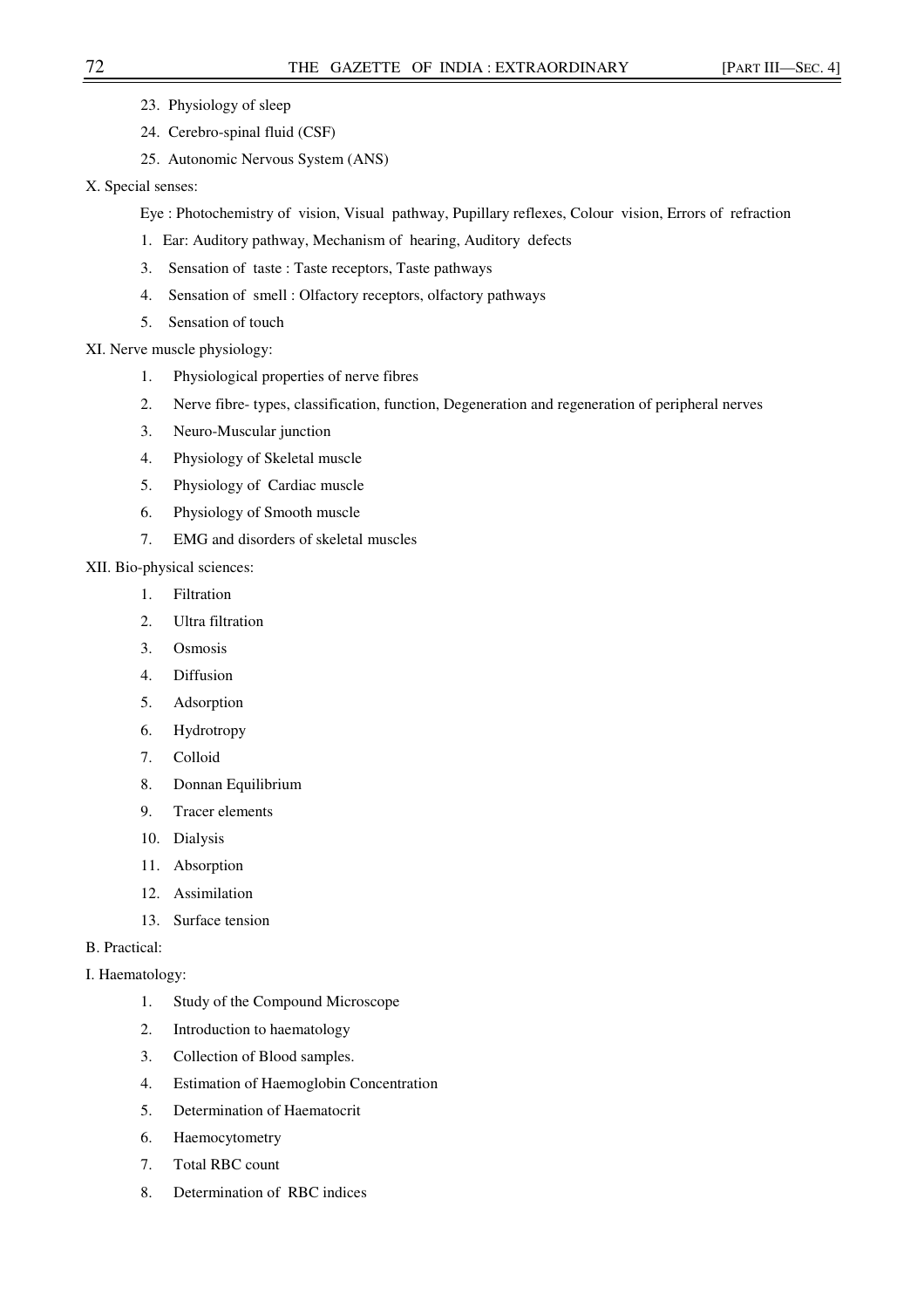- 23. Physiology of sleep
- 24. Cerebro-spinal fluid (CSF)
- 25. Autonomic Nervous System (ANS)
- X. Special senses:

Eye : Photochemistry of vision, Visual pathway, Pupillary reflexes, Colour vision, Errors of refraction

- 1. Ear: Auditory pathway, Mechanism of hearing, Auditory defects
- 3. Sensation of taste : Taste receptors, Taste pathways
- 4. Sensation of smell : Olfactory receptors, olfactory pathways
- 5. Sensation of touch
- XI. Nerve muscle physiology:
	- 1. Physiological properties of nerve fibres
	- 2. Nerve fibre- types, classification, function, Degeneration and regeneration of peripheral nerves
	- 3. Neuro-Muscular junction
	- 4. Physiology of Skeletal muscle
	- 5. Physiology of Cardiac muscle
	- 6. Physiology of Smooth muscle
	- 7. EMG and disorders of skeletal muscles
- XII. Bio-physical sciences:
	- 1. Filtration
	- 2. Ultra filtration
	- 3. Osmosis
	- 4. Diffusion
	- 5. Adsorption
	- 6. Hydrotropy
	- 7. Colloid
	- 8. Donnan Equilibrium
	- 9. Tracer elements
	- 10. Dialysis
	- 11. Absorption
	- 12. Assimilation
	- 13. Surface tension

# B. Practical:

- I. Haematology:
	- 1. Study of the Compound Microscope
	- 2. Introduction to haematology
	- 3. Collection of Blood samples.
	- 4. Estimation of Haemoglobin Concentration
	- 5. Determination of Haematocrit
	- 6. Haemocytometry
	- 7. Total RBC count
	- 8. Determination of RBC indices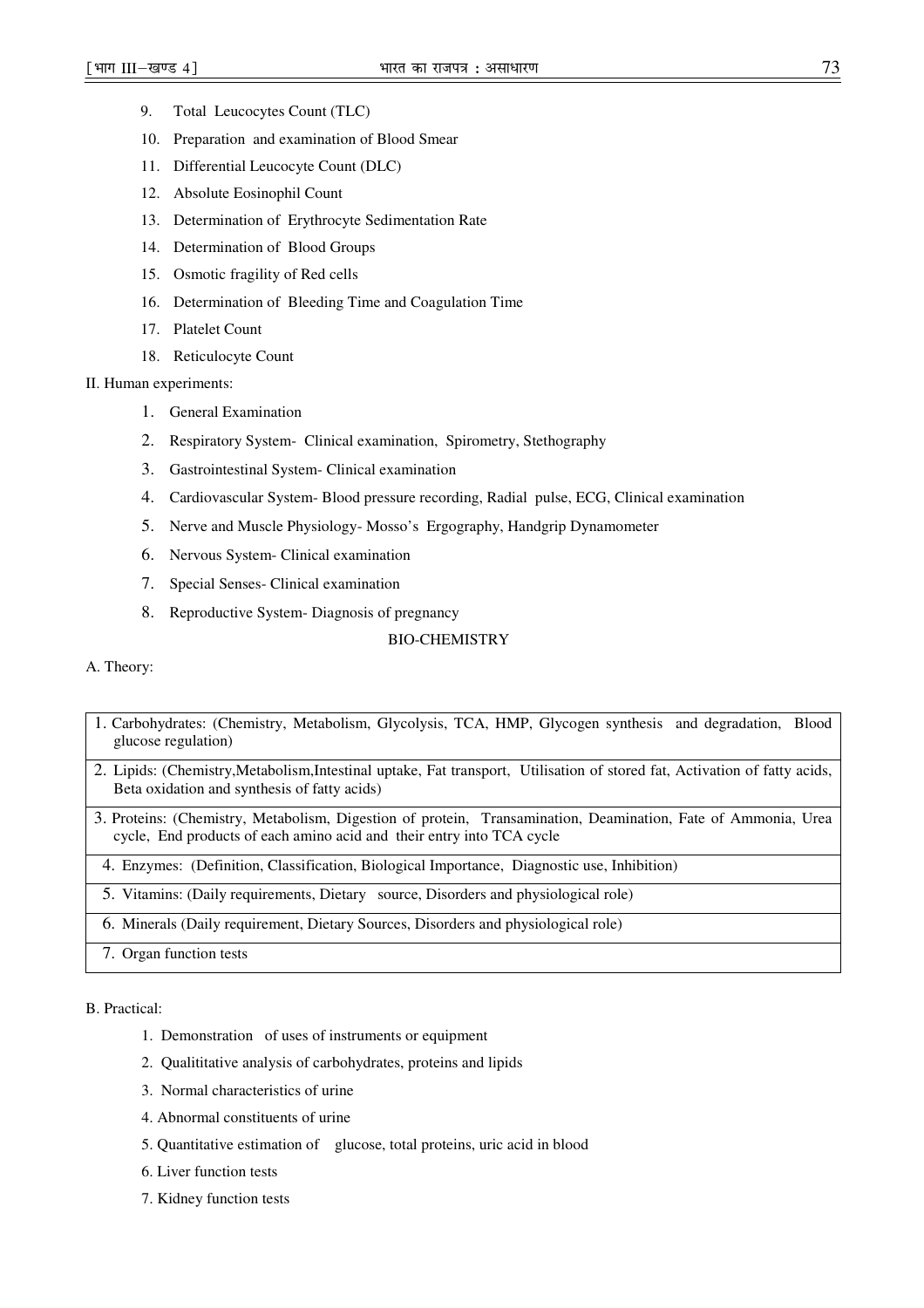- 9. Total Leucocytes Count (TLC)
- 10. Preparation and examination of Blood Smear
- 11. Differential Leucocyte Count (DLC)
- 12. Absolute Eosinophil Count
- 13. Determination of Erythrocyte Sedimentation Rate
- 14. Determination of Blood Groups
- 15. Osmotic fragility of Red cells
- 16. Determination of Bleeding Time and Coagulation Time
- 17. Platelet Count
- 18. Reticulocyte Count

## II. Human experiments:

- 1. General Examination
- 2. Respiratory System- Clinical examination, Spirometry, Stethography
- 3. Gastrointestinal System- Clinical examination
- 4. Cardiovascular System- Blood pressure recording, Radial pulse, ECG, Clinical examination
- 5. Nerve and Muscle Physiology- Mosso's Ergography, Handgrip Dynamometer
- 6. Nervous System- Clinical examination
- 7. Special Senses- Clinical examination
- 8. Reproductive System- Diagnosis of pregnancy

## BIO-CHEMISTRY

## A. Theory:

- 1. Carbohydrates: (Chemistry, Metabolism, Glycolysis, TCA, HMP, Glycogen synthesis and degradation, Blood glucose regulation)
- 2. Lipids: (Chemistry,Metabolism,Intestinal uptake, Fat transport, Utilisation of stored fat, Activation of fatty acids, Beta oxidation and synthesis of fatty acids)
- 3. Proteins: (Chemistry, Metabolism, Digestion of protein, Transamination, Deamination, Fate of Ammonia, Urea cycle, End products of each amino acid and their entry into TCA cycle

4. Enzymes: (Definition, Classification, Biological Importance, Diagnostic use, Inhibition)

5. Vitamins: (Daily requirements, Dietary source, Disorders and physiological role)

6. Minerals (Daily requirement, Dietary Sources, Disorders and physiological role)

7. Organ function tests

B. Practical:

- 1. Demonstration of uses of instruments or equipment
- 2. Qualititative analysis of carbohydrates, proteins and lipids
- 3. Normal characteristics of urine
- 4. Abnormal constituents of urine
- 5. Quantitative estimation of glucose, total proteins, uric acid in blood
- 6. Liver function tests
- 7. Kidney function tests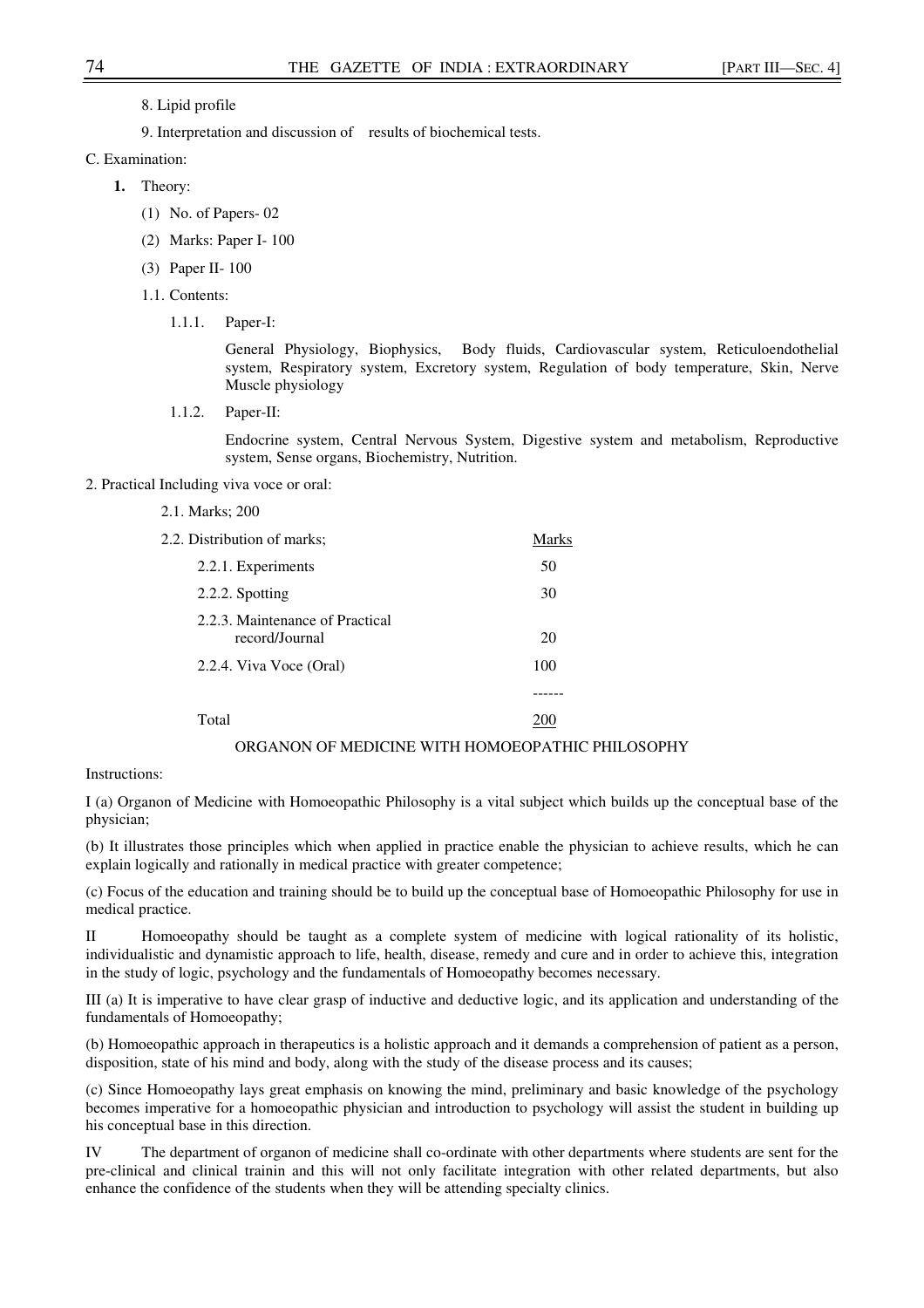- 8. Lipid profile
- 9. Interpretation and discussion of results of biochemical tests.
- C. Examination:
	- **1.** Theory:
		- (1) No. of Papers- 02
		- (2) Marks: Paper I- 100
		- (3) Paper II- 100
		- 1.1. Contents:
			- 1.1.1. Paper-I:

General Physiology, Biophysics, Body fluids, Cardiovascular system, Reticuloendothelial system, Respiratory system, Excretory system, Regulation of body temperature, Skin, Nerve Muscle physiology

1.1.2. Paper-II:

Endocrine system, Central Nervous System, Digestive system and metabolism, Reproductive system, Sense organs, Biochemistry, Nutrition.

- 2. Practical Including viva voce or oral:
	- 2.1. Marks; 200

| 2.2. Distribution of marks;                       | Marks |
|---------------------------------------------------|-------|
| 2.2.1. Experiments                                | 50    |
| 2.2.2. Spotting                                   | 30    |
| 2.2.3. Maintenance of Practical<br>record/Journal | 20    |
| 2.2.4. Viva Voce (Oral)                           | 100   |
|                                                   |       |
| Total                                             |       |

## ORGANON OF MEDICINE WITH HOMOEOPATHIC PHILOSOPHY

Instructions:

I (a) Organon of Medicine with Homoeopathic Philosophy is a vital subject which builds up the conceptual base of the physician;

(b) It illustrates those principles which when applied in practice enable the physician to achieve results, which he can explain logically and rationally in medical practice with greater competence;

(c) Focus of the education and training should be to build up the conceptual base of Homoeopathic Philosophy for use in medical practice.

II Homoeopathy should be taught as a complete system of medicine with logical rationality of its holistic, individualistic and dynamistic approach to life, health, disease, remedy and cure and in order to achieve this, integration in the study of logic, psychology and the fundamentals of Homoeopathy becomes necessary.

III (a) It is imperative to have clear grasp of inductive and deductive logic, and its application and understanding of the fundamentals of Homoeopathy;

(b) Homoeopathic approach in therapeutics is a holistic approach and it demands a comprehension of patient as a person, disposition, state of his mind and body, along with the study of the disease process and its causes;

(c) Since Homoeopathy lays great emphasis on knowing the mind, preliminary and basic knowledge of the psychology becomes imperative for a homoeopathic physician and introduction to psychology will assist the student in building up his conceptual base in this direction.

IV The department of organon of medicine shall co-ordinate with other departments where students are sent for the pre-clinical and clinical trainin and this will not only facilitate integration with other related departments, but also enhance the confidence of the students when they will be attending specialty clinics.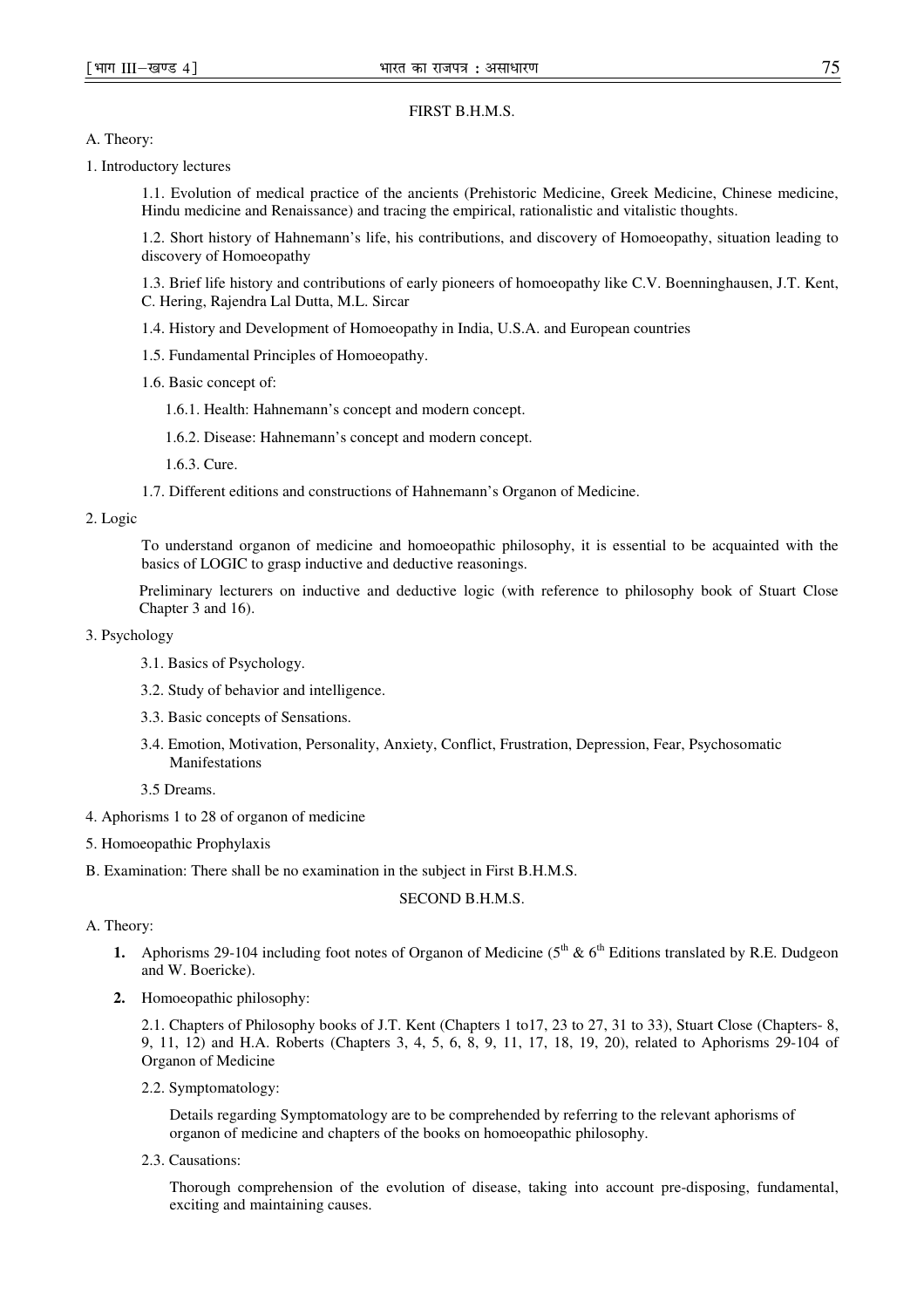FIRST B.H.M.S.

A. Theory:

1. Introductory lectures

1.1. Evolution of medical practice of the ancients (Prehistoric Medicine, Greek Medicine, Chinese medicine, Hindu medicine and Renaissance) and tracing the empirical, rationalistic and vitalistic thoughts.

1.2. Short history of Hahnemann's life, his contributions, and discovery of Homoeopathy, situation leading to discovery of Homoeopathy

1.3. Brief life history and contributions of early pioneers of homoeopathy like C.V. Boenninghausen, J.T. Kent, C. Hering, Rajendra Lal Dutta, M.L. Sircar

- 1.4. History and Development of Homoeopathy in India, U.S.A. and European countries
- 1.5. Fundamental Principles of Homoeopathy.
- 1.6. Basic concept of:
	- 1.6.1. Health: Hahnemann's concept and modern concept.
	- 1.6.2. Disease: Hahnemann's concept and modern concept.
	- 1.6.3. Cure.
- 1.7. Different editions and constructions of Hahnemann's Organon of Medicine.

## 2. Logic

To understand organon of medicine and homoeopathic philosophy, it is essential to be acquainted with the basics of LOGIC to grasp inductive and deductive reasonings.

Preliminary lecturers on inductive and deductive logic (with reference to philosophy book of Stuart Close Chapter 3 and 16).

## 3. Psychology

- 3.1. Basics of Psychology.
- 3.2. Study of behavior and intelligence.
- 3.3. Basic concepts of Sensations.
- 3.4. Emotion, Motivation, Personality, Anxiety, Conflict, Frustration, Depression, Fear, Psychosomatic Manifestations
- 3.5 Dreams.
- 4. Aphorisms 1 to 28 of organon of medicine
- 5. Homoeopathic Prophylaxis
- B. Examination: There shall be no examination in the subject in First B.H.M.S.

## SECOND B.H.M.S.

## A. Theory:

- **1.** Aphorisms 29-104 including foot notes of Organon of Medicine ( $5<sup>th</sup>$  &  $6<sup>th</sup>$  Editions translated by R.E. Dudgeon and W. Boericke).
- **2.** Homoeopathic philosophy:

2.1. Chapters of Philosophy books of J.T. Kent (Chapters 1 to17, 23 to 27, 31 to 33), Stuart Close (Chapters- 8, 9, 11, 12) and H.A. Roberts (Chapters 3, 4, 5, 6, 8, 9, 11, 17, 18, 19, 20), related to Aphorisms 29-104 of Organon of Medicine

2.2. Symptomatology:

Details regarding Symptomatology are to be comprehended by referring to the relevant aphorisms of organon of medicine and chapters of the books on homoeopathic philosophy.

2.3. Causations:

Thorough comprehension of the evolution of disease, taking into account pre-disposing, fundamental, exciting and maintaining causes.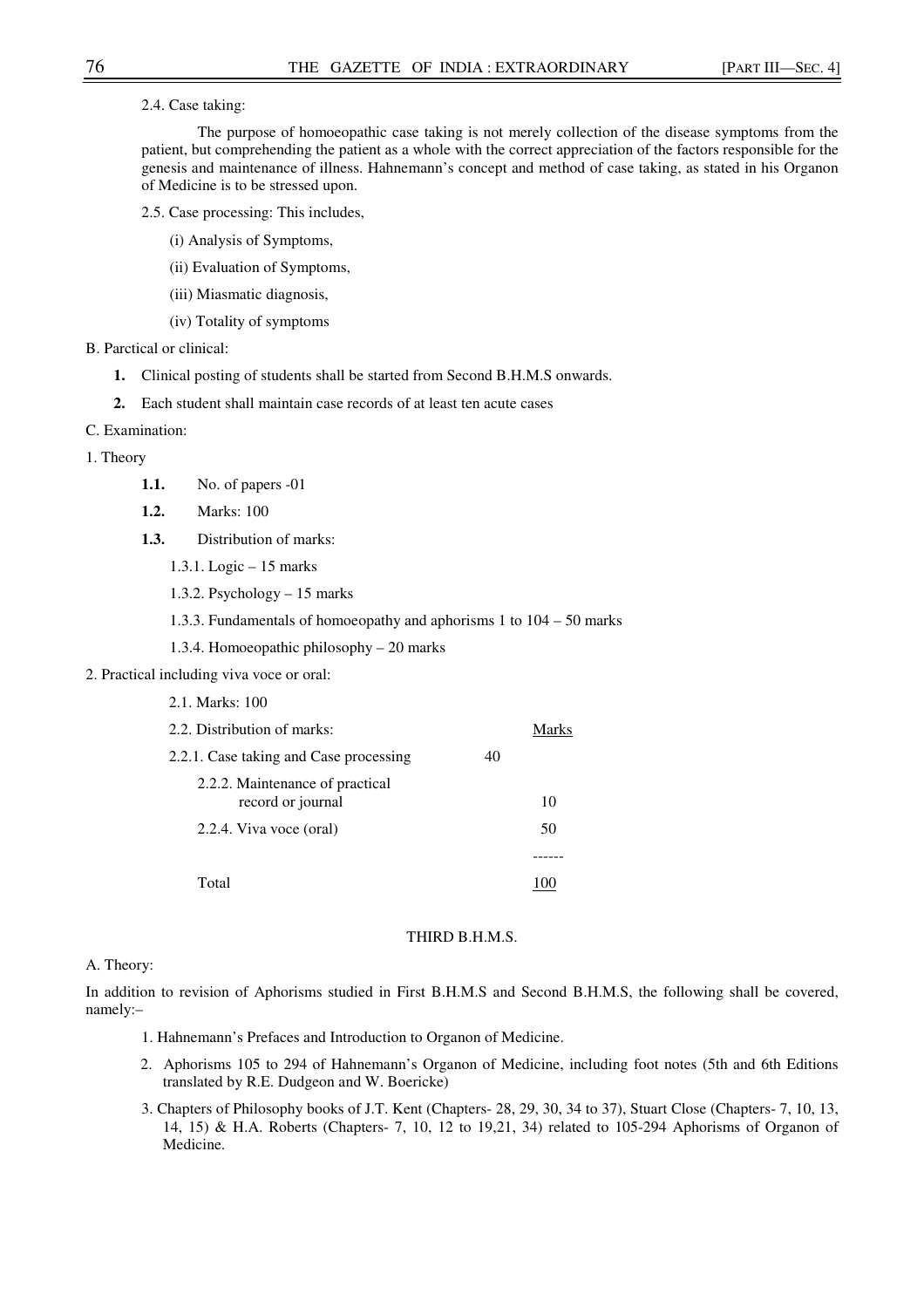2.4. Case taking:

The purpose of homoeopathic case taking is not merely collection of the disease symptoms from the patient, but comprehending the patient as a whole with the correct appreciation of the factors responsible for the genesis and maintenance of illness. Hahnemann's concept and method of case taking, as stated in his Organon of Medicine is to be stressed upon.

- 2.5. Case processing: This includes,
	- (i) Analysis of Symptoms,
	- (ii) Evaluation of Symptoms,
	- (iii) Miasmatic diagnosis,
	- (iv) Totality of symptoms
- B. Parctical or clinical:
	- **1.** Clinical posting of students shall be started from Second B.H.M.S onwards.
	- **2.** Each student shall maintain case records of at least ten acute cases
- C. Examination:
- 1. Theory
	- **1.1.** No. of papers -01
	- **1.2.** Marks: 100
	- **1.3.** Distribution of marks:
		- 1.3.1. Logic 15 marks
		- 1.3.2. Psychology 15 marks
		- 1.3.3. Fundamentals of homoeopathy and aphorisms 1 to 104 50 marks
		- 1.3.4. Homoeopathic philosophy 20 marks
- 2. Practical including viva voce or oral:
	- 2.1. Marks: 100

| 2.2. Distribution of marks:                          |    |    |
|------------------------------------------------------|----|----|
| 2.2.1. Case taking and Case processing               | 40 |    |
| 2.2.2. Maintenance of practical<br>record or journal |    | 10 |
| 2.2.4. Viva voce (oral)                              |    | 50 |
|                                                      |    |    |
| Total                                                |    |    |

## THIRD B.H.M.S.

## A. Theory:

In addition to revision of Aphorisms studied in First B.H.M.S and Second B.H.M.S, the following shall be covered, namely:–

- 1. Hahnemann's Prefaces and Introduction to Organon of Medicine.
- 2. Aphorisms 105 to 294 of Hahnemann's Organon of Medicine, including foot notes (5th and 6th Editions translated by R.E. Dudgeon and W. Boericke)
- 3. Chapters of Philosophy books of J.T. Kent (Chapters- 28, 29, 30, 34 to 37), Stuart Close (Chapters- 7, 10, 13, 14, 15) & H.A. Roberts (Chapters- 7, 10, 12 to 19,21, 34) related to 105-294 Aphorisms of Organon of Medicine.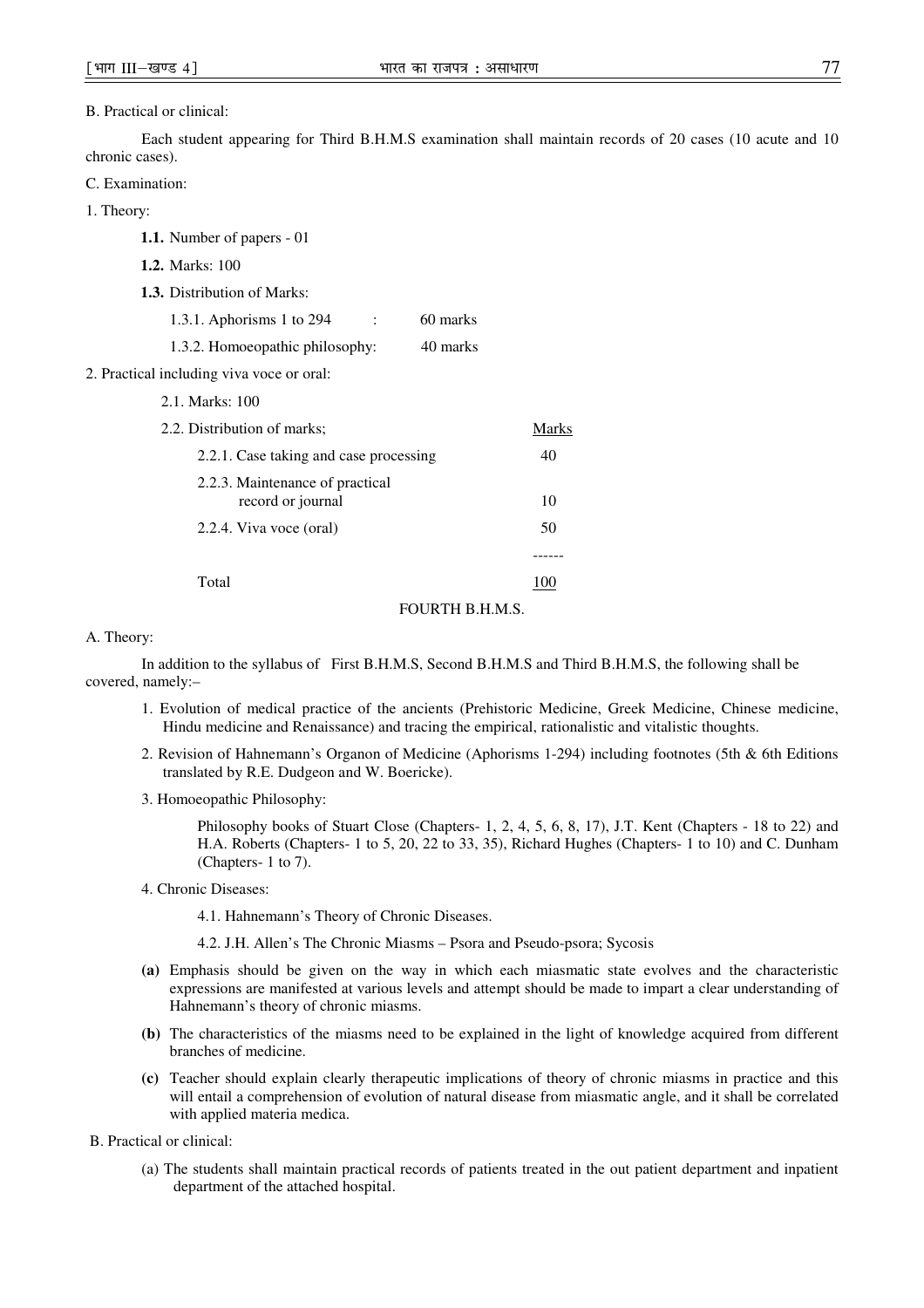#### B. Practical or clinical:

Each student appearing for Third B.H.M.S examination shall maintain records of 20 cases (10 acute and 10 chronic cases).

- C. Examination:
- 1. Theory:

| <b>1.1.</b> Number of papers - 01                               |        |
|-----------------------------------------------------------------|--------|
| <b>1.2.</b> Marks: 100                                          |        |
| <b>1.3.</b> Distribution of Marks:                              |        |
| 1.3.1. Aphorisms 1 to $294$<br>60 marks<br>$\ddot{\phantom{a}}$ |        |
| 1.3.2. Homoeopathic philosophy:<br>40 marks                     |        |
| 2. Practical including viva voce or oral:                       |        |
| 2.1. Marks: 100                                                 |        |
| 2.2. Distribution of marks;                                     | Marks  |
| 2.2.1. Case taking and case processing                          | 40     |
| 2.2.3. Maintenance of practical<br>record or journal            | 10     |
| 2.2.4. Viva voce (oral)                                         | 50     |
|                                                                 | ------ |
| Total                                                           | 100    |
| $\Gamma \cap \Gamma$ ID TI I I I A C                            |        |

#### FOURTH B.H.M.S.

### A. Theory:

In addition to the syllabus of First B.H.M.S, Second B.H.M.S and Third B.H.M.S, the following shall be covered, namely:–

- 1. Evolution of medical practice of the ancients (Prehistoric Medicine, Greek Medicine, Chinese medicine, Hindu medicine and Renaissance) and tracing the empirical, rationalistic and vitalistic thoughts.
- 2. Revision of Hahnemann's Organon of Medicine (Aphorisms 1-294) including footnotes (5th & 6th Editions translated by R.E. Dudgeon and W. Boericke).
- 3. Homoeopathic Philosophy:

Philosophy books of Stuart Close (Chapters- 1, 2, 4, 5, 6, 8, 17), J.T. Kent (Chapters - 18 to 22) and H.A. Roberts (Chapters- 1 to 5, 20, 22 to 33, 35), Richard Hughes (Chapters- 1 to 10) and C. Dunham (Chapters- 1 to 7).

4. Chronic Diseases:

4.1. Hahnemann's Theory of Chronic Diseases.

- 4.2. J.H. Allen's The Chronic Miasms Psora and Pseudo-psora; Sycosis
- **(a)** Emphasis should be given on the way in which each miasmatic state evolves and the characteristic expressions are manifested at various levels and attempt should be made to impart a clear understanding of Hahnemann's theory of chronic miasms.
- **(b)** The characteristics of the miasms need to be explained in the light of knowledge acquired from different branches of medicine.
- **(c)** Teacher should explain clearly therapeutic implications of theory of chronic miasms in practice and this will entail a comprehension of evolution of natural disease from miasmatic angle, and it shall be correlated with applied materia medica.

B. Practical or clinical:

(a) The students shall maintain practical records of patients treated in the out patient department and inpatient department of the attached hospital.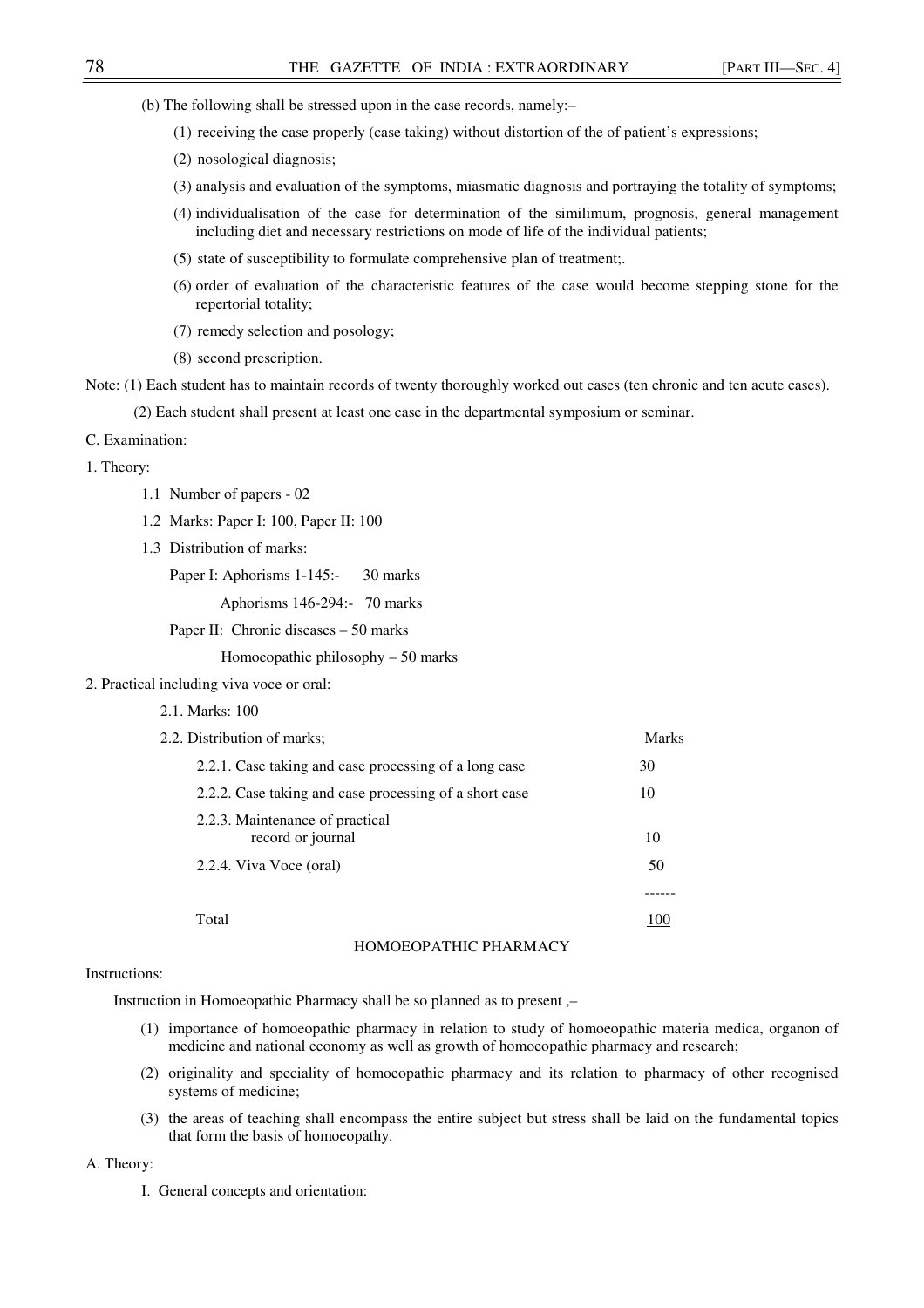- (b) The following shall be stressed upon in the case records, namely:–
	- (1) receiving the case properly (case taking) without distortion of the of patient's expressions;
	- (2) nosological diagnosis;
	- (3) analysis and evaluation of the symptoms, miasmatic diagnosis and portraying the totality of symptoms;
	- (4) individualisation of the case for determination of the similimum, prognosis, general management including diet and necessary restrictions on mode of life of the individual patients;
	- (5) state of susceptibility to formulate comprehensive plan of treatment;.
	- (6) order of evaluation of the characteristic features of the case would become stepping stone for the repertorial totality;
	- (7) remedy selection and posology;
	- (8) second prescription.

Note: (1) Each student has to maintain records of twenty thoroughly worked out cases (ten chronic and ten acute cases).

(2) Each student shall present at least one case in the departmental symposium or seminar.

#### C. Examination:

1. Theory:

- 1.1 Number of papers 02
- 1.2 Marks: Paper I: 100, Paper II: 100
- 1.3 Distribution of marks:

Paper I: Aphorisms 1-145:- 30 marks

Aphorisms 146-294:- 70 marks

Paper II: Chronic diseases – 50 marks

Homoeopathic philosophy – 50 marks

- 2. Practical including viva voce or oral:
	- 2.1. Marks: 100

| 2.2. Distribution of marks;                            | Marks |
|--------------------------------------------------------|-------|
| 2.2.1. Case taking and case processing of a long case  | 30    |
| 2.2.2. Case taking and case processing of a short case | 10    |
| 2.2.3. Maintenance of practical<br>record or journal   | 10    |
| 2.2.4. Viva Voce (oral)                                | 50    |
|                                                        |       |
| Total                                                  | 100   |
| HOMOEOPATHIC PHARMACY                                  |       |

#### Instructions:

Instruction in Homoeopathic Pharmacy shall be so planned as to present ,–

- (1) importance of homoeopathic pharmacy in relation to study of homoeopathic materia medica, organon of medicine and national economy as well as growth of homoeopathic pharmacy and research;
- (2) originality and speciality of homoeopathic pharmacy and its relation to pharmacy of other recognised systems of medicine;
- (3) the areas of teaching shall encompass the entire subject but stress shall be laid on the fundamental topics that form the basis of homoeopathy.

## A. Theory:

I. General concepts and orientation: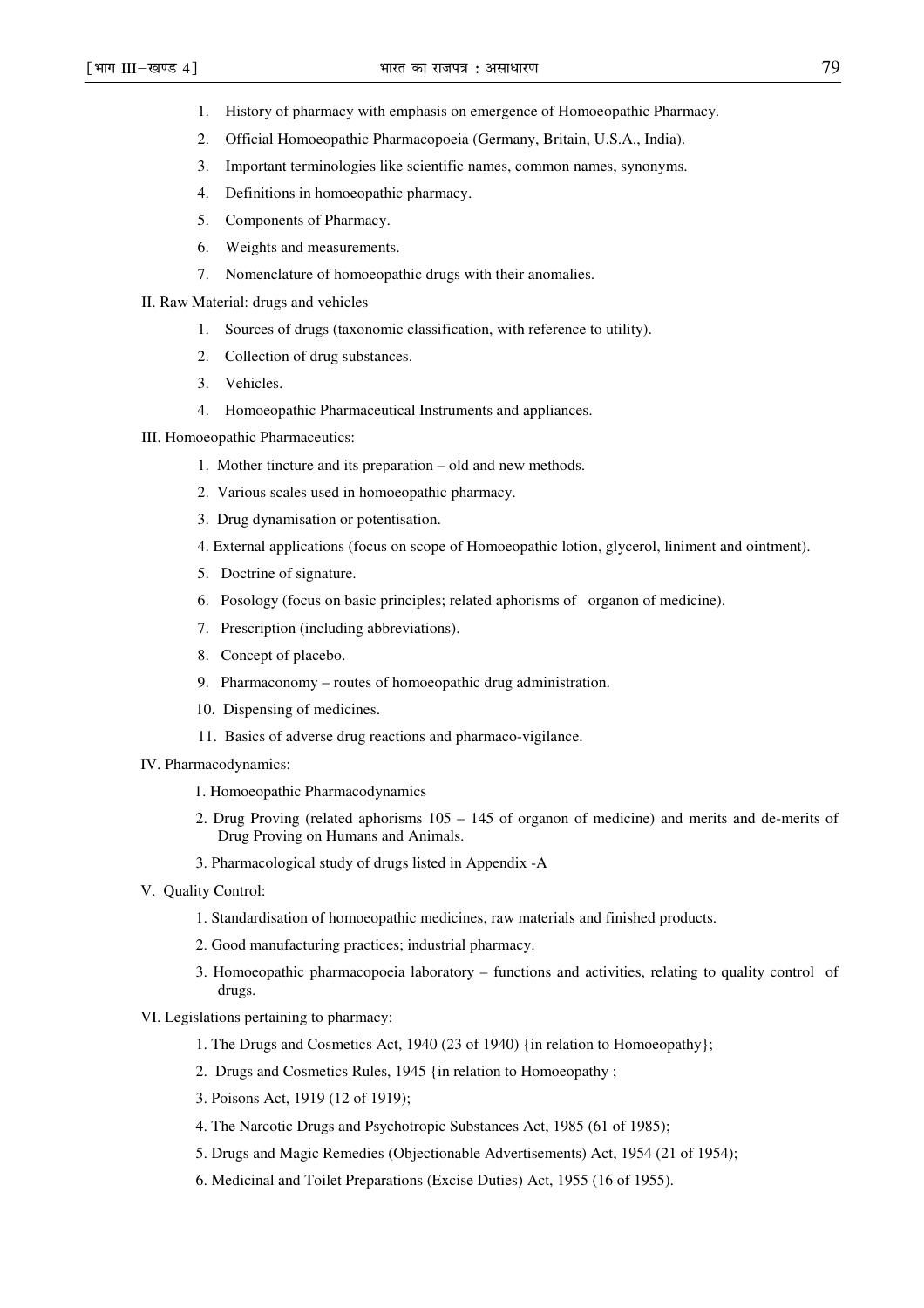- 1. History of pharmacy with emphasis on emergence of Homoeopathic Pharmacy.
- 2. Official Homoeopathic Pharmacopoeia (Germany, Britain, U.S.A., India).
- 3. Important terminologies like scientific names, common names, synonyms.
- 4. Definitions in homoeopathic pharmacy.
- 5. Components of Pharmacy.
- 6. Weights and measurements.
- 7. Nomenclature of homoeopathic drugs with their anomalies.
- II. Raw Material: drugs and vehicles
	- 1. Sources of drugs (taxonomic classification, with reference to utility).
	- 2. Collection of drug substances.
	- 3. Vehicles.
	- 4. Homoeopathic Pharmaceutical Instruments and appliances.
- III. Homoeopathic Pharmaceutics:
	- 1. Mother tincture and its preparation old and new methods.
	- 2. Various scales used in homoeopathic pharmacy.
	- 3. Drug dynamisation or potentisation.
	- 4. External applications (focus on scope of Homoeopathic lotion, glycerol, liniment and ointment).
	- 5. Doctrine of signature.
	- 6. Posology (focus on basic principles; related aphorisms of organon of medicine).
	- 7. Prescription (including abbreviations).
	- 8. Concept of placebo.
	- 9. Pharmaconomy routes of homoeopathic drug administration.
	- 10. Dispensing of medicines.
	- 11. Basics of adverse drug reactions and pharmaco-vigilance.
- IV. Pharmacodynamics:
	- 1. Homoeopathic Pharmacodynamics
	- 2. Drug Proving (related aphorisms 105 145 of organon of medicine) and merits and de-merits of Drug Proving on Humans and Animals.
	- 3. Pharmacological study of drugs listed in Appendix -A
- V. Quality Control:
	- 1. Standardisation of homoeopathic medicines, raw materials and finished products.
	- 2. Good manufacturing practices; industrial pharmacy.
	- 3. Homoeopathic pharmacopoeia laboratory functions and activities, relating to quality control of drugs.
- VI. Legislations pertaining to pharmacy:
	- 1. The Drugs and Cosmetics Act, 1940 (23 of 1940) {in relation to Homoeopathy};
	- 2. Drugs and Cosmetics Rules, 1945 {in relation to Homoeopathy ;
	- 3. Poisons Act, 1919 (12 of 1919);
	- 4. The Narcotic Drugs and Psychotropic Substances Act, 1985 (61 of 1985);
	- 5. Drugs and Magic Remedies (Objectionable Advertisements) Act, 1954 (21 of 1954);
	- 6. Medicinal and Toilet Preparations (Excise Duties) Act, 1955 (16 of 1955).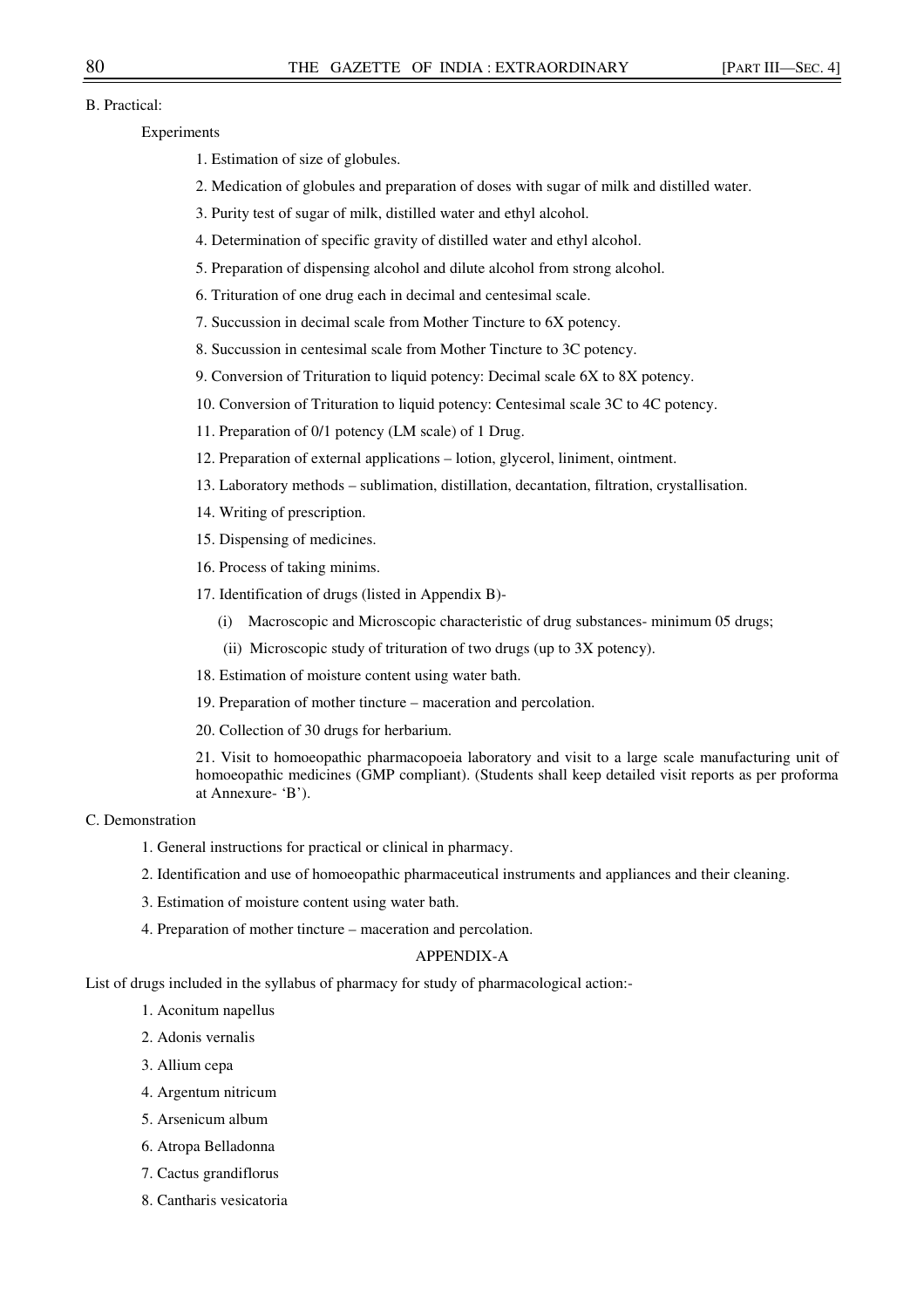## B. Practical:

Experiments

- 1. Estimation of size of globules.
- 2. Medication of globules and preparation of doses with sugar of milk and distilled water.
- 3. Purity test of sugar of milk, distilled water and ethyl alcohol.
- 4. Determination of specific gravity of distilled water and ethyl alcohol.
- 5. Preparation of dispensing alcohol and dilute alcohol from strong alcohol.
- 6. Trituration of one drug each in decimal and centesimal scale.
- 7. Succussion in decimal scale from Mother Tincture to 6X potency.
- 8. Succussion in centesimal scale from Mother Tincture to 3C potency.
- 9. Conversion of Trituration to liquid potency: Decimal scale 6X to 8X potency.
- 10. Conversion of Trituration to liquid potency: Centesimal scale 3C to 4C potency.
- 11. Preparation of 0/1 potency (LM scale) of 1 Drug.
- 12. Preparation of external applications lotion, glycerol, liniment, ointment.
- 13. Laboratory methods sublimation, distillation, decantation, filtration, crystallisation.
- 14. Writing of prescription.
- 15. Dispensing of medicines.
- 16. Process of taking minims.
- 17. Identification of drugs (listed in Appendix B)-
	- (i) Macroscopic and Microscopic characteristic of drug substances- minimum 05 drugs;
	- (ii) Microscopic study of trituration of two drugs (up to 3X potency).
- 18. Estimation of moisture content using water bath.
- 19. Preparation of mother tincture maceration and percolation.
- 20. Collection of 30 drugs for herbarium.

21. Visit to homoeopathic pharmacopoeia laboratory and visit to a large scale manufacturing unit of homoeopathic medicines (GMP compliant). (Students shall keep detailed visit reports as per proforma at Annexure- 'B').

## C. Demonstration

- 1. General instructions for practical or clinical in pharmacy.
- 2. Identification and use of homoeopathic pharmaceutical instruments and appliances and their cleaning.
- 3. Estimation of moisture content using water bath.
- 4. Preparation of mother tincture maceration and percolation.

## APPENDIX-A

List of drugs included in the syllabus of pharmacy for study of pharmacological action:-

- 1. Aconitum napellus
- 2. Adonis vernalis
- 3. Allium cepa
- 4. Argentum nitricum
- 5. Arsenicum album
- 6. Atropa Belladonna
- 7. Cactus grandiflorus
- 8. Cantharis vesicatoria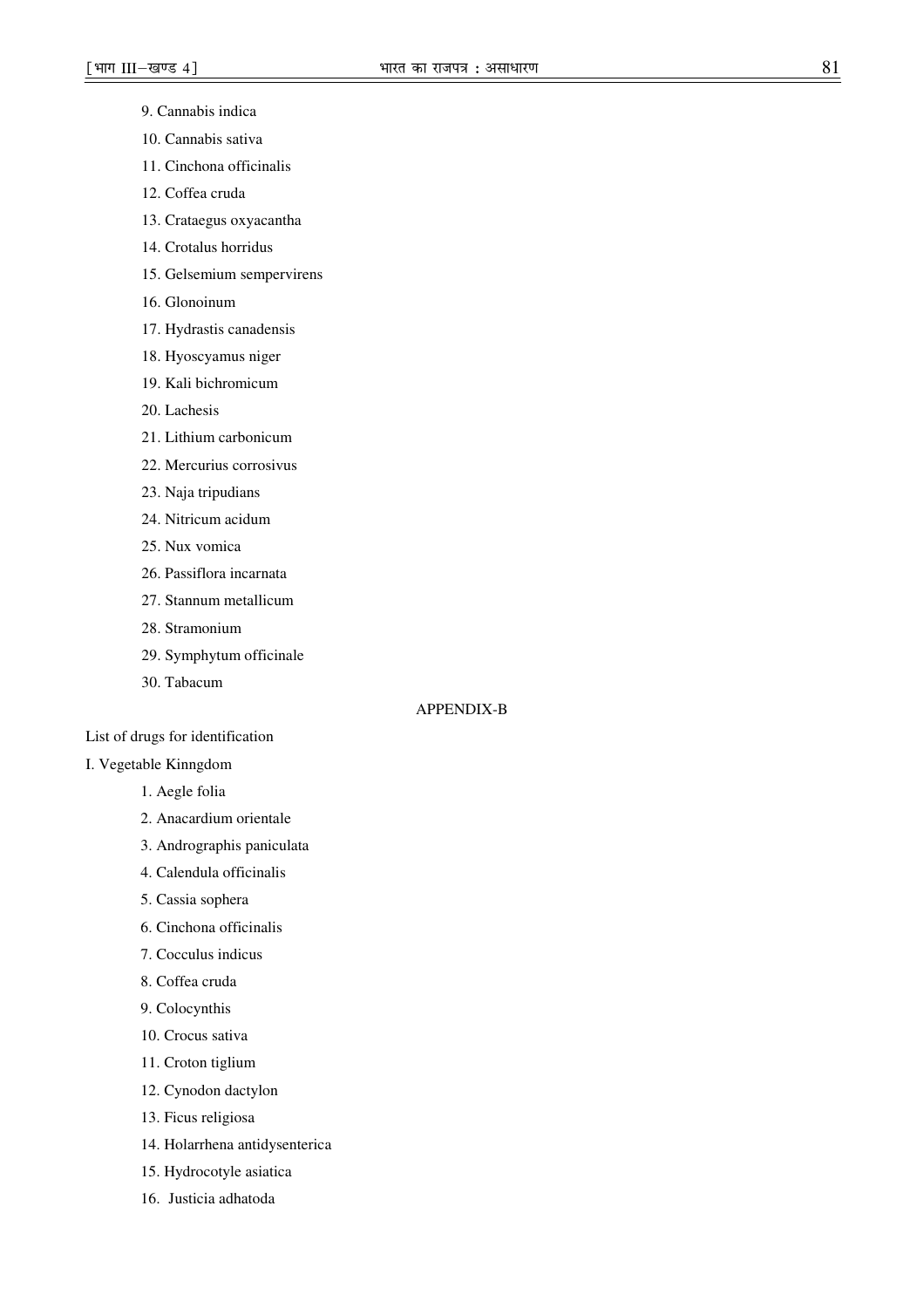- 9. Cannabis indica
- 10. Cannabis sativa
- 11. Cinchona officinalis
- 12. Coffea cruda
- 13. Crataegus oxyacantha
- 14. Crotalus horridus
- 15. Gelsemium sempervirens
- 16. Glonoinum
- 17. Hydrastis canadensis
- 18. Hyoscyamus niger
- 19. Kali bichromicum
- 20. Lachesis
- 21. Lithium carbonicum
- 22. Mercurius corrosivus
- 23. Naja tripudians
- 24. Nitricum acidum
- 25. Nux vomica
- 26. Passiflora incarnata
- 27. Stannum metallicum
- 28. Stramonium
- 29. Symphytum officinale
- 30. Tabacum

## APPENDIX-B

### List of drugs for identification

## I. Vegetable Kinngdom

- 1. Aegle folia
- 2. Anacardium orientale
- 3. Andrographis paniculata
- 4. Calendula officinalis
- 5. Cassia sophera
- 6. Cinchona officinalis
- 7. Cocculus indicus
- 8. Coffea cruda
- 9. Colocynthis
- 10. Crocus sativa
- 11. Croton tiglium
- 12. Cynodon dactylon
- 13. Ficus religiosa
- 14. Holarrhena antidysenterica
- 15. Hydrocotyle asiatica
- 16. Justicia adhatoda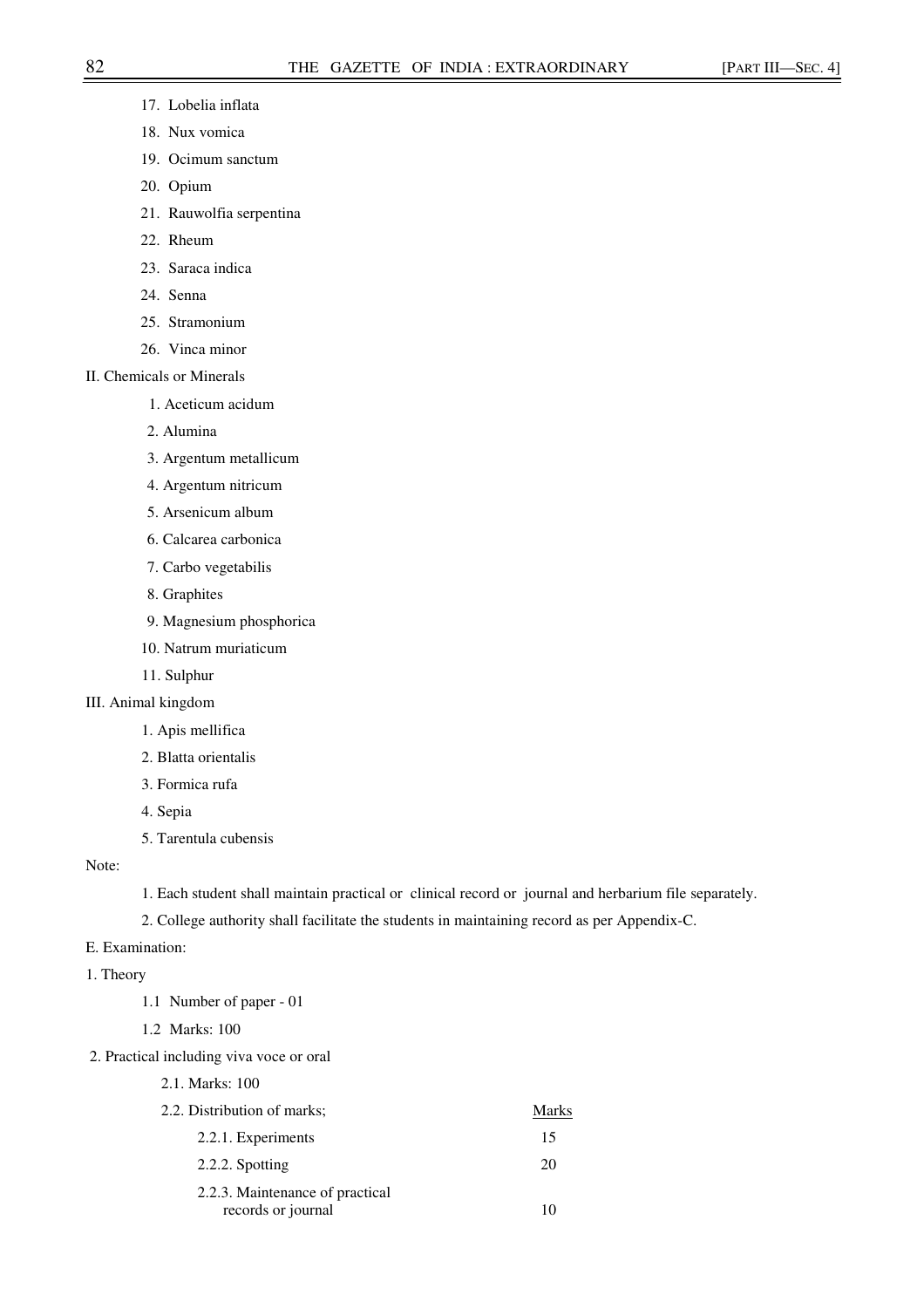- 17. Lobelia inflata
- 18. Nux vomica
- 19. Ocimum sanctum
- 20. Opium
- 21. Rauwolfia serpentina
- 22. Rheum
- 23. Saraca indica
- 24. Senna
- 25. Stramonium
- 26. Vinca minor
- II. Chemicals or Minerals
	- 1. Aceticum acidum
	- 2. Alumina
	- 3. Argentum metallicum
	- 4. Argentum nitricum
	- 5. Arsenicum album
	- 6. Calcarea carbonica
	- 7. Carbo vegetabilis
	- 8. Graphites
	- 9. Magnesium phosphorica
	- 10. Natrum muriaticum
	- 11. Sulphur
- III. Animal kingdom
	- 1. Apis mellifica
	- 2. Blatta orientalis
	- 3. Formica rufa
	- 4. Sepia
	- 5. Tarentula cubensis

Note:

1. Each student shall maintain practical or clinical record or journal and herbarium file separately.

2. College authority shall facilitate the students in maintaining record as per Appendix-C.

- E. Examination:
- 1. Theory
	- 1.1 Number of paper 01
	- 1.2 Marks: 100
- 2. Practical including viva voce or oral
	- 2.1. Marks: 100

| 2.2. Distribution of marks;                           | <b>Marks</b> |
|-------------------------------------------------------|--------------|
| 2.2.1. Experiments                                    | 15           |
| 2.2.2. Spotting                                       | 20           |
| 2.2.3. Maintenance of practical<br>records or journal |              |
|                                                       |              |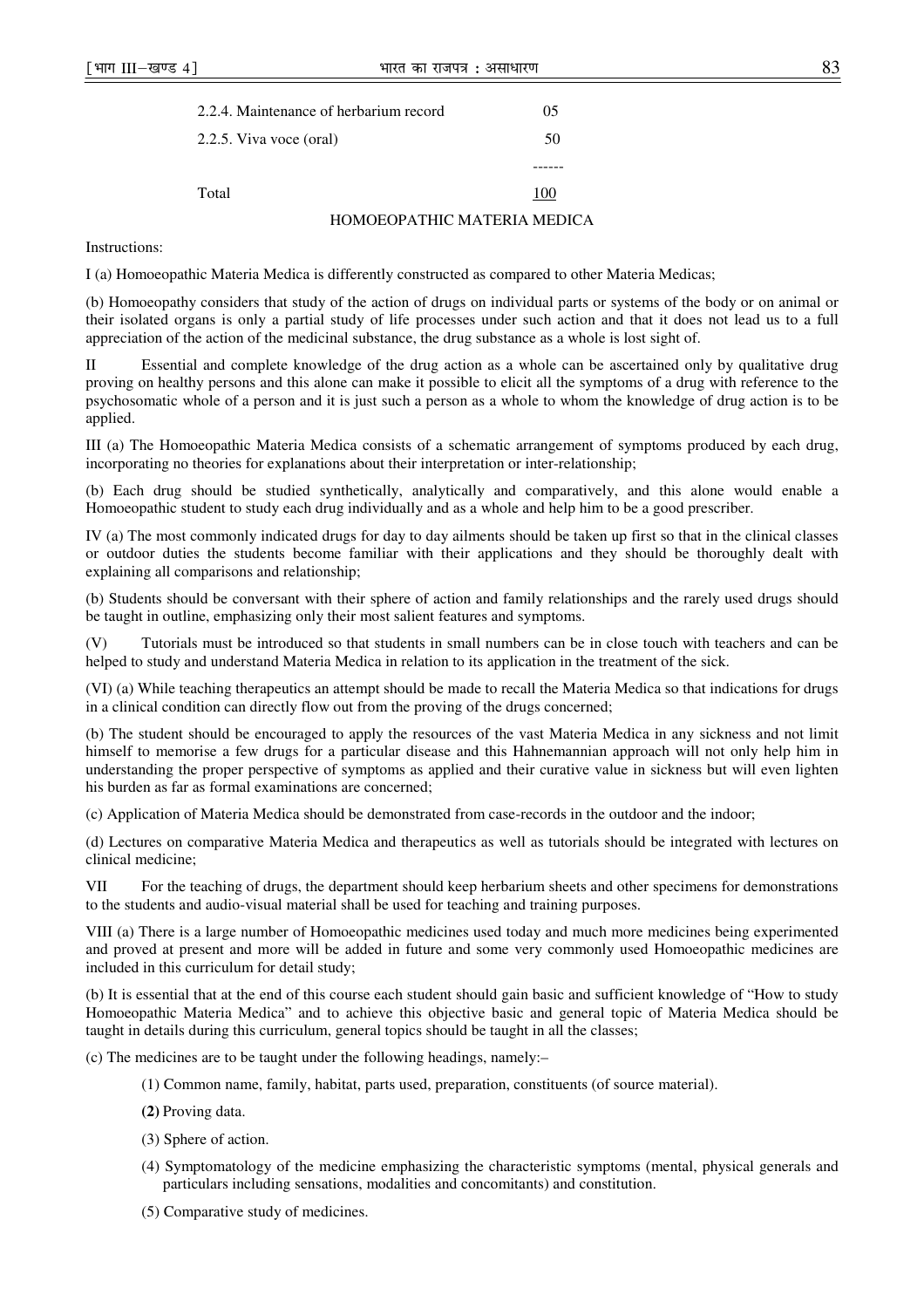|                         | 2.2.4. Maintenance of herbarium record | 05  |
|-------------------------|----------------------------------------|-----|
| 2.2.5. Viva voce (oral) |                                        | 50  |
|                         |                                        |     |
| Total                   |                                        | 100 |
|                         | HOMOEOPATHIC MATERIA MEDICA            |     |

Instructions:

I (a) Homoeopathic Materia Medica is differently constructed as compared to other Materia Medicas;

(b) Homoeopathy considers that study of the action of drugs on individual parts or systems of the body or on animal or their isolated organs is only a partial study of life processes under such action and that it does not lead us to a full appreciation of the action of the medicinal substance, the drug substance as a whole is lost sight of.

II Essential and complete knowledge of the drug action as a whole can be ascertained only by qualitative drug proving on healthy persons and this alone can make it possible to elicit all the symptoms of a drug with reference to the psychosomatic whole of a person and it is just such a person as a whole to whom the knowledge of drug action is to be applied.

III (a) The Homoeopathic Materia Medica consists of a schematic arrangement of symptoms produced by each drug, incorporating no theories for explanations about their interpretation or inter-relationship;

(b) Each drug should be studied synthetically, analytically and comparatively, and this alone would enable a Homoeopathic student to study each drug individually and as a whole and help him to be a good prescriber.

IV (a) The most commonly indicated drugs for day to day ailments should be taken up first so that in the clinical classes or outdoor duties the students become familiar with their applications and they should be thoroughly dealt with explaining all comparisons and relationship;

(b) Students should be conversant with their sphere of action and family relationships and the rarely used drugs should be taught in outline, emphasizing only their most salient features and symptoms.

(V) Tutorials must be introduced so that students in small numbers can be in close touch with teachers and can be helped to study and understand Materia Medica in relation to its application in the treatment of the sick.

(VI) (a) While teaching therapeutics an attempt should be made to recall the Materia Medica so that indications for drugs in a clinical condition can directly flow out from the proving of the drugs concerned;

(b) The student should be encouraged to apply the resources of the vast Materia Medica in any sickness and not limit himself to memorise a few drugs for a particular disease and this Hahnemannian approach will not only help him in understanding the proper perspective of symptoms as applied and their curative value in sickness but will even lighten his burden as far as formal examinations are concerned;

(c) Application of Materia Medica should be demonstrated from case-records in the outdoor and the indoor;

(d) Lectures on comparative Materia Medica and therapeutics as well as tutorials should be integrated with lectures on clinical medicine;

VII For the teaching of drugs, the department should keep herbarium sheets and other specimens for demonstrations to the students and audio-visual material shall be used for teaching and training purposes.

VIII (a) There is a large number of Homoeopathic medicines used today and much more medicines being experimented and proved at present and more will be added in future and some very commonly used Homoeopathic medicines are included in this curriculum for detail study;

(b) It is essential that at the end of this course each student should gain basic and sufficient knowledge of "How to study Homoeopathic Materia Medica" and to achieve this objective basic and general topic of Materia Medica should be taught in details during this curriculum, general topics should be taught in all the classes;

(c) The medicines are to be taught under the following headings, namely:–

- (1) Common name, family, habitat, parts used, preparation, constituents (of source material).
- **(2)** Proving data.
- (3) Sphere of action.
- (4) Symptomatology of the medicine emphasizing the characteristic symptoms (mental, physical generals and particulars including sensations, modalities and concomitants) and constitution.
- (5) Comparative study of medicines.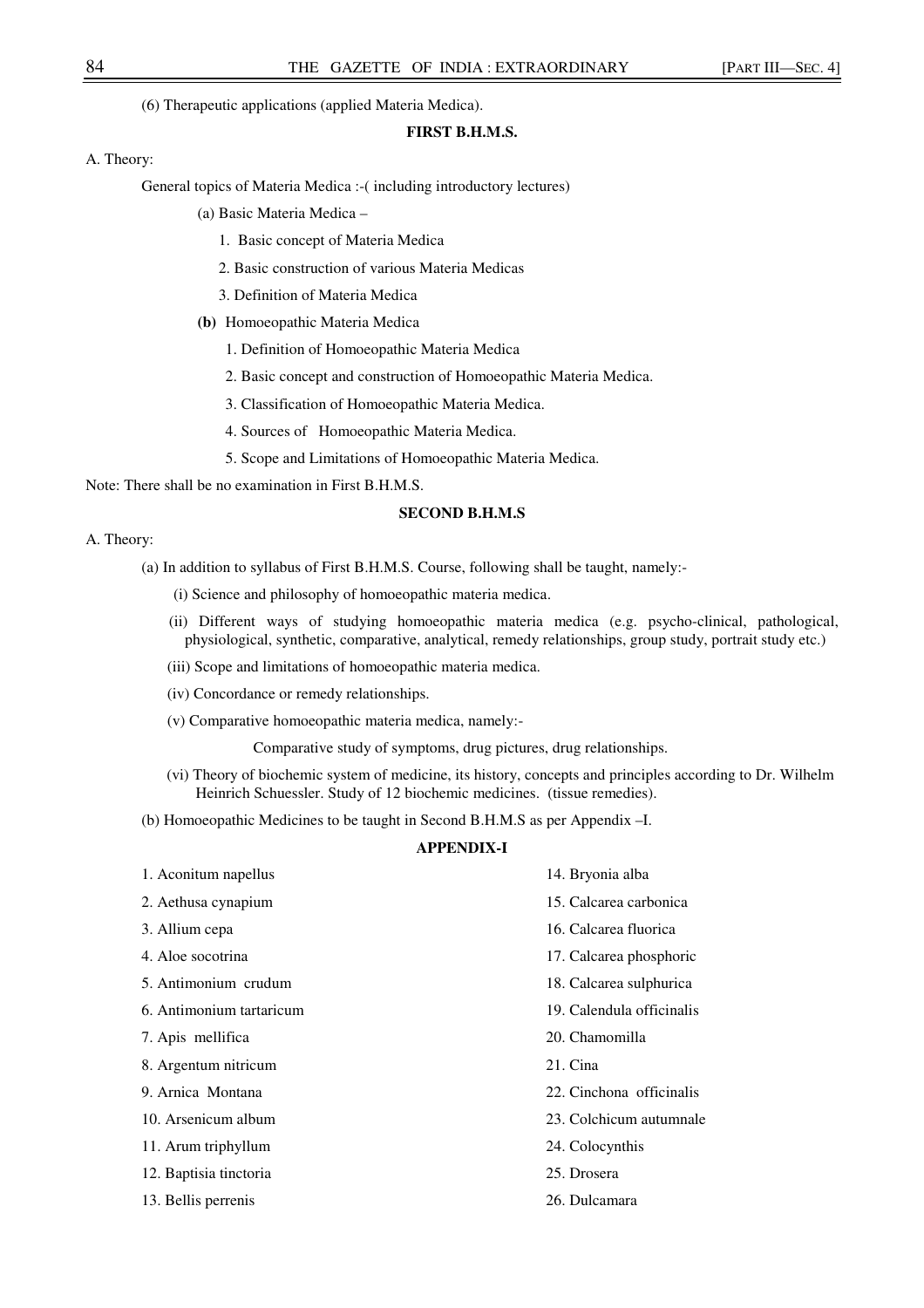(6) Therapeutic applications (applied Materia Medica).

## **FIRST B.H.M.S.**

### A. Theory:

General topics of Materia Medica :-( including introductory lectures)

- (a) Basic Materia Medica
	- 1. Basic concept of Materia Medica
	- 2. Basic construction of various Materia Medicas
	- 3. Definition of Materia Medica
- **(b)** Homoeopathic Materia Medica
	- 1. Definition of Homoeopathic Materia Medica
	- 2. Basic concept and construction of Homoeopathic Materia Medica.
	- 3. Classification of Homoeopathic Materia Medica.
	- 4. Sources of Homoeopathic Materia Medica.
	- 5. Scope and Limitations of Homoeopathic Materia Medica.

Note: There shall be no examination in First B.H.M.S.

## **SECOND B.H.M.S**

### A. Theory:

- (a) In addition to syllabus of First B.H.M.S. Course, following shall be taught, namely:-
	- (i) Science and philosophy of homoeopathic materia medica.
	- (ii) Different ways of studying homoeopathic materia medica (e.g. psycho-clinical, pathological, physiological, synthetic, comparative, analytical, remedy relationships, group study, portrait study etc.)
	- (iii) Scope and limitations of homoeopathic materia medica.
	- (iv) Concordance or remedy relationships.
	- (v) Comparative homoeopathic materia medica, namely:-

Comparative study of symptoms, drug pictures, drug relationships.

 (vi) Theory of biochemic system of medicine, its history, concepts and principles according to Dr. Wilhelm Heinrich Schuessler. Study of 12 biochemic medicines. (tissue remedies).

(b) Homoeopathic Medicines to be taught in Second B.H.M.S as per Appendix –I.

## **APPENDIX-I**

| 1. Aconitum napellus     | 14. Bryonia alba          |
|--------------------------|---------------------------|
| 2. Aethusa cynapium      | 15. Calcarea carbonica    |
| 3. Allium cepa           | 16. Calcarea fluorica     |
| 4. Aloe socotrina        | 17. Calcarea phosphoric   |
| 5. Antimonium crudum     | 18. Calcarea sulphurica   |
| 6. Antimonium tartaricum | 19. Calendula officinalis |
| 7. Apis mellifica        | 20. Chamomilla            |
| 8. Argentum nitricum     | 21. Cina                  |
| 9. Arnica Montana        | 22. Cinchona officinalis  |
| 10. Arsenicum album      | 23. Colchicum autumnale   |
| 11. Arum triphyllum      | 24. Colocynthis           |
| 12. Baptisia tinctoria   | 25. Drosera               |
| 13. Bellis perrenis      | 26. Dulcamara             |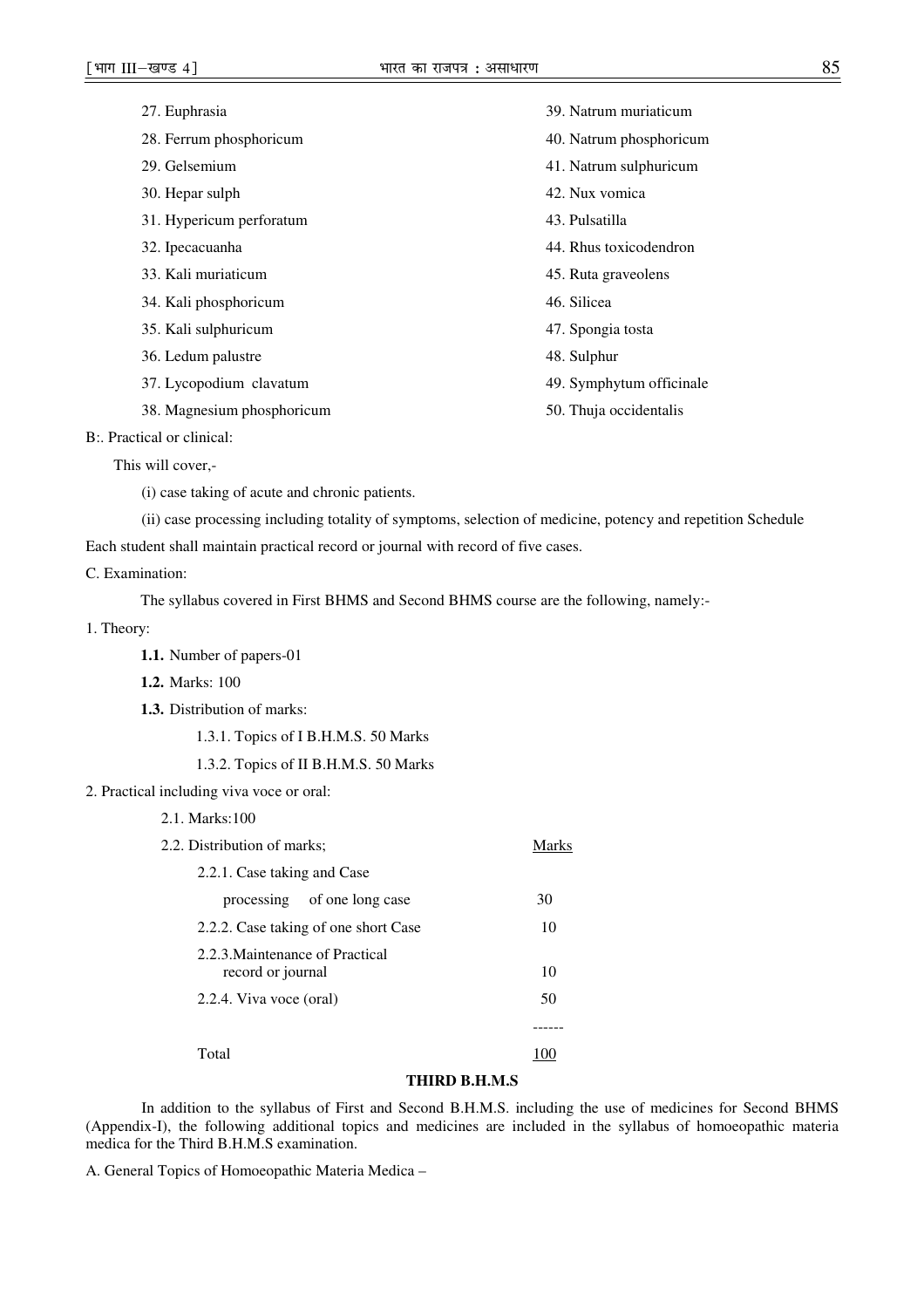| 27. Euphrasia              | 39. Natrum muriaticum    |
|----------------------------|--------------------------|
| 28. Ferrum phosphoricum    | 40. Natrum phosphoricum  |
| 29. Gelsemium              | 41. Natrum sulphuricum   |
| 30. Hepar sulph            | 42. Nux vomica           |
| 31. Hypericum perforatum   | 43. Pulsatilla           |
| 32. Ipecacuanha            | 44. Rhus toxicodendron   |
| 33. Kali muriaticum        | 45. Ruta graveolens      |
| 34. Kali phosphoricum      | 46. Silicea              |
| 35. Kali sulphuricum       | 47. Spongia tosta        |
| 36. Ledum palustre         | 48. Sulphur              |
| 37. Lycopodium clavatum    | 49. Symphytum officinale |
| 38. Magnesium phosphoricum | 50. Thuja occidentalis   |
|                            |                          |

B:. Practical or clinical:

This will cover,-

(i) case taking of acute and chronic patients.

(ii) case processing including totality of symptoms, selection of medicine, potency and repetition Schedule

Each student shall maintain practical record or journal with record of five cases.

## C. Examination:

The syllabus covered in First BHMS and Second BHMS course are the following, namely:-

- 1. Theory:
	- **1.1.** Number of papers-01
	- **1.2.** Marks: 100
	- **1.3.** Distribution of marks:
		- 1.3.1. Topics of I B.H.M.S. 50 Marks
		- 1.3.2. Topics of II B.H.M.S. 50 Marks
- 2. Practical including viva voce or oral:

## 2.1. Marks:100

| 2.2. Distribution of marks;                          | Marks |
|------------------------------------------------------|-------|
| 2.2.1. Case taking and Case                          |       |
| processing of one long case                          | 30    |
| 2.2.2. Case taking of one short Case                 | 10    |
| 2.2.3. Maintenance of Practical<br>record or journal | 10    |
| 2.2.4. Viva voce (oral)                              | 50    |
|                                                      |       |
| Total                                                |       |

## **THIRD B.H.M.S**

In addition to the syllabus of First and Second B.H.M.S. including the use of medicines for Second BHMS (Appendix-I), the following additional topics and medicines are included in the syllabus of homoeopathic materia medica for the Third B.H.M.S examination.

A. General Topics of Homoeopathic Materia Medica –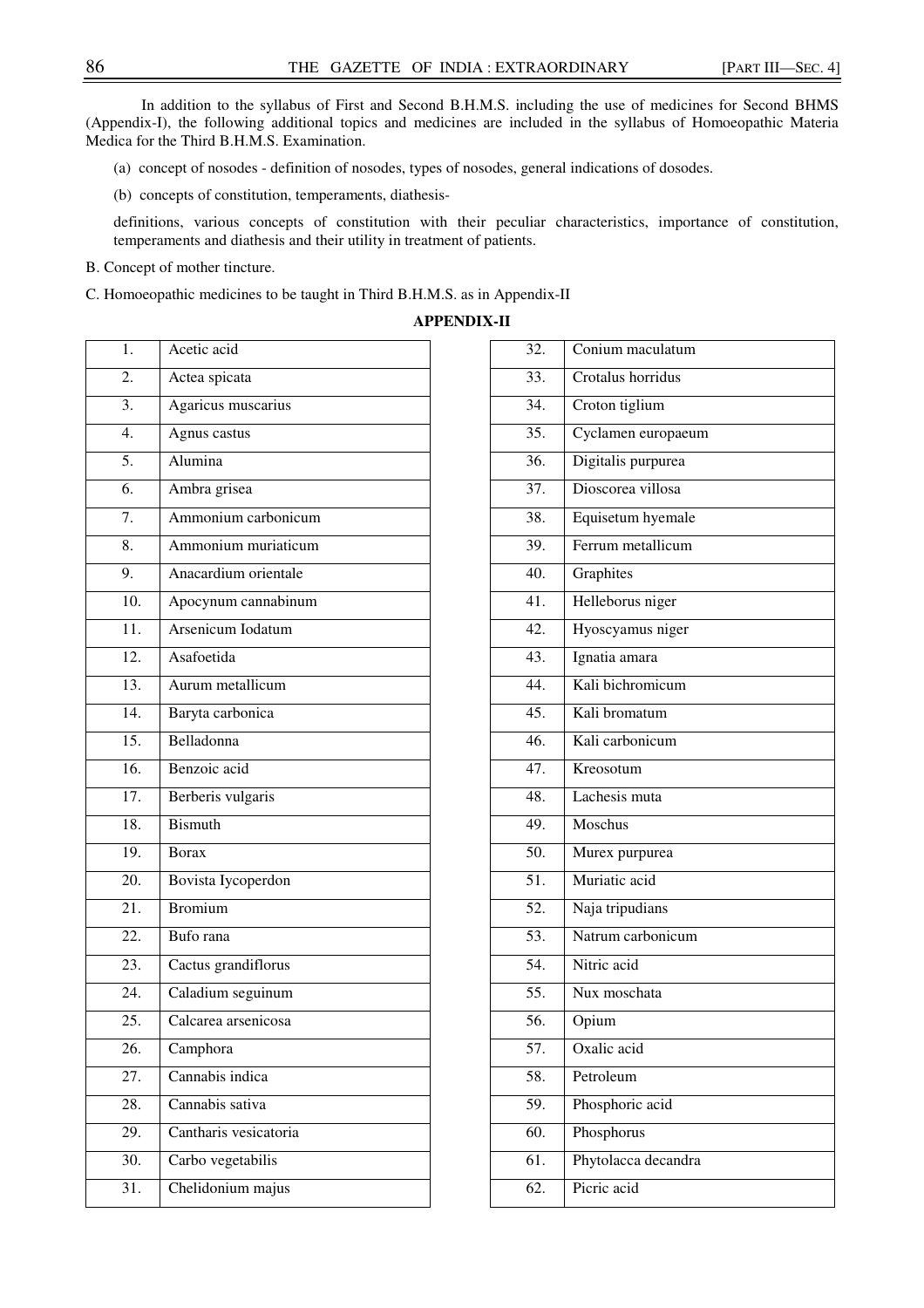In addition to the syllabus of First and Second B.H.M.S. including the use of medicines for Second BHMS (Appendix-I), the following additional topics and medicines are included in the syllabus of Homoeopathic Materia Medica for the Third B.H.M.S. Examination.

- (a) concept of nosodes definition of nosodes, types of nosodes, general indications of dosodes.
- (b) concepts of constitution, temperaments, diathesis-

definitions, various concepts of constitution with their peculiar characteristics, importance of constitution, temperaments and diathesis and their utility in treatment of patients.

B. Concept of mother tincture.

C. Homoeopathic medicines to be taught in Third B.H.M.S. as in Appendix-II

**APPENDIX-II** 

| 1.                | Acetic acid           |
|-------------------|-----------------------|
| $\overline{2}$ .  | Actea spicata         |
| 3.                | Agaricus muscarius    |
| $\overline{4}$ .  | Agnus castus          |
| 5.                | Alumina               |
| 6.                | Ambra grisea          |
| 7.                | Ammonium carbonicum   |
| 8.                | Ammonium muriaticum   |
| 9.                | Anacardium orientale  |
| $\overline{10}$ . | Apocynum cannabinum   |
| $\overline{11}$ . | Arsenicum Iodatum     |
| $\overline{12}$ . | Asafoetida            |
| 13.               | Aurum metallicum      |
| 14.               | Baryta carbonica      |
| $\overline{15}$ . | Belladonna            |
| 16.               | Benzoic acid          |
| 17.               | Berberis vulgaris     |
| 18.               | <b>Bismuth</b>        |
| 19.               | <b>Borax</b>          |
| $\overline{20}$ . | Bovista Iycoperdon    |
| 21.               | Bromium               |
| $\overline{22}$ . | Bufo rana             |
| $\overline{23}$ . | Cactus grandiflorus   |
| 24.               | Caladium seguinum     |
| $\overline{25}$ . | Calcarea arsenicosa   |
| 26.               | Camphora              |
| 27.               | Cannabis indica       |
| 28.               | Cannabis sativa       |
| 29.               | Cantharis vesicatoria |
| 30.               | Carbo vegetabilis     |
| $\overline{31}$ . | Chelidonium majus     |

| 32. | Conium maculatum    |
|-----|---------------------|
| 33. | Crotalus horridus   |
| 34. | Croton tiglium      |
| 35. | Cyclamen europaeum  |
| 36. | Digitalis purpurea  |
| 37. | Dioscorea villosa   |
| 38. | Equisetum hyemale   |
| 39. | Ferrum metallicum   |
| 40. | Graphites           |
| 41. | Helleborus niger    |
| 42. | Hyoscyamus niger    |
| 43. | Ignatia amara       |
| 44. | Kali bichromicum    |
| 45. | Kali bromatum       |
| 46. | Kali carbonicum     |
| 47. | Kreosotum           |
| 48. | Lachesis muta       |
| 49. | Moschus             |
| 50. | Murex purpurea      |
| 51. | Muriatic acid       |
| 52. | Naja tripudians     |
| 53. | Natrum carbonicum   |
| 54. | Nitric acid         |
| 55. | Nux moschata        |
| 56. | Opium               |
| 57. | Oxalic acid         |
| 58. | Petroleum           |
| 59. | Phosphoric acid     |
| 60. | Phosphorus          |
| 61. | Phytolacca decandra |
| 62. | Picric acid         |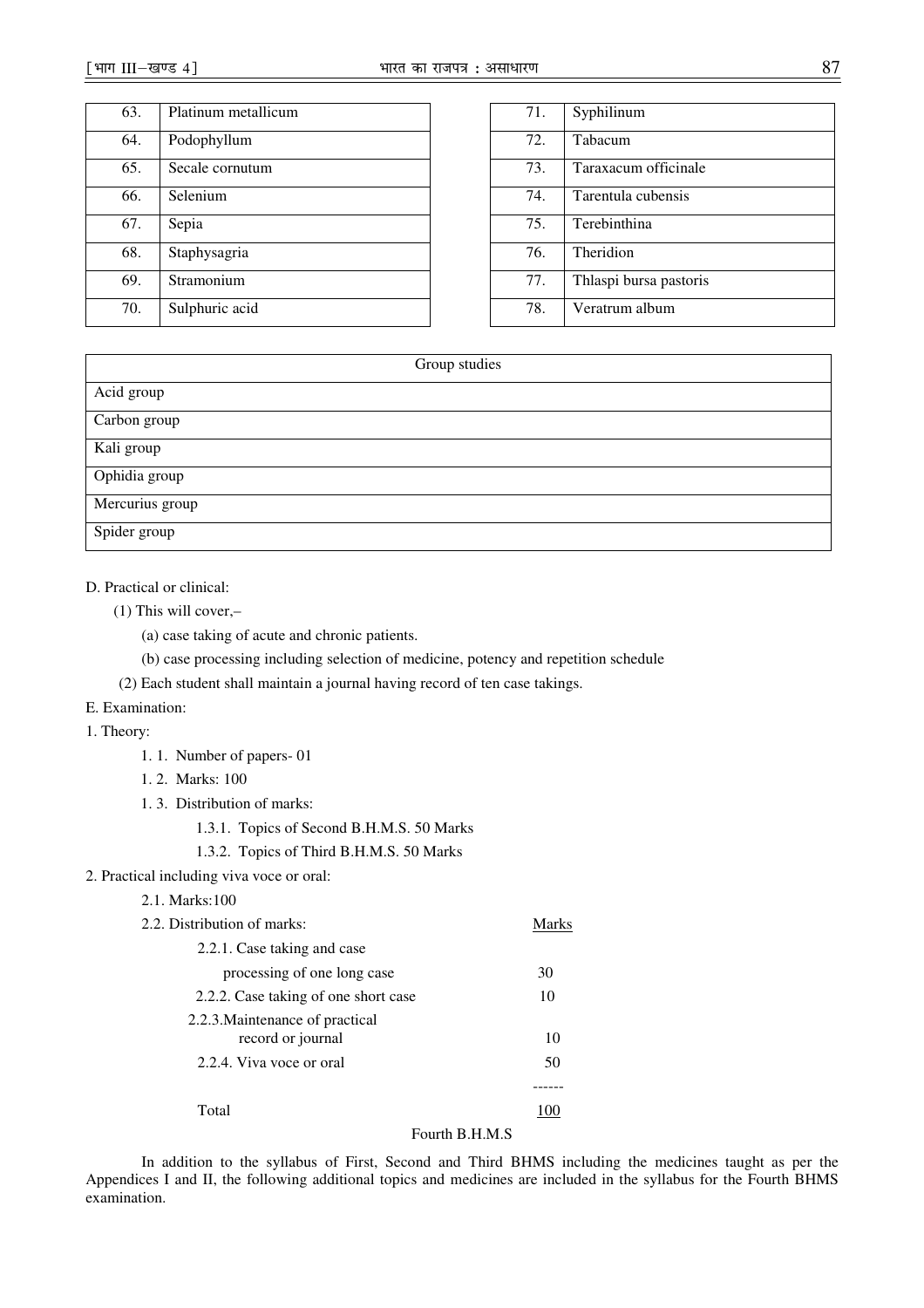| 63. | Platinum metallicum |
|-----|---------------------|
| 64. | Podophyllum         |
| 65. | Secale cornutum     |
| 66. | Selenium            |
| 67. | Sepia               |
| 68. | Staphysagria        |
| 69. | Stramonium          |
| 70. | Sulphuric acid      |

| 71. | Syphilinum             |
|-----|------------------------|
| 72. | Tabacum                |
| 73. | Taraxacum officinale   |
| 74. | Tarentula cubensis     |
| 75. | Terebinthina           |
| 76. | Theridion              |
| 77. | Thlaspi bursa pastoris |
| 78. | Veratrum album         |

| Group studies   |  |  |
|-----------------|--|--|
| Acid group      |  |  |
| Carbon group    |  |  |
| Kali group      |  |  |
| Ophidia group   |  |  |
| Mercurius group |  |  |
| Spider group    |  |  |

## D. Practical or clinical:

(1) This will cover,–

(a) case taking of acute and chronic patients.

(b) case processing including selection of medicine, potency and repetition schedule

- (2) Each student shall maintain a journal having record of ten case takings.
- E. Examination:

### 1. Theory:

- 1. 1. Number of papers- 01
- 1. 2. Marks: 100
- 1. 3. Distribution of marks:

1.3.1. Topics of Second B.H.M.S. 50 Marks

1.3.2. Topics of Third B.H.M.S. 50 Marks

## 2. Practical including viva voce or oral:

2.1. Marks:100

| 2.2. Distribution of marks:                          | Marks |
|------------------------------------------------------|-------|
| 2.2.1. Case taking and case                          |       |
| processing of one long case                          | 30    |
| 2.2.2. Case taking of one short case                 | 10    |
| 2.2.3. Maintenance of practical<br>record or journal | 10    |
| 2.2.4. Viva voce or oral                             | 50    |
|                                                      |       |
| Total                                                |       |

# Fourth B.H.M.S

In addition to the syllabus of First, Second and Third BHMS including the medicines taught as per the Appendices I and II, the following additional topics and medicines are included in the syllabus for the Fourth BHMS examination.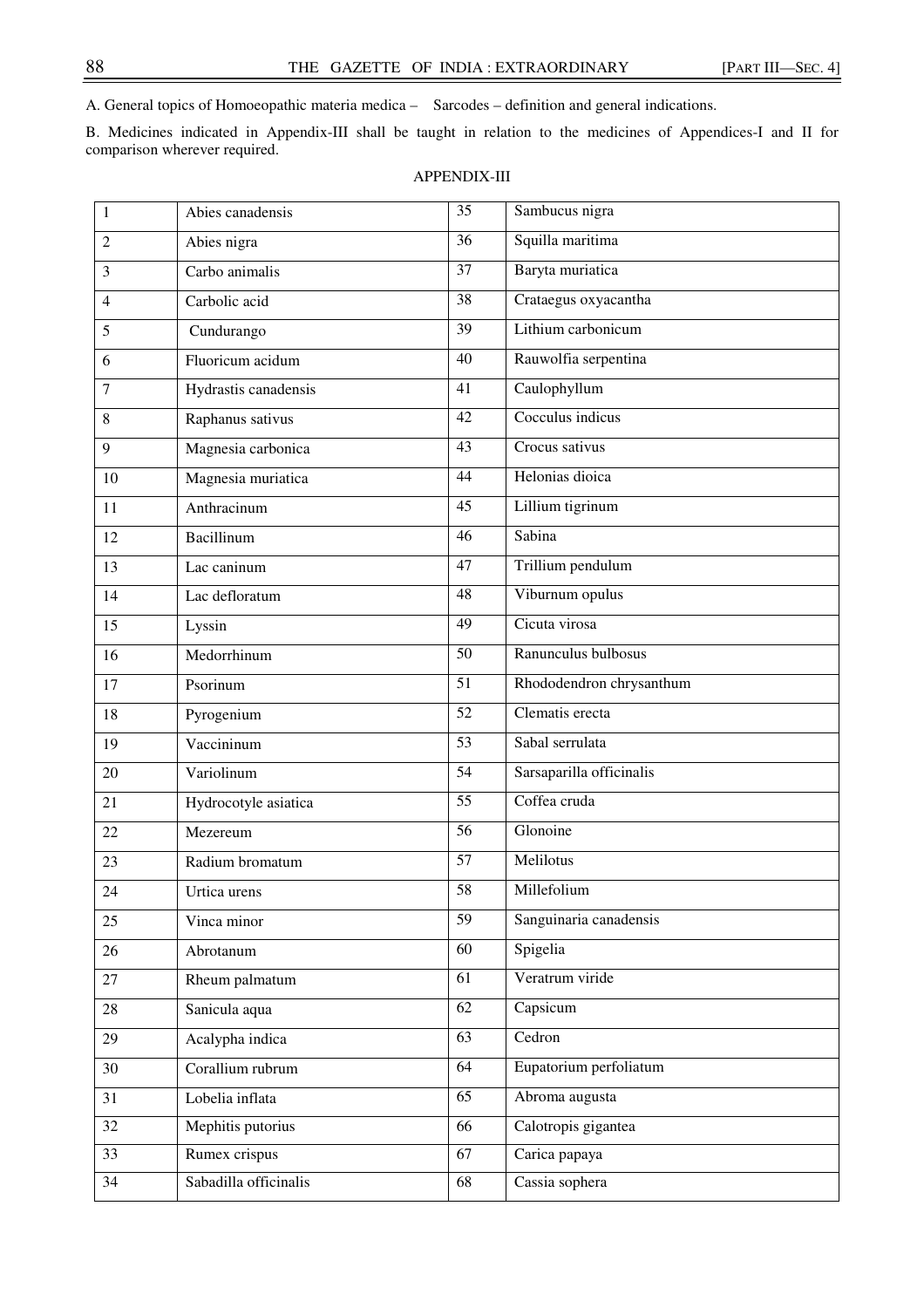A. General topics of Homoeopathic materia medica – Sarcodes – definition and general indications.

B. Medicines indicated in Appendix-III shall be taught in relation to the medicines of Appendices-I and II for comparison wherever required.

## APPENDIX-III

| 1              | Abies canadensis      | $\overline{35}$ | Sambucus nigra           |
|----------------|-----------------------|-----------------|--------------------------|
| $\overline{c}$ | Abies nigra           | 36              | Squilla maritima         |
| 3              | Carbo animalis        | 37              | Baryta muriatica         |
| 4              | Carbolic acid         | $\overline{38}$ | Crataegus oxyacantha     |
| 5              | Cundurango            | 39              | Lithium carbonicum       |
| 6              | Fluoricum acidum      | 40              | Rauwolfia serpentina     |
| 7              | Hydrastis canadensis  | $\overline{41}$ | Caulophyllum             |
| 8              | Raphanus sativus      | 42              | Cocculus indicus         |
| 9              | Magnesia carbonica    | 43              | Crocus sativus           |
| 10             | Magnesia muriatica    | $\overline{44}$ | Helonias dioica          |
| 11             | Anthracinum           | 45              | Lillium tigrinum         |
| 12             | <b>Bacillinum</b>     | 46              | Sabina                   |
| 13             | Lac caninum           | 47              | Trillium pendulum        |
| 14             | Lac defloratum        | 48              | Viburnum opulus          |
| 15             | Lyssin                | 49              | Cicuta virosa            |
| 16             | Medorrhinum           | 50              | Ranunculus bulbosus      |
| 17             | Psorinum              | 51              | Rhododendron chrysanthum |
| 18             | Pyrogenium            | $\overline{52}$ | Clematis erecta          |
| 19             | Vaccininum            | $\overline{53}$ | Sabal serrulata          |
| 20             | Variolinum            | $\overline{54}$ | Sarsaparilla officinalis |
| 21             | Hydrocotyle asiatica  | 55              | Coffea cruda             |
| 22             | Mezereum              | 56              | Glonoine                 |
| 23             | Radium bromatum       | $\overline{57}$ | Melilotus                |
| 24             | Urtica urens          | 58              | Millefolium              |
| 25             | Vinca minor           | 59              | Sanguinaria canadensis   |
| 26             | Abrotanum             | 60              | Spigelia                 |
| 27             | Rheum palmatum        | 61              | Veratrum viride          |
| 28             | Sanicula aqua         | 62              | Capsicum                 |
| 29             | Acalypha indica       | $\overline{63}$ | Cedron                   |
| 30             | Corallium rubrum      | 64              | Eupatorium perfoliatum   |
| 31             | Lobelia inflata       | 65              | Abroma augusta           |
| 32             | Mephitis putorius     | 66              | Calotropis gigantea      |
| 33             | Rumex crispus         | 67              | Carica papaya            |
| 34             | Sabadilla officinalis | 68              | Cassia sophera           |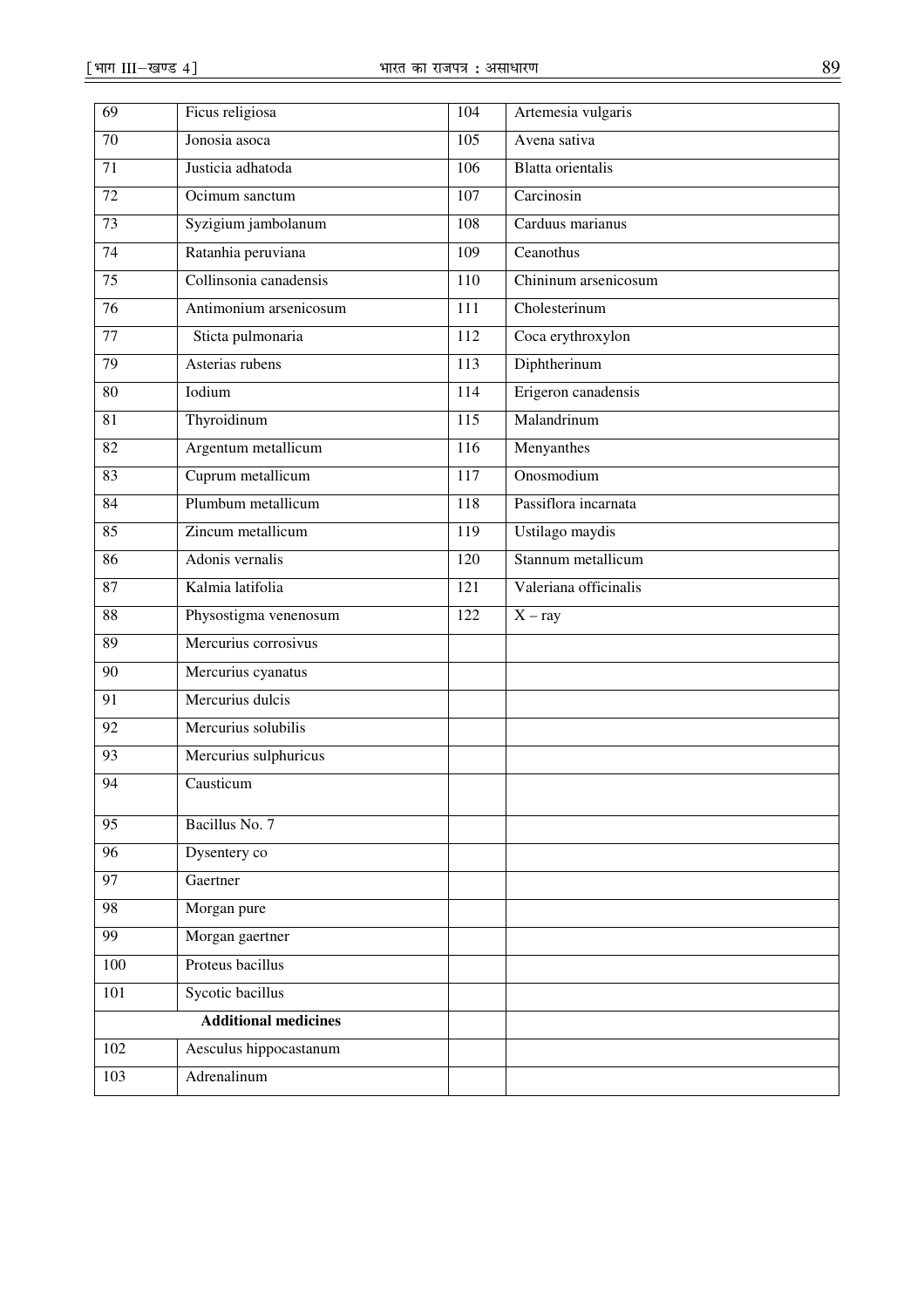| 69              | Ficus religiosa             | 104              | Artemesia vulgaris       |
|-----------------|-----------------------------|------------------|--------------------------|
| 70              | Jonosia asoca               | 105              | Avena sativa             |
| 71              | Justicia adhatoda           | 106              | <b>Blatta</b> orientalis |
| 72              | Ocimum sanctum              | 107              | Carcinosin               |
| 73              | Syzigium jambolanum         | 108              | Carduus marianus         |
| $\overline{74}$ | Ratanhia peruviana          | 109              | Ceanothus                |
| 75              | Collinsonia canadensis      | 110              | Chininum arsenicosum     |
| $\overline{76}$ | Antimonium arsenicosum      | 111              | Cholesterinum            |
| 77              | Sticta pulmonaria           | 112              | Coca erythroxylon        |
| 79              | Asterias rubens             | 113              | Diphtherinum             |
| 80              | Iodium                      | 114              | Erigeron canadensis      |
| 81              | Thyroidinum                 | 115              | Malandrinum              |
| 82              | Argentum metallicum         | 116              | Menyanthes               |
| 83              | Cuprum metallicum           | 117              | Onosmodium               |
| 84              | Plumbum metallicum          | 118              | Passiflora incarnata     |
| 85              | Zincum metallicum           | 119              | Ustilago maydis          |
| 86              | Adonis vernalis             | $\overline{120}$ | Stannum metallicum       |
| 87              | Kalmia latifolia            | 121              | Valeriana officinalis    |
| 88              | Physostigma venenosum       | 122              | $X - ray$                |
| 89              | Mercurius corrosivus        |                  |                          |
| 90              | Mercurius cyanatus          |                  |                          |
| 91              | Mercurius dulcis            |                  |                          |
| 92              | Mercurius solubilis         |                  |                          |
| 93              | Mercurius sulphuricus       |                  |                          |
| 94              | Causticum                   |                  |                          |
| 95              | Bacillus No. 7              |                  |                          |
| 96              | Dysentery co                |                  |                          |
| 97              | Gaertner                    |                  |                          |
| 98              | Morgan pure                 |                  |                          |
| 99              | Morgan gaertner             |                  |                          |
| 100             | Proteus bacillus            |                  |                          |
| 101             | Sycotic bacillus            |                  |                          |
|                 | <b>Additional medicines</b> |                  |                          |
| 102             | Aesculus hippocastanum      |                  |                          |
| 103             | Adrenalinum                 |                  |                          |
|                 |                             |                  |                          |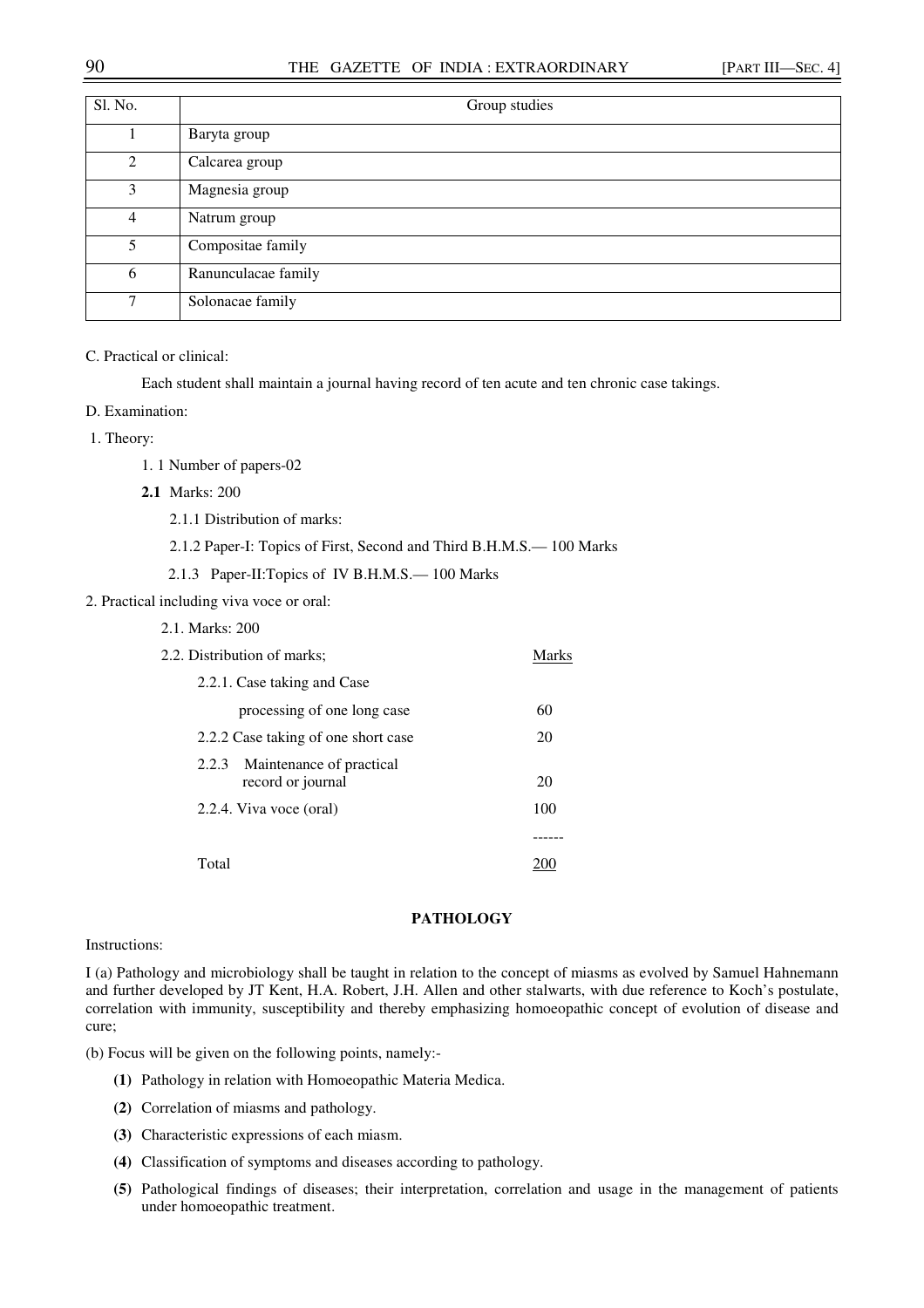## 90 THE GAZETTE OF INDIA : EXTRAORDINARY [PART III—SEC. 4]

| Sl. No.        | Group studies       |
|----------------|---------------------|
|                | Baryta group        |
| $\mathfrak{D}$ | Calcarea group      |
| 3              | Magnesia group      |
| 4              | Natrum group        |
| 5              | Compositae family   |
| 6              | Ranunculacae family |
| $\tau$         | Solonacae family    |

## C. Practical or clinical:

Each student shall maintain a journal having record of ten acute and ten chronic case takings.

#### D. Examination:

1. Theory:

- 1. 1 Number of papers-02
- **2.1** Marks: 200

2.1.1 Distribution of marks:

2.1.2 Paper-I: Topics of First, Second and Third B.H.M.S.— 100 Marks

2.1.3 Paper-II:Topics of IV B.H.M.S.— 100 Marks

### 2. Practical including viva voce or oral:

|  | 2.1. Marks: 200 |  |
|--|-----------------|--|
|  |                 |  |

| 2.2. Distribution of marks;                            |     |  |
|--------------------------------------------------------|-----|--|
| 2.2.1. Case taking and Case                            |     |  |
| processing of one long case                            | 60  |  |
| 2.2.2 Case taking of one short case                    |     |  |
| Maintenance of practical<br>2.2.3<br>record or journal | 20  |  |
| 2.2.4. Viva voce (oral)                                | 100 |  |
|                                                        |     |  |
| Total                                                  |     |  |

### **PATHOLOGY**

#### Instructions:

I (a) Pathology and microbiology shall be taught in relation to the concept of miasms as evolved by Samuel Hahnemann and further developed by JT Kent, H.A. Robert, J.H. Allen and other stalwarts, with due reference to Koch's postulate, correlation with immunity, susceptibility and thereby emphasizing homoeopathic concept of evolution of disease and cure;

(b) Focus will be given on the following points, namely:-

- **(1)** Pathology in relation with Homoeopathic Materia Medica.
- **(2)** Correlation of miasms and pathology.
- **(3)** Characteristic expressions of each miasm.
- **(4)** Classification of symptoms and diseases according to pathology.
- **(5)** Pathological findings of diseases; their interpretation, correlation and usage in the management of patients under homoeopathic treatment.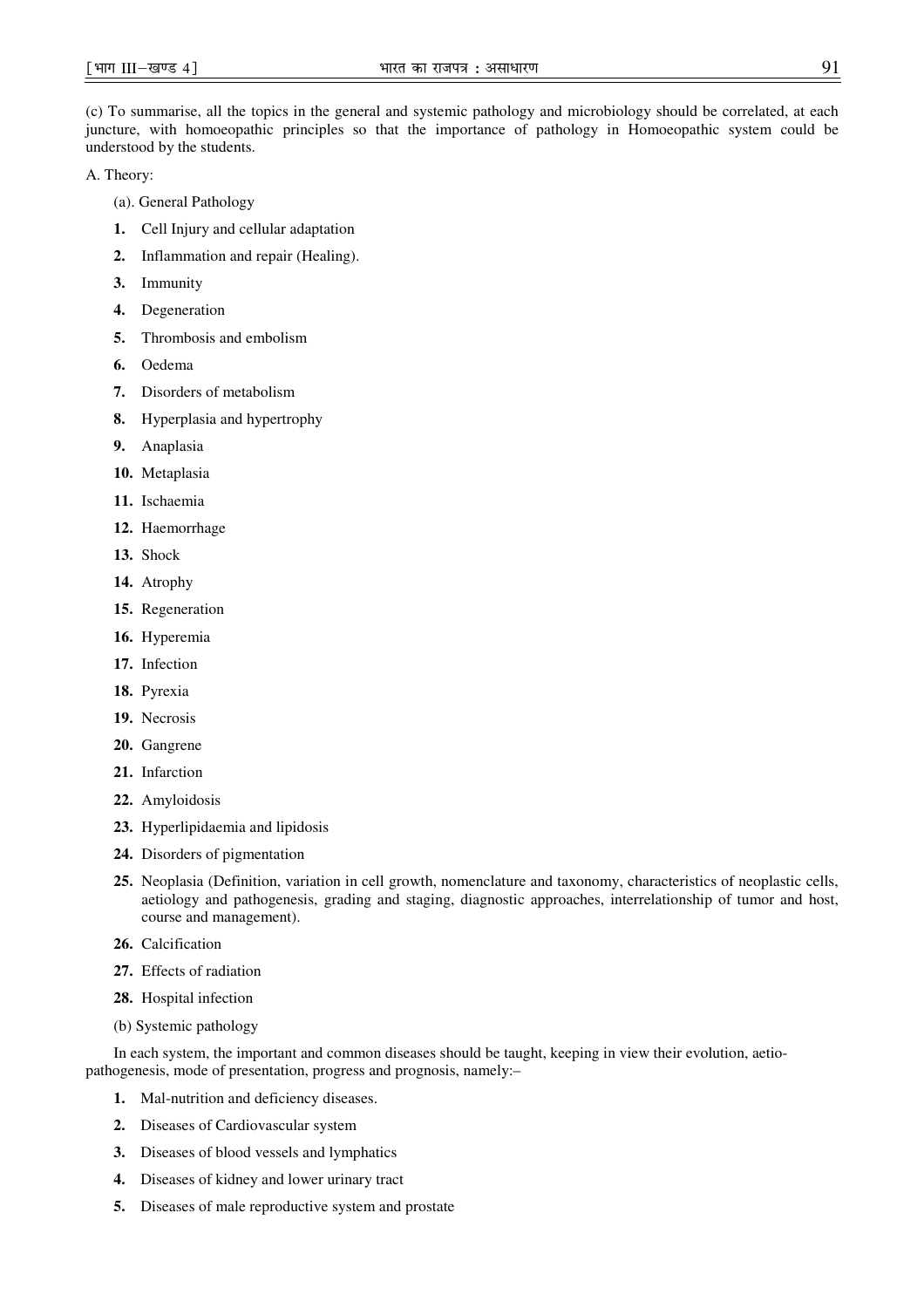(c) To summarise, all the topics in the general and systemic pathology and microbiology should be correlated, at each juncture, with homoeopathic principles so that the importance of pathology in Homoeopathic system could be understood by the students.

A. Theory:

- (a). General Pathology
- **1.** Cell Injury and cellular adaptation
- **2.** Inflammation and repair (Healing).
- **3.** Immunity
- **4.** Degeneration
- **5.** Thrombosis and embolism
- **6.** Oedema
- **7.** Disorders of metabolism
- **8.** Hyperplasia and hypertrophy
- **9.** Anaplasia
- **10.** Metaplasia
- **11.** Ischaemia
- **12.** Haemorrhage
- **13.** Shock
- **14.** Atrophy
- **15.** Regeneration
- **16.** Hyperemia
- **17.** Infection
- **18.** Pyrexia
- **19.** Necrosis
- **20.** Gangrene
- **21.** Infarction
- **22.** Amyloidosis
- **23.** Hyperlipidaemia and lipidosis
- **24.** Disorders of pigmentation
- **25.** Neoplasia (Definition, variation in cell growth, nomenclature and taxonomy, characteristics of neoplastic cells, aetiology and pathogenesis, grading and staging, diagnostic approaches, interrelationship of tumor and host, course and management).
- **26.** Calcification
- **27.** Effects of radiation
- **28.** Hospital infection
- (b) Systemic pathology

In each system, the important and common diseases should be taught, keeping in view their evolution, aetiopathogenesis, mode of presentation, progress and prognosis, namely:–

- **1.** Mal-nutrition and deficiency diseases.
- **2.** Diseases of Cardiovascular system
- **3.** Diseases of blood vessels and lymphatics
- **4.** Diseases of kidney and lower urinary tract
- **5.** Diseases of male reproductive system and prostate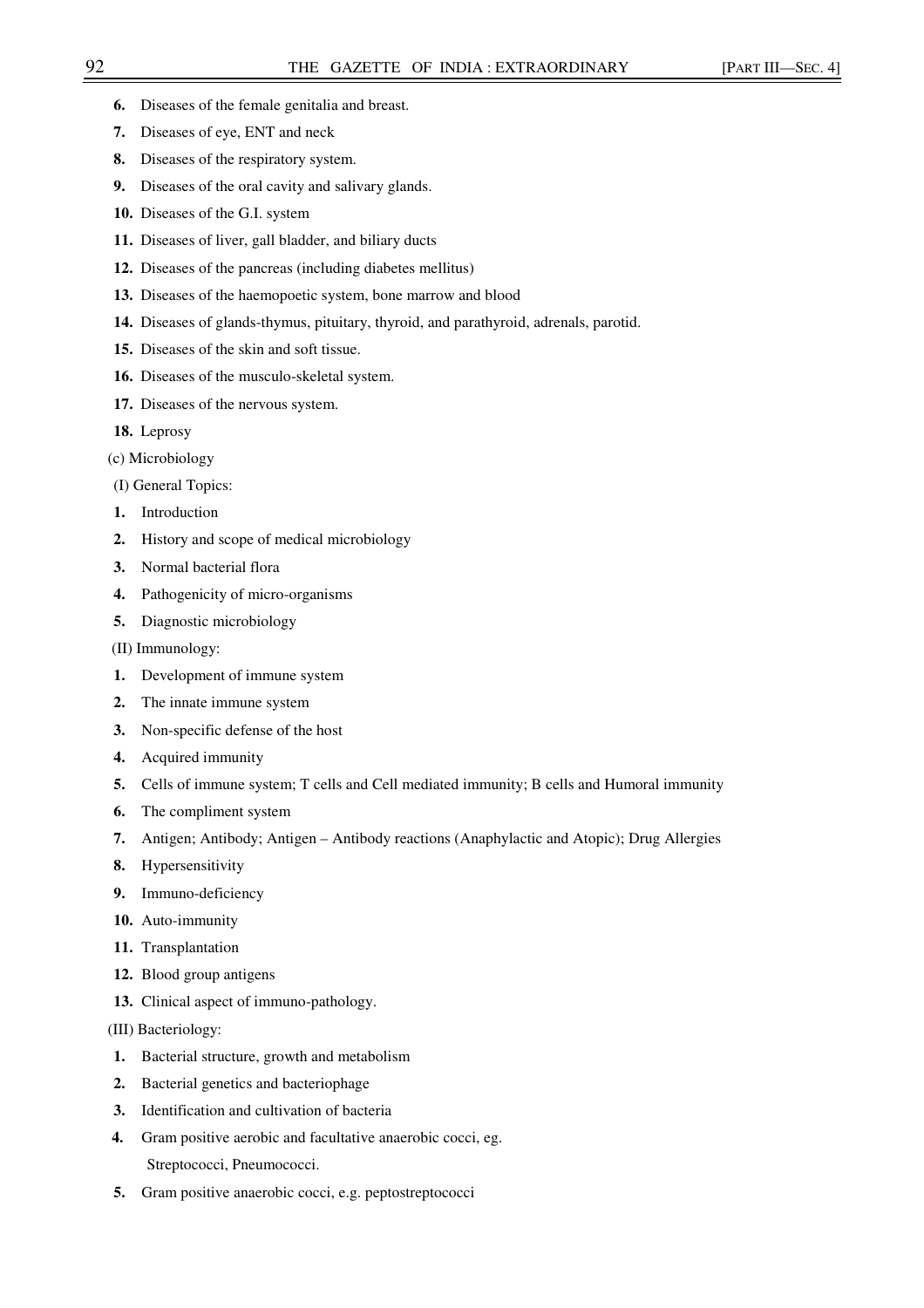- **6.** Diseases of the female genitalia and breast.
- **7.** Diseases of eye, ENT and neck
- **8.** Diseases of the respiratory system.
- **9.** Diseases of the oral cavity and salivary glands.
- **10.** Diseases of the G.I. system
- **11.** Diseases of liver, gall bladder, and biliary ducts
- **12.** Diseases of the pancreas (including diabetes mellitus)
- **13.** Diseases of the haemopoetic system, bone marrow and blood
- **14.** Diseases of glands-thymus, pituitary, thyroid, and parathyroid, adrenals, parotid.
- **15.** Diseases of the skin and soft tissue.
- **16.** Diseases of the musculo-skeletal system.
- **17.** Diseases of the nervous system.
- **18.** Leprosy
- (c) Microbiology
- (I) General Topics:
- **1.** Introduction
- **2.** History and scope of medical microbiology
- **3.** Normal bacterial flora
- **4.** Pathogenicity of micro-organisms
- **5.** Diagnostic microbiology
- (II) Immunology:
- **1.** Development of immune system
- **2.** The innate immune system
- **3.** Non-specific defense of the host
- **4.** Acquired immunity
- **5.** Cells of immune system; T cells and Cell mediated immunity; B cells and Humoral immunity
- **6.** The compliment system
- **7.** Antigen; Antibody; Antigen Antibody reactions (Anaphylactic and Atopic); Drug Allergies
- **8.** Hypersensitivity
- **9.** Immuno-deficiency
- **10.** Auto-immunity
- **11.** Transplantation
- **12.** Blood group antigens
- **13.** Clinical aspect of immuno-pathology.

(III) Bacteriology:

- **1.** Bacterial structure, growth and metabolism
- **2.** Bacterial genetics and bacteriophage
- **3.** Identification and cultivation of bacteria
- **4.** Gram positive aerobic and facultative anaerobic cocci, eg. Streptococci, Pneumococci.
- **5.** Gram positive anaerobic cocci, e.g. peptostreptococci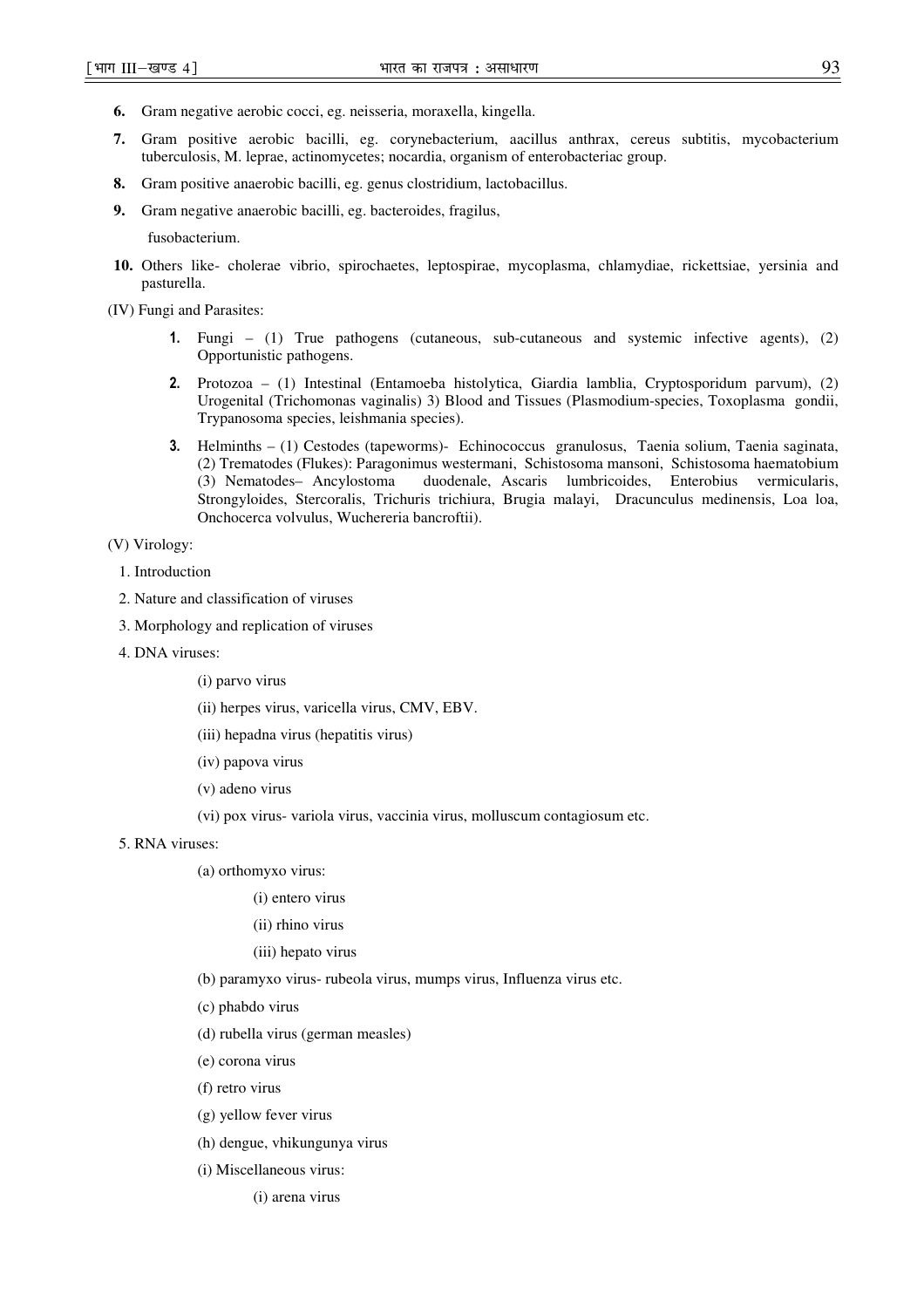- **6.** Gram negative aerobic cocci, eg. neisseria, moraxella, kingella.
- **7.** Gram positive aerobic bacilli, eg. corynebacterium, aacillus anthrax, cereus subtitis, mycobacterium tuberculosis, M. leprae, actinomycetes; nocardia, organism of enterobacteriac group.
- **8.** Gram positive anaerobic bacilli, eg. genus clostridium, lactobacillus.
- **9.** Gram negative anaerobic bacilli, eg. bacteroides, fragilus,

fusobacterium.

**10.** Others like- cholerae vibrio, spirochaetes, leptospirae, mycoplasma, chlamydiae, rickettsiae, yersinia and pasturella.

(IV) Fungi and Parasites:

- 1. Fungi (1) True pathogens (cutaneous, sub-cutaneous and systemic infective agents), (2) Opportunistic pathogens.
- 2. Protozoa (1) Intestinal (Entamoeba histolytica, Giardia lamblia, Cryptosporidum parvum), (2) Urogenital (Trichomonas vaginalis) 3) Blood and Tissues (Plasmodium-species, Toxoplasma gondii, Trypanosoma species, leishmania species).
- 3. Helminths (1) Cestodes (tapeworms)- Echinococcus granulosus, Taenia solium, Taenia saginata, (2) Trematodes (Flukes): Paragonimus westermani, Schistosoma mansoni, Schistosoma haematobium (3) Nematodes– Ancylostoma duodenale, Ascaris lumbricoides, Enterobius vermicularis, Strongyloides, Stercoralis, Trichuris trichiura, Brugia malayi, Dracunculus medinensis, Loa loa, Onchocerca volvulus, Wuchereria bancroftii).

(V) Virology:

## 1. Introduction

- 2. Nature and classification of viruses
- 3. Morphology and replication of viruses
- 4. DNA viruses:
	- (i) parvo virus
	- (ii) herpes virus, varicella virus, CMV, EBV.
	- (iii) hepadna virus (hepatitis virus)
	- (iv) papova virus
	- (v) adeno virus
	- (vi) pox virus- variola virus, vaccinia virus, molluscum contagiosum etc.
- 5. RNA viruses:

(a) orthomyxo virus:

- (i) entero virus
- (ii) rhino virus
- (iii) hepato virus
- (b) paramyxo virus- rubeola virus, mumps virus, Influenza virus etc.
- (c) phabdo virus
- (d) rubella virus (german measles)
- (e) corona virus
- (f) retro virus
- (g) yellow fever virus
- (h) dengue, vhikungunya virus
- (i) Miscellaneous virus:
	- (i) arena virus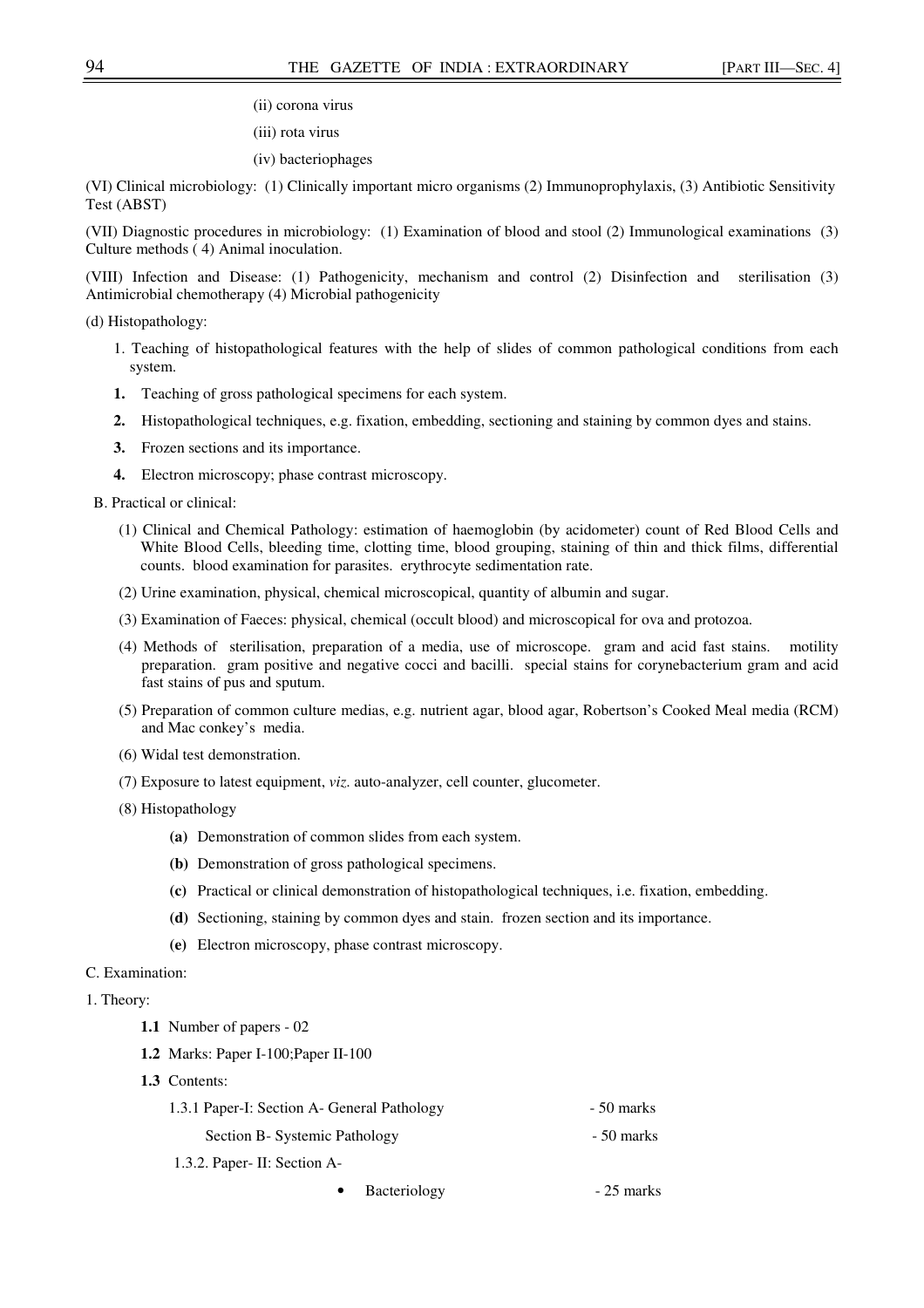(ii) corona virus

(iii) rota virus

(iv) bacteriophages

(VI) Clinical microbiology: (1) Clinically important micro organisms (2) Immunoprophylaxis, (3) Antibiotic Sensitivity Test (ABST)

(VII) Diagnostic procedures in microbiology: (1) Examination of blood and stool (2) Immunological examinations (3) Culture methods ( 4) Animal inoculation.

(VIII) Infection and Disease: (1) Pathogenicity, mechanism and control (2) Disinfection and sterilisation (3) Antimicrobial chemotherapy (4) Microbial pathogenicity

(d) Histopathology:

- 1. Teaching of histopathological features with the help of slides of common pathological conditions from each system.
- **1.** Teaching of gross pathological specimens for each system.
- **2.** Histopathological techniques, e.g. fixation, embedding, sectioning and staining by common dyes and stains.
- **3.** Frozen sections and its importance.
- **4.** Electron microscopy; phase contrast microscopy.

B. Practical or clinical:

- (1) Clinical and Chemical Pathology: estimation of haemoglobin (by acidometer) count of Red Blood Cells and White Blood Cells, bleeding time, clotting time, blood grouping, staining of thin and thick films, differential counts. blood examination for parasites. erythrocyte sedimentation rate.
- (2) Urine examination, physical, chemical microscopical, quantity of albumin and sugar.
- (3) Examination of Faeces: physical, chemical (occult blood) and microscopical for ova and protozoa.
- (4) Methods of sterilisation, preparation of a media, use of microscope. gram and acid fast stains. motility preparation. gram positive and negative cocci and bacilli. special stains for corynebacterium gram and acid fast stains of pus and sputum.
- (5) Preparation of common culture medias, e.g. nutrient agar, blood agar, Robertson's Cooked Meal media (RCM) and Mac conkey's media.
- (6) Widal test demonstration.
- (7) Exposure to latest equipment, *viz*. auto-analyzer, cell counter, glucometer.
- (8) Histopathology
	- **(a)** Demonstration of common slides from each system.
	- **(b)** Demonstration of gross pathological specimens.
	- **(c)** Practical or clinical demonstration of histopathological techniques, i.e. fixation, embedding.
	- **(d)** Sectioning, staining by common dyes and stain. frozen section and its importance.
	- **(e)** Electron microscopy, phase contrast microscopy.

## C. Examination:

- 1. Theory:
	- **1.1** Number of papers 02
	- **1.2** Marks: Paper I-100;Paper II-100
	- **1.3** Contents:

| 1.3.1 Paper-I: Section A- General Pathology | - 50 marks      |
|---------------------------------------------|-----------------|
| Section B- Systemic Pathology               | - 50 marks      |
| 1.3.2. Paper- II: Section A-                |                 |
|                                             | $\mathcal{L}$ 1 |

Bacteriology - 25 marks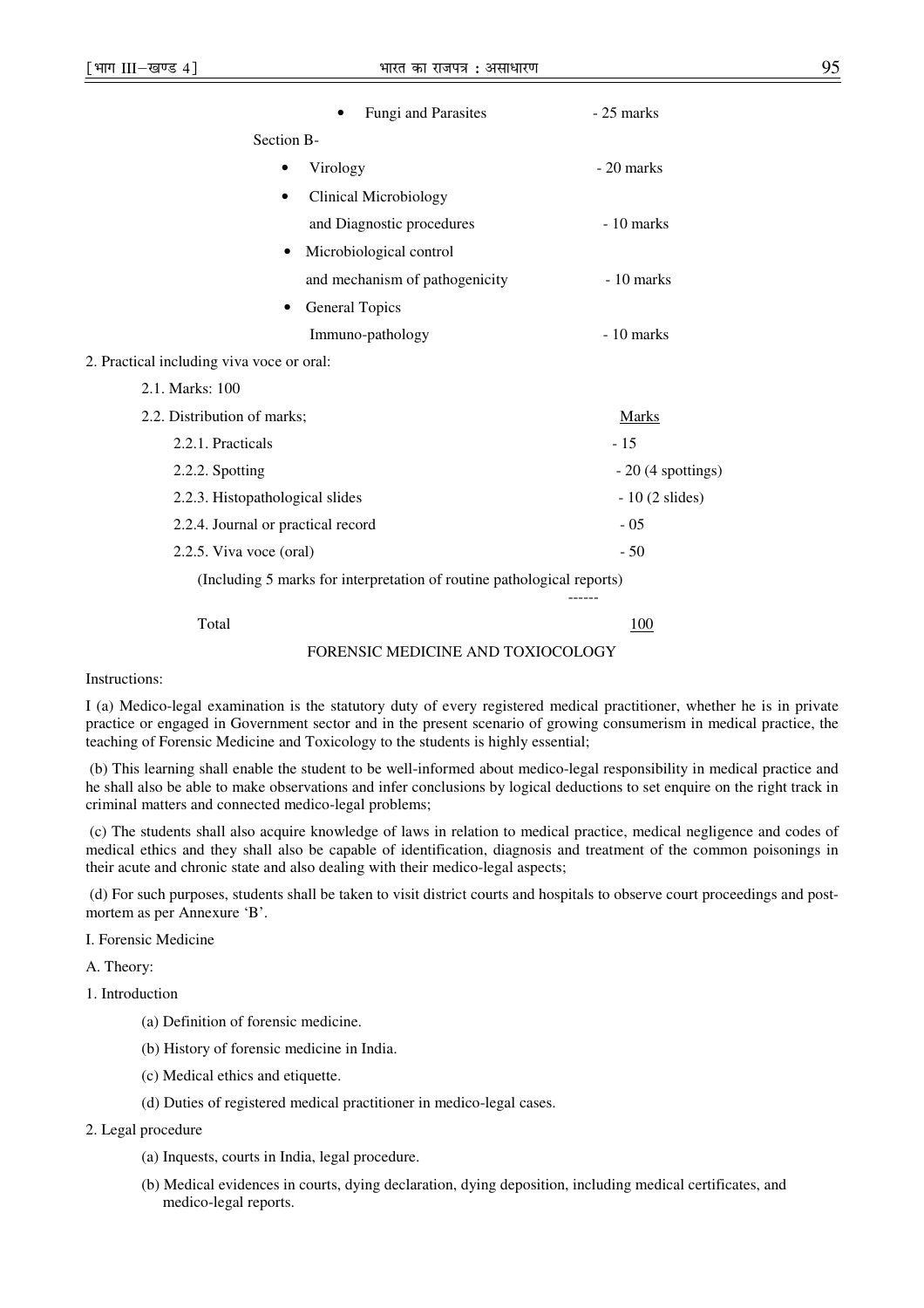|                                           | Fungi and Parasites                                                    | $-25$ marks             |
|-------------------------------------------|------------------------------------------------------------------------|-------------------------|
| Section B-                                |                                                                        |                         |
|                                           | Virology                                                               | - 20 marks              |
|                                           | <b>Clinical Microbiology</b>                                           |                         |
|                                           | and Diagnostic procedures                                              | - 10 marks              |
| $\bullet$                                 | Microbiological control                                                |                         |
|                                           | and mechanism of pathogenicity                                         | $-10$ marks             |
| ٠                                         | <b>General Topics</b>                                                  |                         |
|                                           | Immuno-pathology                                                       | $-10$ marks             |
| 2. Practical including viva voce or oral: |                                                                        |                         |
| 2.1. Marks: 100                           |                                                                        |                         |
| 2.2. Distribution of marks;               |                                                                        | Marks                   |
| 2.2.1. Practicals                         |                                                                        | $-15$                   |
| 2.2.2. Spotting                           |                                                                        | $-20$ (4 spottings)     |
| 2.2.3. Histopathological slides           |                                                                        | $-10(2 \text{ slides})$ |
| 2.2.4. Journal or practical record        |                                                                        | $-05$                   |
| 2.2.5. Viva voce (oral)                   |                                                                        | $-50$                   |
|                                           | (Including 5 marks for interpretation of routine pathological reports) |                         |

(Including 5 marks for interpretation of routine pathological reports)

------

Total 100

### FORENSIC MEDICINE AND TOXIOCOLOGY

Instructions:

I (a) Medico-legal examination is the statutory duty of every registered medical practitioner, whether he is in private practice or engaged in Government sector and in the present scenario of growing consumerism in medical practice, the teaching of Forensic Medicine and Toxicology to the students is highly essential;

 (b) This learning shall enable the student to be well-informed about medico-legal responsibility in medical practice and he shall also be able to make observations and infer conclusions by logical deductions to set enquire on the right track in criminal matters and connected medico-legal problems;

 (c) The students shall also acquire knowledge of laws in relation to medical practice, medical negligence and codes of medical ethics and they shall also be capable of identification, diagnosis and treatment of the common poisonings in their acute and chronic state and also dealing with their medico-legal aspects;

 (d) For such purposes, students shall be taken to visit district courts and hospitals to observe court proceedings and postmortem as per Annexure 'B'.

I. Forensic Medicine

A. Theory:

1. Introduction

- (a) Definition of forensic medicine.
- (b) History of forensic medicine in India.
- (c) Medical ethics and etiquette.
- (d) Duties of registered medical practitioner in medico-legal cases.

## 2. Legal procedure

- (a) Inquests, courts in India, legal procedure.
- (b) Medical evidences in courts, dying declaration, dying deposition, including medical certificates, and medico-legal reports.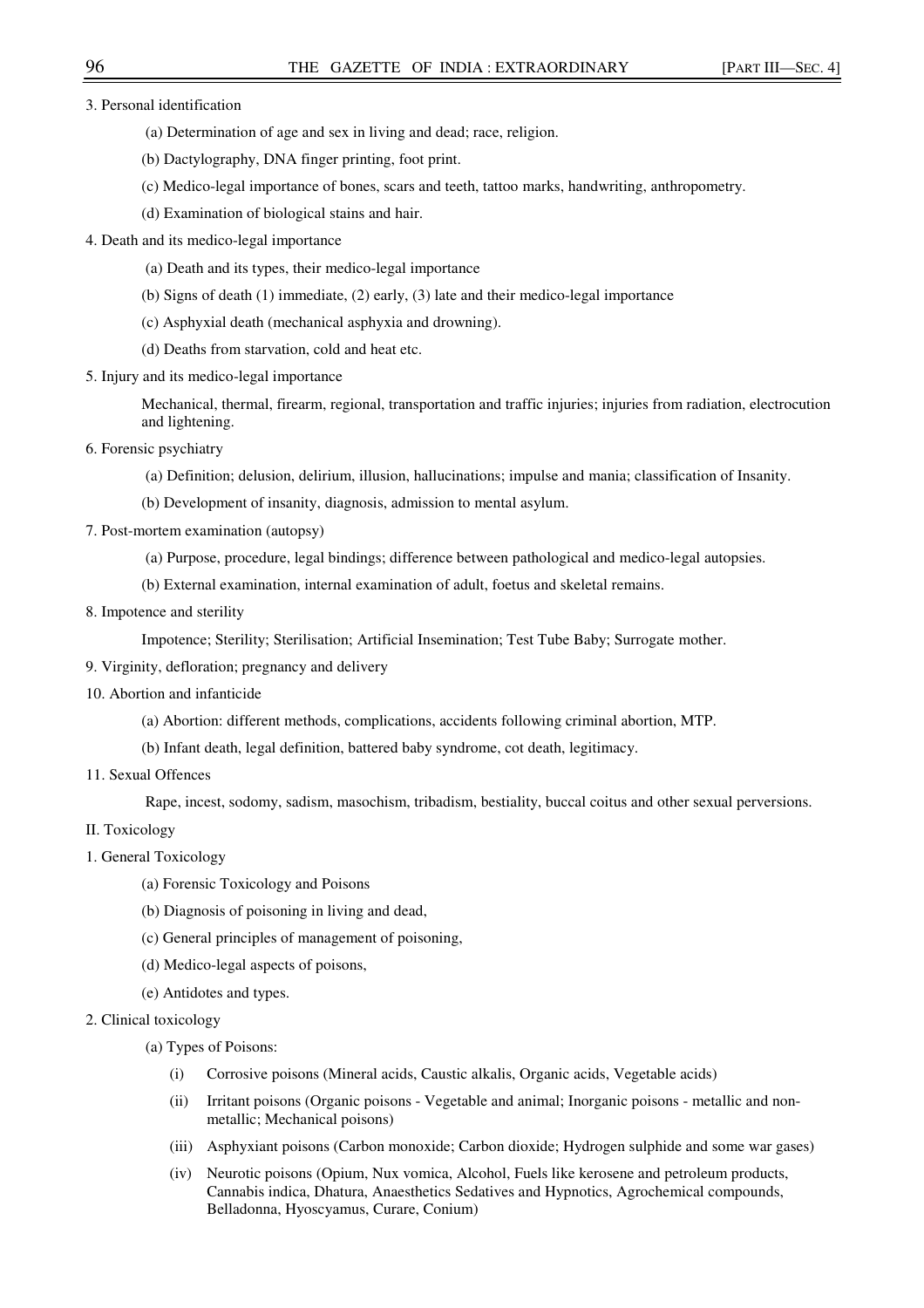3. Personal identification

- (a) Determination of age and sex in living and dead; race, religion.
- (b) Dactylography, DNA finger printing, foot print.
- (c) Medico-legal importance of bones, scars and teeth, tattoo marks, handwriting, anthropometry.
- (d) Examination of biological stains and hair.
- 4. Death and its medico-legal importance
	- (a) Death and its types, their medico-legal importance
	- (b) Signs of death (1) immediate, (2) early, (3) late and their medico-legal importance
	- (c) Asphyxial death (mechanical asphyxia and drowning).
	- (d) Deaths from starvation, cold and heat etc.
- 5. Injury and its medico-legal importance

Mechanical, thermal, firearm, regional, transportation and traffic injuries; injuries from radiation, electrocution and lightening.

- 6. Forensic psychiatry
	- (a) Definition; delusion, delirium, illusion, hallucinations; impulse and mania; classification of Insanity.
	- (b) Development of insanity, diagnosis, admission to mental asylum.
- 7. Post-mortem examination (autopsy)
	- (a) Purpose, procedure, legal bindings; difference between pathological and medico-legal autopsies.
	- (b) External examination, internal examination of adult, foetus and skeletal remains.
- 8. Impotence and sterility

Impotence; Sterility; Sterilisation; Artificial Insemination; Test Tube Baby; Surrogate mother.

- 9. Virginity, defloration; pregnancy and delivery
- 10. Abortion and infanticide
	- (a) Abortion: different methods, complications, accidents following criminal abortion, MTP.
	- (b) Infant death, legal definition, battered baby syndrome, cot death, legitimacy.
- 11. Sexual Offences

Rape, incest, sodomy, sadism, masochism, tribadism, bestiality, buccal coitus and other sexual perversions.

- II. Toxicology
- 1. General Toxicology
	- (a) Forensic Toxicology and Poisons
	- (b) Diagnosis of poisoning in living and dead,
	- (c) General principles of management of poisoning,
	- (d) Medico-legal aspects of poisons,
	- (e) Antidotes and types.
- 2. Clinical toxicology
	- (a) Types of Poisons:
		- (i) Corrosive poisons (Mineral acids, Caustic alkalis, Organic acids, Vegetable acids)
		- (ii) Irritant poisons (Organic poisons Vegetable and animal; Inorganic poisons metallic and nonmetallic; Mechanical poisons)
		- (iii) Asphyxiant poisons (Carbon monoxide; Carbon dioxide; Hydrogen sulphide and some war gases)
		- (iv) Neurotic poisons (Opium, Nux vomica, Alcohol, Fuels like kerosene and petroleum products, Cannabis indica, Dhatura, Anaesthetics Sedatives and Hypnotics, Agrochemical compounds, Belladonna, Hyoscyamus, Curare, Conium)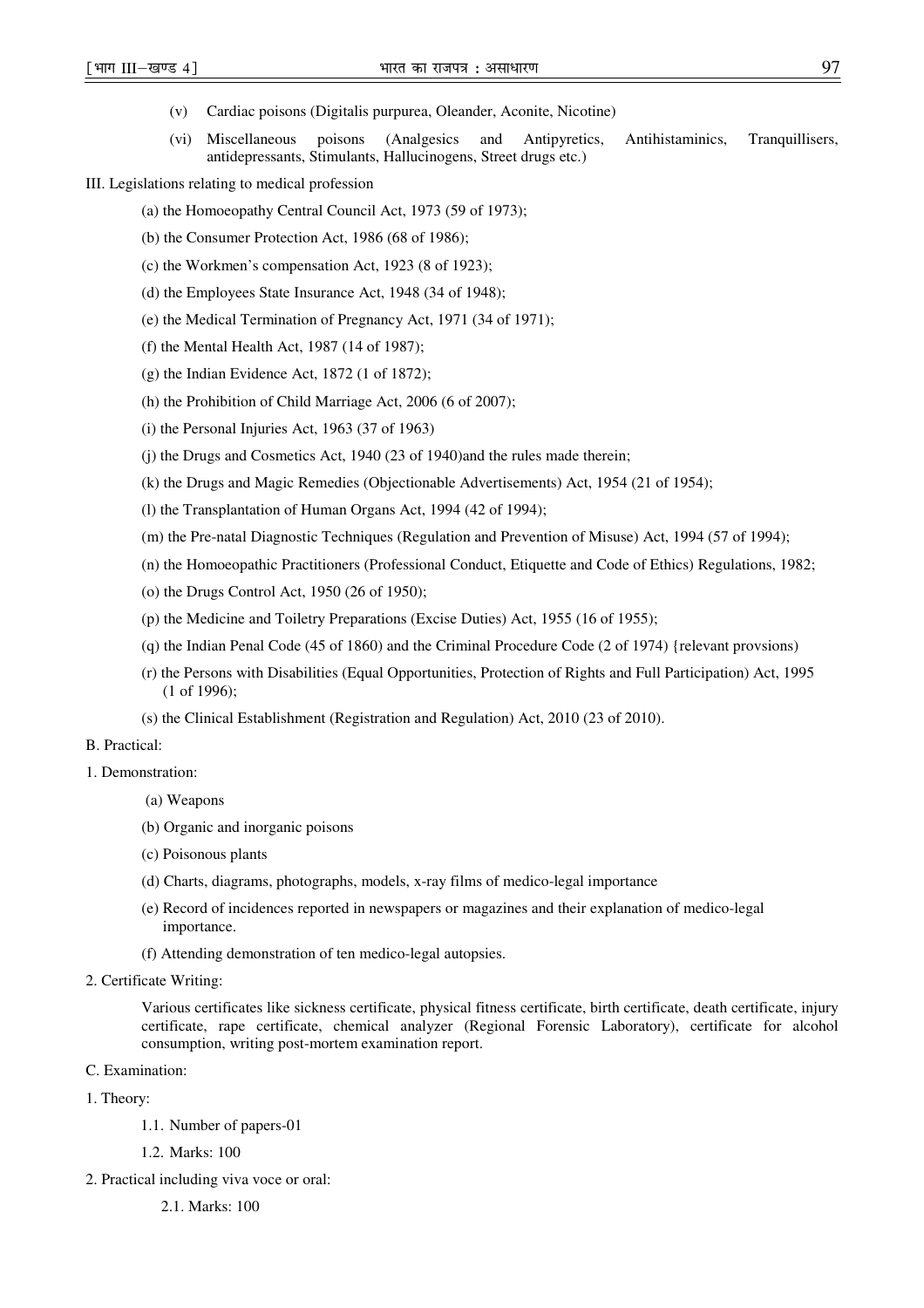- (v) Cardiac poisons (Digitalis purpurea, Oleander, Aconite, Nicotine)
- (vi) Miscellaneous poisons (Analgesics and Antipyretics, Antihistaminics, Tranquillisers, antidepressants, Stimulants, Hallucinogens, Street drugs etc.)
- III. Legislations relating to medical profession
	- (a) the Homoeopathy Central Council Act, 1973 (59 of 1973);
	- (b) the Consumer Protection Act, 1986 (68 of 1986);
	- (c) the Workmen's compensation Act, 1923 (8 of 1923);
	- (d) the Employees State Insurance Act, 1948 (34 of 1948);
	- (e) the Medical Termination of Pregnancy Act, 1971 (34 of 1971);
	- (f) the Mental Health Act, 1987 (14 of 1987);
	- (g) the Indian Evidence Act, 1872 (1 of 1872);
	- (h) the Prohibition of Child Marriage Act, 2006 (6 of 2007);
	- (i) the Personal Injuries Act, 1963 (37 of 1963)
	- (j) the Drugs and Cosmetics Act, 1940 (23 of 1940)and the rules made therein;
	- (k) the Drugs and Magic Remedies (Objectionable Advertisements) Act, 1954 (21 of 1954);
	- (l) the Transplantation of Human Organs Act, 1994 (42 of 1994);
	- (m) the Pre-natal Diagnostic Techniques (Regulation and Prevention of Misuse) Act, 1994 (57 of 1994);
	- (n) the Homoeopathic Practitioners (Professional Conduct, Etiquette and Code of Ethics) Regulations, 1982;
	- (o) the Drugs Control Act, 1950 (26 of 1950);
	- (p) the Medicine and Toiletry Preparations (Excise Duties) Act, 1955 (16 of 1955);
	- (q) the Indian Penal Code (45 of 1860) and the Criminal Procedure Code (2 of 1974) {relevant provsions)
	- (r) the Persons with Disabilities (Equal Opportunities, Protection of Rights and Full Participation) Act, 1995 (1 of 1996);
	- (s) the Clinical Establishment (Registration and Regulation) Act, 2010 (23 of 2010).

### B. Practical:

- 1. Demonstration:
	- (a) Weapons
	- (b) Organic and inorganic poisons
	- (c) Poisonous plants
	- (d) Charts, diagrams, photographs, models, x-ray films of medico-legal importance
	- (e) Record of incidences reported in newspapers or magazines and their explanation of medico-legal importance.
	- (f) Attending demonstration of ten medico-legal autopsies.
- 2. Certificate Writing:

Various certificates like sickness certificate, physical fitness certificate, birth certificate, death certificate, injury certificate, rape certificate, chemical analyzer (Regional Forensic Laboratory), certificate for alcohol consumption, writing post-mortem examination report.

C. Examination:

- 1. Theory:
	- 1.1. Number of papers-01
	- 1.2. Marks: 100
- 2. Practical including viva voce or oral:

2.1. Marks: 100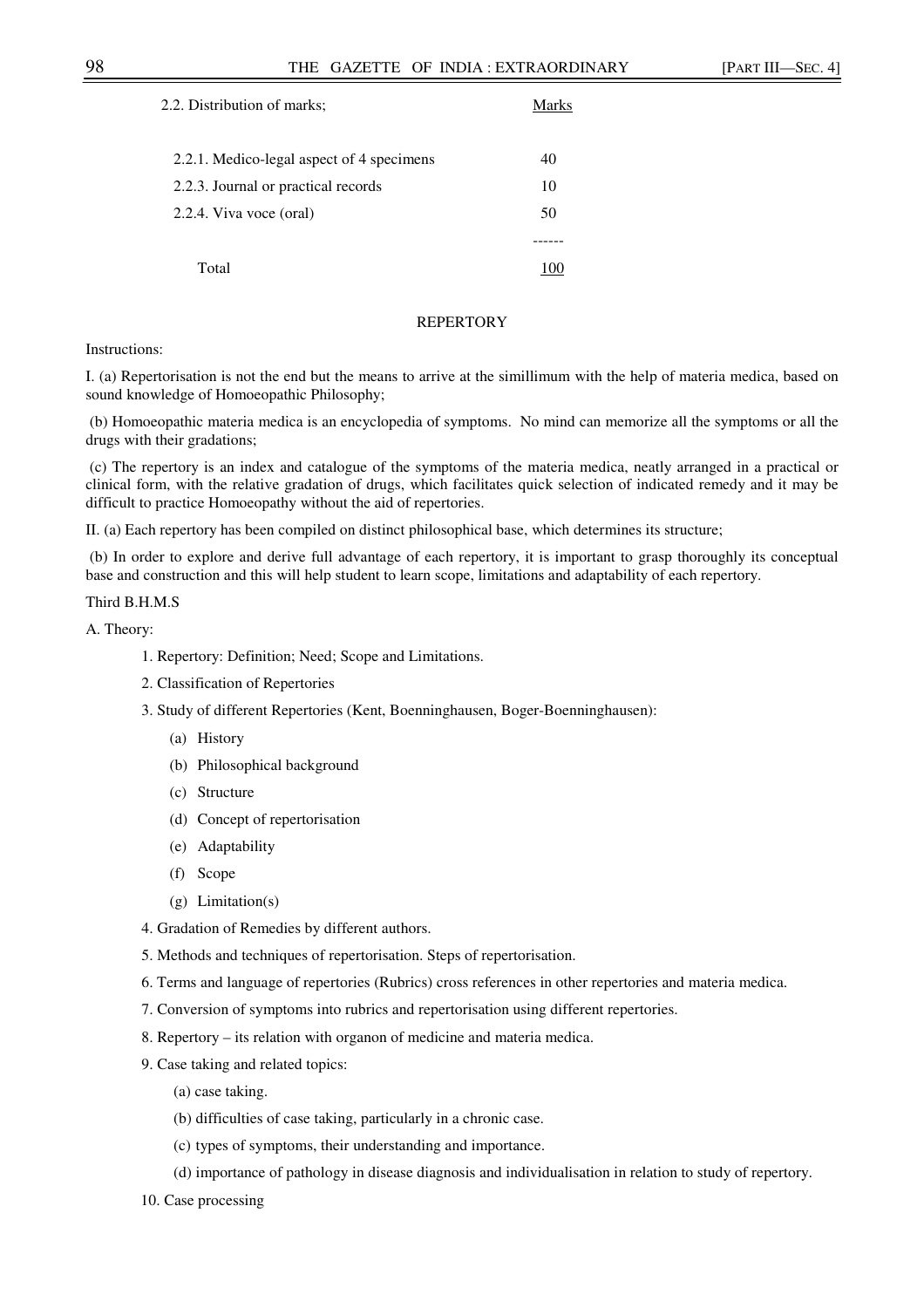| 2.2. Distribution of marks;               | Marks |
|-------------------------------------------|-------|
| 2.2.1. Medico-legal aspect of 4 specimens | 40    |
| 2.2.3. Journal or practical records       | 10    |
| 2.2.4. Viva voce (oral)                   | 50    |
|                                           |       |
| Total                                     |       |

#### **REPERTORY**

## Instructions:

I. (a) Repertorisation is not the end but the means to arrive at the simillimum with the help of materia medica, based on sound knowledge of Homoeopathic Philosophy;

 (b) Homoeopathic materia medica is an encyclopedia of symptoms. No mind can memorize all the symptoms or all the drugs with their gradations;

 (c) The repertory is an index and catalogue of the symptoms of the materia medica, neatly arranged in a practical or clinical form, with the relative gradation of drugs, which facilitates quick selection of indicated remedy and it may be difficult to practice Homoeopathy without the aid of repertories.

II. (a) Each repertory has been compiled on distinct philosophical base, which determines its structure;

 (b) In order to explore and derive full advantage of each repertory, it is important to grasp thoroughly its conceptual base and construction and this will help student to learn scope, limitations and adaptability of each repertory.

## Third B.H.M.S

A. Theory:

- 1. Repertory: Definition; Need; Scope and Limitations.
- 2. Classification of Repertories
- 3. Study of different Repertories (Kent, Boenninghausen, Boger-Boenninghausen):
	- (a) History
	- (b) Philosophical background
	- (c) Structure
	- (d) Concept of repertorisation
	- (e) Adaptability
	- (f) Scope
	- (g) Limitation(s)
- 4. Gradation of Remedies by different authors.
- 5. Methods and techniques of repertorisation. Steps of repertorisation.
- 6. Terms and language of repertories (Rubrics) cross references in other repertories and materia medica.
- 7. Conversion of symptoms into rubrics and repertorisation using different repertories.
- 8. Repertory its relation with organon of medicine and materia medica.
- 9. Case taking and related topics:
	- (a) case taking.
	- (b) difficulties of case taking, particularly in a chronic case.
	- (c) types of symptoms, their understanding and importance.
	- (d) importance of pathology in disease diagnosis and individualisation in relation to study of repertory.

10. Case processing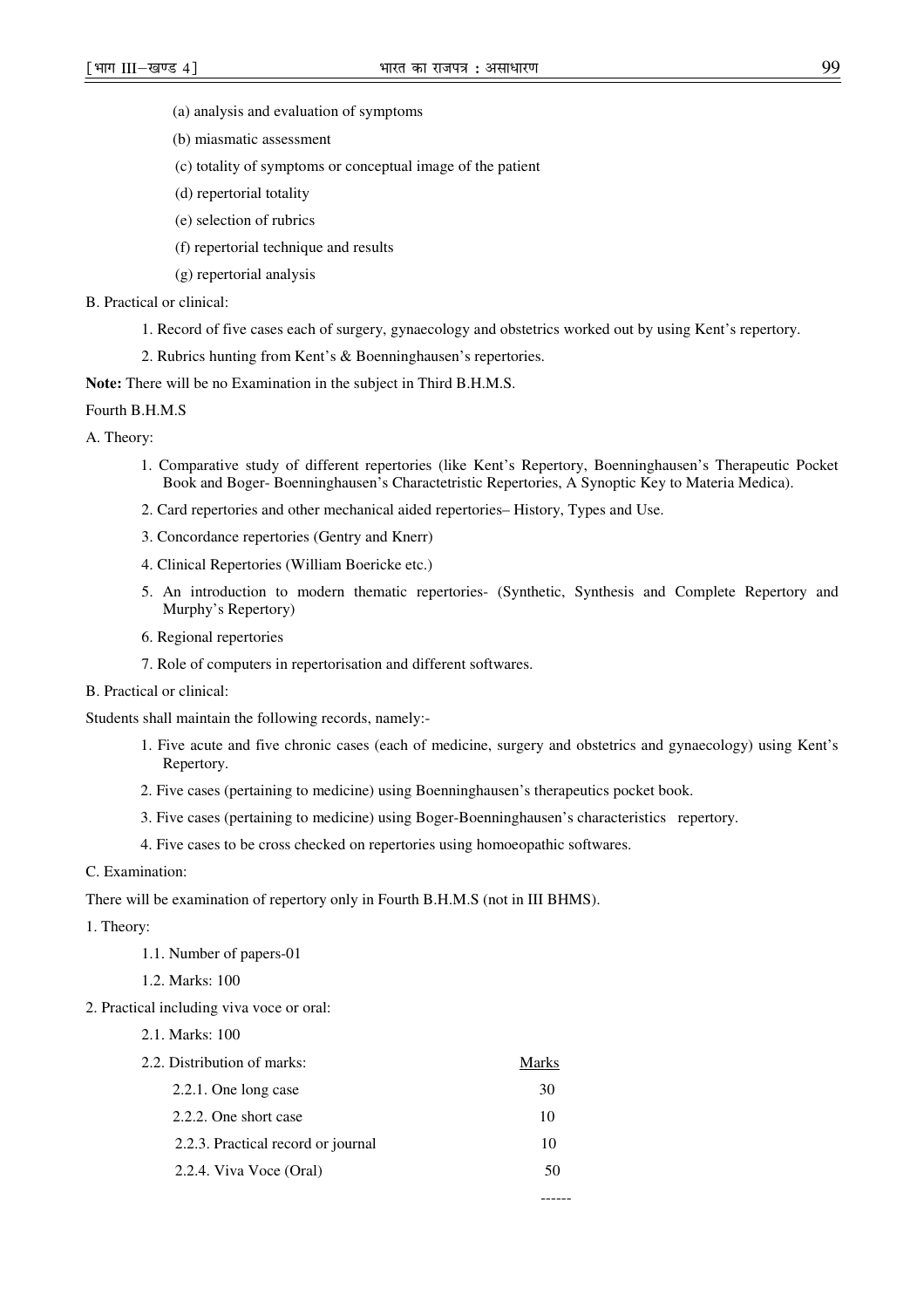- (a) analysis and evaluation of symptoms
- (b) miasmatic assessment
- (c) totality of symptoms or conceptual image of the patient
- (d) repertorial totality
- (e) selection of rubrics
- (f) repertorial technique and results
- (g) repertorial analysis

### B. Practical or clinical:

- 1. Record of five cases each of surgery, gynaecology and obstetrics worked out by using Kent's repertory.
- 2. Rubrics hunting from Kent's & Boenninghausen's repertories.

**Note:** There will be no Examination in the subject in Third B.H.M.S.

### Fourth B.H.M.S

- A. Theory:
	- 1. Comparative study of different repertories (like Kent's Repertory, Boenninghausen's Therapeutic Pocket Book and Boger- Boenninghausen's Charactetristic Repertories, A Synoptic Key to Materia Medica).
	- 2. Card repertories and other mechanical aided repertories– History, Types and Use.
	- 3. Concordance repertories (Gentry and Knerr)
	- 4. Clinical Repertories (William Boericke etc.)
	- 5. An introduction to modern thematic repertories- (Synthetic, Synthesis and Complete Repertory and Murphy's Repertory)
	- 6. Regional repertories
	- 7. Role of computers in repertorisation and different softwares.
- B. Practical or clinical:

Students shall maintain the following records, namely:-

- 1. Five acute and five chronic cases (each of medicine, surgery and obstetrics and gynaecology) using Kent's Repertory.
- 2. Five cases (pertaining to medicine) using Boenninghausen's therapeutics pocket book.
- 3. Five cases (pertaining to medicine) using Boger-Boenninghausen's characteristics repertory.
- 4. Five cases to be cross checked on repertories using homoeopathic softwares.
- C. Examination:

There will be examination of repertory only in Fourth B.H.M.S (not in III BHMS).

- 1. Theory:
	- 1.1. Number of papers-01
	- 1.2. Marks: 100
- 2. Practical including viva voce or oral:
	- 2.1. Marks: 100

| 2.2. Distribution of marks:        | Marks |
|------------------------------------|-------|
| $2.2.1$ . One long case            | 30    |
| 2.2.2. One short case              | 10    |
| 2.2.3. Practical record or journal | 10    |
| 2.2.4. Viva Voce (Oral)            |       |
|                                    |       |

------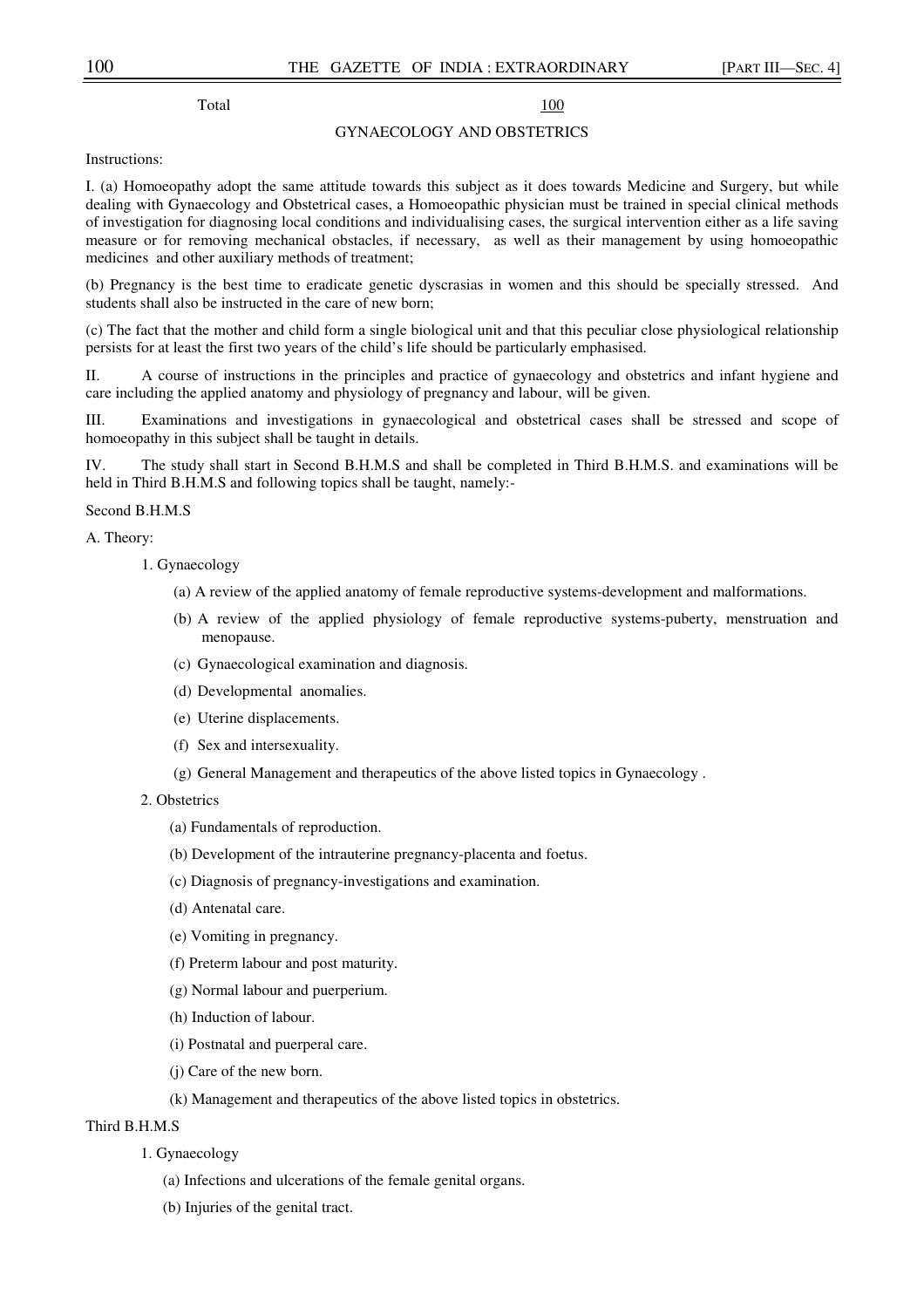Total 100

# GYNAECOLOGY AND OBSTETRICS

Instructions:

I. (a) Homoeopathy adopt the same attitude towards this subject as it does towards Medicine and Surgery, but while dealing with Gynaecology and Obstetrical cases, a Homoeopathic physician must be trained in special clinical methods of investigation for diagnosing local conditions and individualising cases, the surgical intervention either as a life saving measure or for removing mechanical obstacles, if necessary, as well as their management by using homoeopathic medicines and other auxiliary methods of treatment;

(b) Pregnancy is the best time to eradicate genetic dyscrasias in women and this should be specially stressed. And students shall also be instructed in the care of new born;

(c) The fact that the mother and child form a single biological unit and that this peculiar close physiological relationship persists for at least the first two years of the child's life should be particularly emphasised.

II. A course of instructions in the principles and practice of gynaecology and obstetrics and infant hygiene and care including the applied anatomy and physiology of pregnancy and labour, will be given.

III. Examinations and investigations in gynaecological and obstetrical cases shall be stressed and scope of homoeopathy in this subject shall be taught in details.

IV. The study shall start in Second B.H.M.S and shall be completed in Third B.H.M.S. and examinations will be held in Third B.H.M.S and following topics shall be taught, namely:-

## Second B.H.M.S

A. Theory:

- 1. Gynaecology
	- (a) A review of the applied anatomy of female reproductive systems-development and malformations.
	- (b) A review of the applied physiology of female reproductive systems-puberty, menstruation and menopause.
	- (c) Gynaecological examination and diagnosis.
	- (d) Developmental anomalies.
	- (e) Uterine displacements.
	- (f) Sex and intersexuality.
	- (g) General Management and therapeutics of the above listed topics in Gynaecology .
- 2. Obstetrics
	- (a) Fundamentals of reproduction.
	- (b) Development of the intrauterine pregnancy-placenta and foetus.
	- (c) Diagnosis of pregnancy-investigations and examination.
	- (d) Antenatal care.
	- (e) Vomiting in pregnancy.
	- (f) Preterm labour and post maturity.
	- (g) Normal labour and puerperium.
	- (h) Induction of labour.
	- (i) Postnatal and puerperal care.
	- (j) Care of the new born.
	- (k) Management and therapeutics of the above listed topics in obstetrics.

## Third B.H.M.S

- 1. Gynaecology
	- (a) Infections and ulcerations of the female genital organs.
	- (b) Injuries of the genital tract.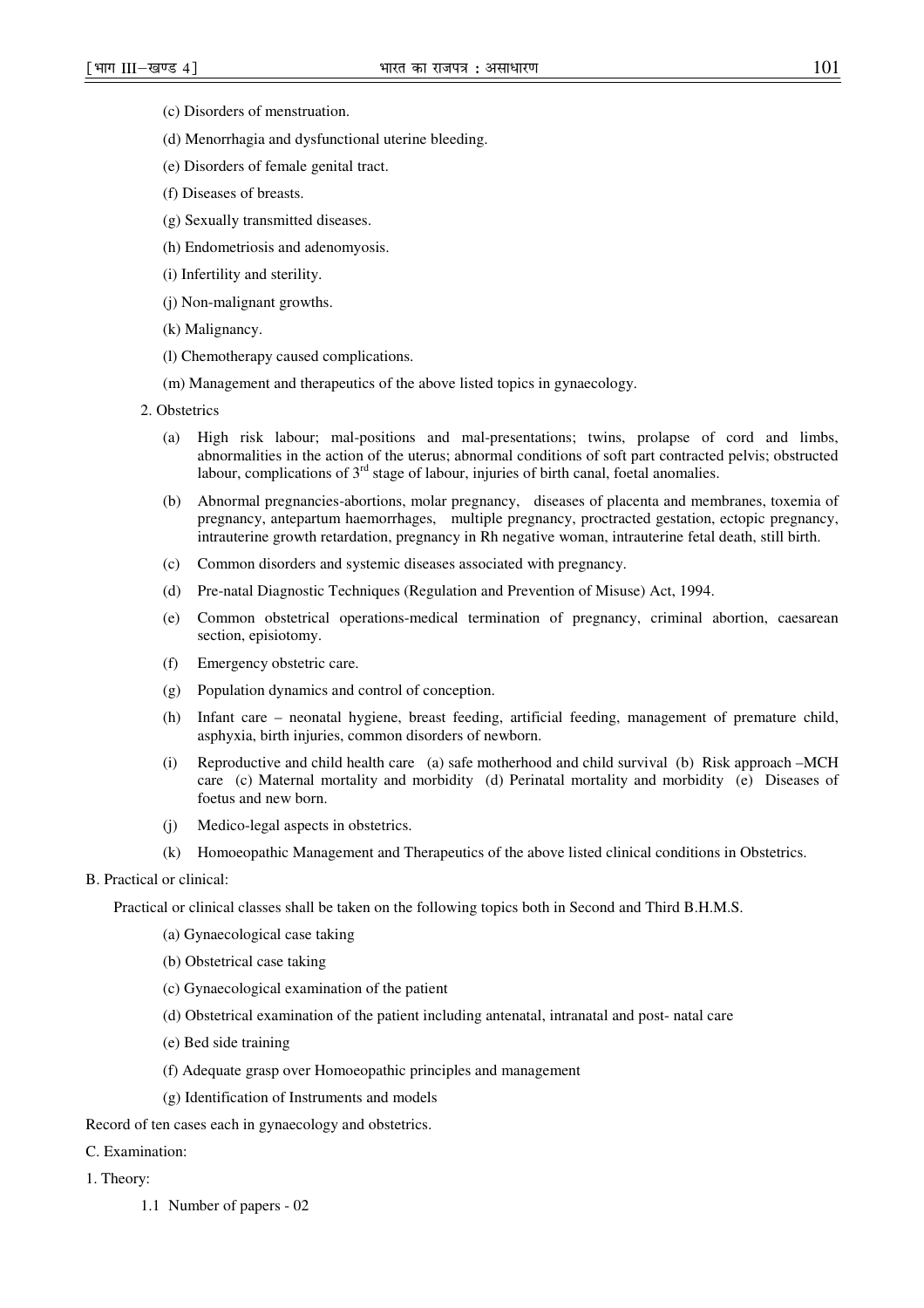- (c) Disorders of menstruation.
- (d) Menorrhagia and dysfunctional uterine bleeding.
- (e) Disorders of female genital tract.
- (f) Diseases of breasts.
- (g) Sexually transmitted diseases.
- (h) Endometriosis and adenomyosis.
- (i) Infertility and sterility.
- (j) Non-malignant growths.
- (k) Malignancy.
- (l) Chemotherapy caused complications.
- (m) Management and therapeutics of the above listed topics in gynaecology.
- 2. Obstetrics
	- (a) High risk labour; mal-positions and mal-presentations; twins, prolapse of cord and limbs, abnormalities in the action of the uterus; abnormal conditions of soft part contracted pelvis; obstructed labour, complications of  $3<sup>rd</sup>$  stage of labour, injuries of birth canal, foetal anomalies.
	- (b) Abnormal pregnancies-abortions, molar pregnancy, diseases of placenta and membranes, toxemia of pregnancy, antepartum haemorrhages, multiple pregnancy, proctracted gestation, ectopic pregnancy, intrauterine growth retardation, pregnancy in Rh negative woman, intrauterine fetal death, still birth.
	- (c) Common disorders and systemic diseases associated with pregnancy.
	- (d) Pre-natal Diagnostic Techniques (Regulation and Prevention of Misuse) Act, 1994.
	- (e) Common obstetrical operations-medical termination of pregnancy, criminal abortion, caesarean section, episiotomy.
	- (f) Emergency obstetric care.
	- (g) Population dynamics and control of conception.
	- (h) Infant care neonatal hygiene, breast feeding, artificial feeding, management of premature child, asphyxia, birth injuries, common disorders of newborn.
	- (i) Reproductive and child health care (a) safe motherhood and child survival (b) Risk approach –MCH care (c) Maternal mortality and morbidity (d) Perinatal mortality and morbidity (e) Diseases of foetus and new born.
	- (j) Medico-legal aspects in obstetrics.
	- (k) Homoeopathic Management and Therapeutics of the above listed clinical conditions in Obstetrics.

### B. Practical or clinical:

Practical or clinical classes shall be taken on the following topics both in Second and Third B.H.M.S.

- (a) Gynaecological case taking
- (b) Obstetrical case taking
- (c) Gynaecological examination of the patient
- (d) Obstetrical examination of the patient including antenatal, intranatal and post- natal care
- (e) Bed side training
- (f) Adequate grasp over Homoeopathic principles and management
- (g) Identification of Instruments and models

Record of ten cases each in gynaecology and obstetrics.

- C. Examination:
- 1. Theory:
	- 1.1 Number of papers 02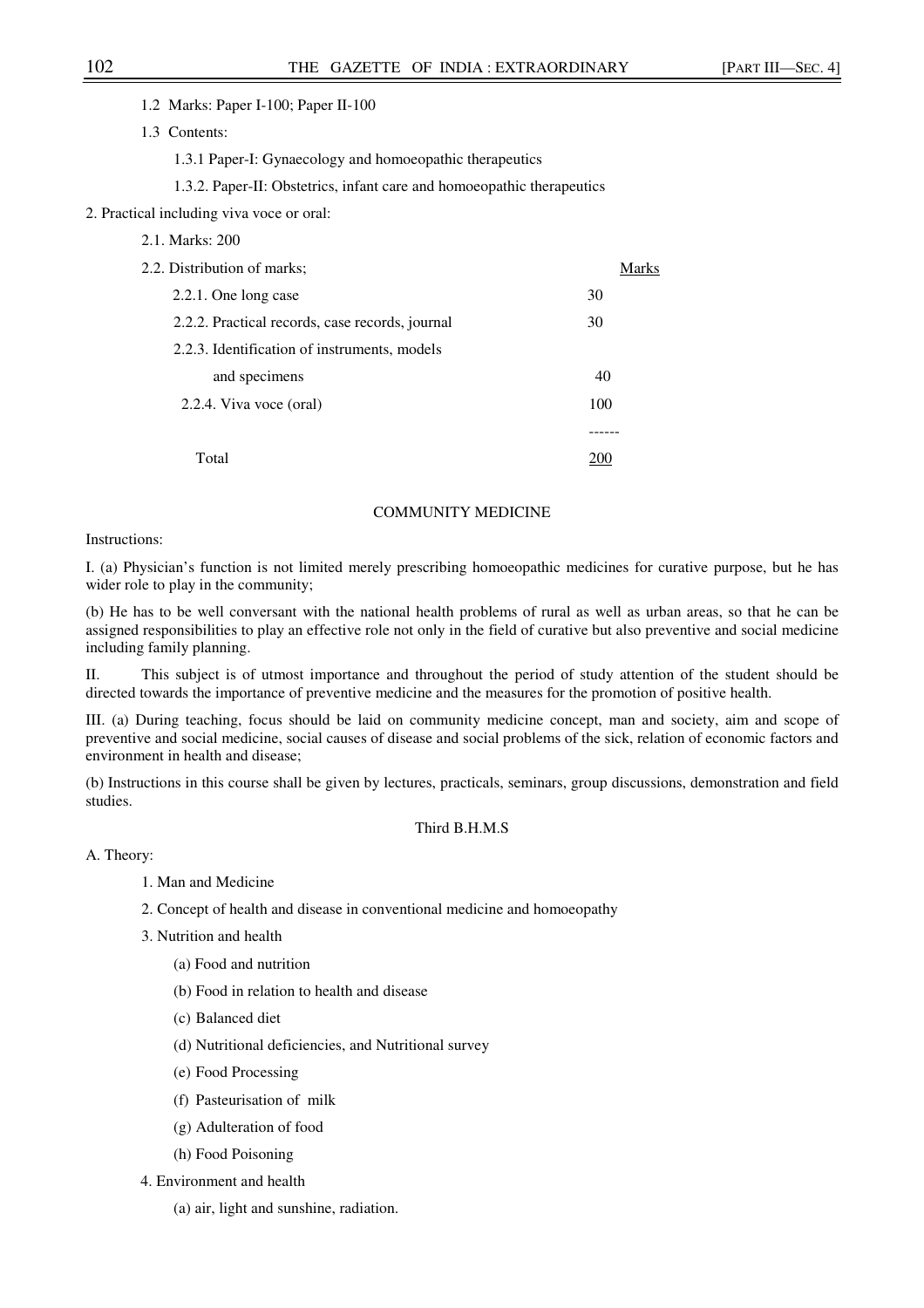1.2 Marks: Paper I-100; Paper II-100

1.3 Contents:

1.3.1 Paper-I: Gynaecology and homoeopathic therapeutics

1.3.2. Paper-II: Obstetrics, infant care and homoeopathic therapeutics

2. Practical including viva voce or oral:

| 2.1. Marks: 200                                 |              |
|-------------------------------------------------|--------------|
| 2.2. Distribution of marks;                     | <b>Marks</b> |
| 2.2.1. One long case                            | 30           |
| 2.2.2. Practical records, case records, journal | 30           |
| 2.2.3. Identification of instruments, models    |              |
| and specimens                                   | 40           |
| 2.2.4. Viva voce (oral)                         | 100          |
|                                                 |              |
| Total                                           |              |

## COMMUNITY MEDICINE

### Instructions:

I. (a) Physician's function is not limited merely prescribing homoeopathic medicines for curative purpose, but he has wider role to play in the community;

(b) He has to be well conversant with the national health problems of rural as well as urban areas, so that he can be assigned responsibilities to play an effective role not only in the field of curative but also preventive and social medicine including family planning.

II. This subject is of utmost importance and throughout the period of study attention of the student should be directed towards the importance of preventive medicine and the measures for the promotion of positive health.

III. (a) During teaching, focus should be laid on community medicine concept, man and society, aim and scope of preventive and social medicine, social causes of disease and social problems of the sick, relation of economic factors and environment in health and disease;

(b) Instructions in this course shall be given by lectures, practicals, seminars, group discussions, demonstration and field studies.

## Third B.H.M.S

A. Theory:

- 1. Man and Medicine
- 2. Concept of health and disease in conventional medicine and homoeopathy
- 3. Nutrition and health
	- (a) Food and nutrition
	- (b) Food in relation to health and disease
	- (c) Balanced diet
	- (d) Nutritional deficiencies, and Nutritional survey
	- (e) Food Processing
	- (f) Pasteurisation of milk
	- (g) Adulteration of food
	- (h) Food Poisoning
- 4. Environment and health
	- (a) air, light and sunshine, radiation.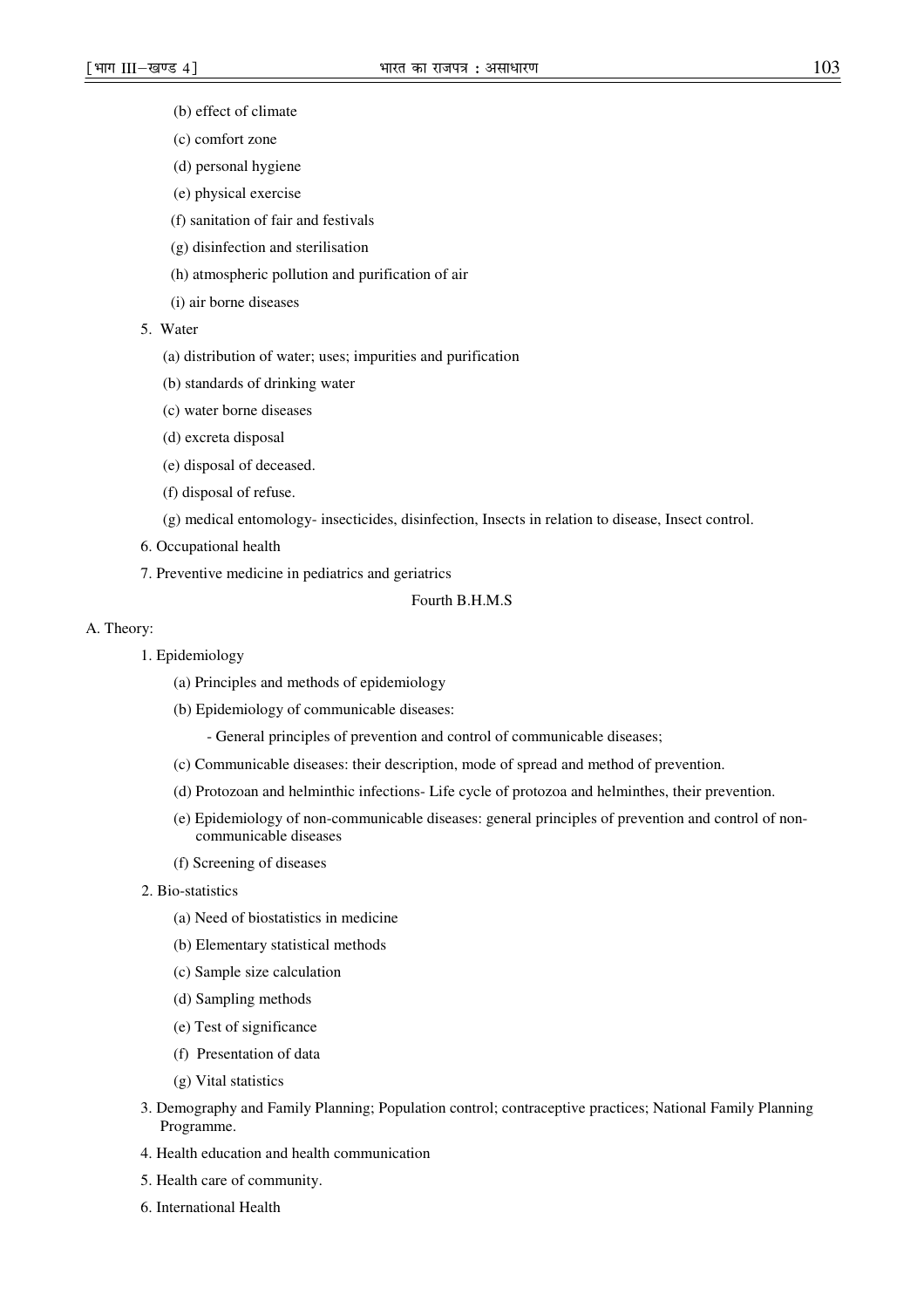- (b) effect of climate
- (c) comfort zone
- (d) personal hygiene
- (e) physical exercise
- (f) sanitation of fair and festivals
- (g) disinfection and sterilisation
- (h) atmospheric pollution and purification of air
- (i) air borne diseases
- 5. Water
	- (a) distribution of water; uses; impurities and purification
	- (b) standards of drinking water
	- (c) water borne diseases
	- (d) excreta disposal
	- (e) disposal of deceased.
	- (f) disposal of refuse.
	- (g) medical entomology- insecticides, disinfection, Insects in relation to disease, Insect control.
- 6. Occupational health
- 7. Preventive medicine in pediatrics and geriatrics

### Fourth B.H.M.S

## A. Theory:

- 1. Epidemiology
	- (a) Principles and methods of epidemiology
	- (b) Epidemiology of communicable diseases:
		- General principles of prevention and control of communicable diseases;
	- (c) Communicable diseases: their description, mode of spread and method of prevention.
	- (d) Protozoan and helminthic infections- Life cycle of protozoa and helminthes, their prevention.
	- (e) Epidemiology of non-communicable diseases: general principles of prevention and control of noncommunicable diseases
	- (f) Screening of diseases
- 2. Bio-statistics
	- (a) Need of biostatistics in medicine
	- (b) Elementary statistical methods
	- (c) Sample size calculation
	- (d) Sampling methods
	- (e) Test of significance
	- (f) Presentation of data
	- (g) Vital statistics
- 3. Demography and Family Planning; Population control; contraceptive practices; National Family Planning Programme.
- 4. Health education and health communication
- 5. Health care of community.
- 6. International Health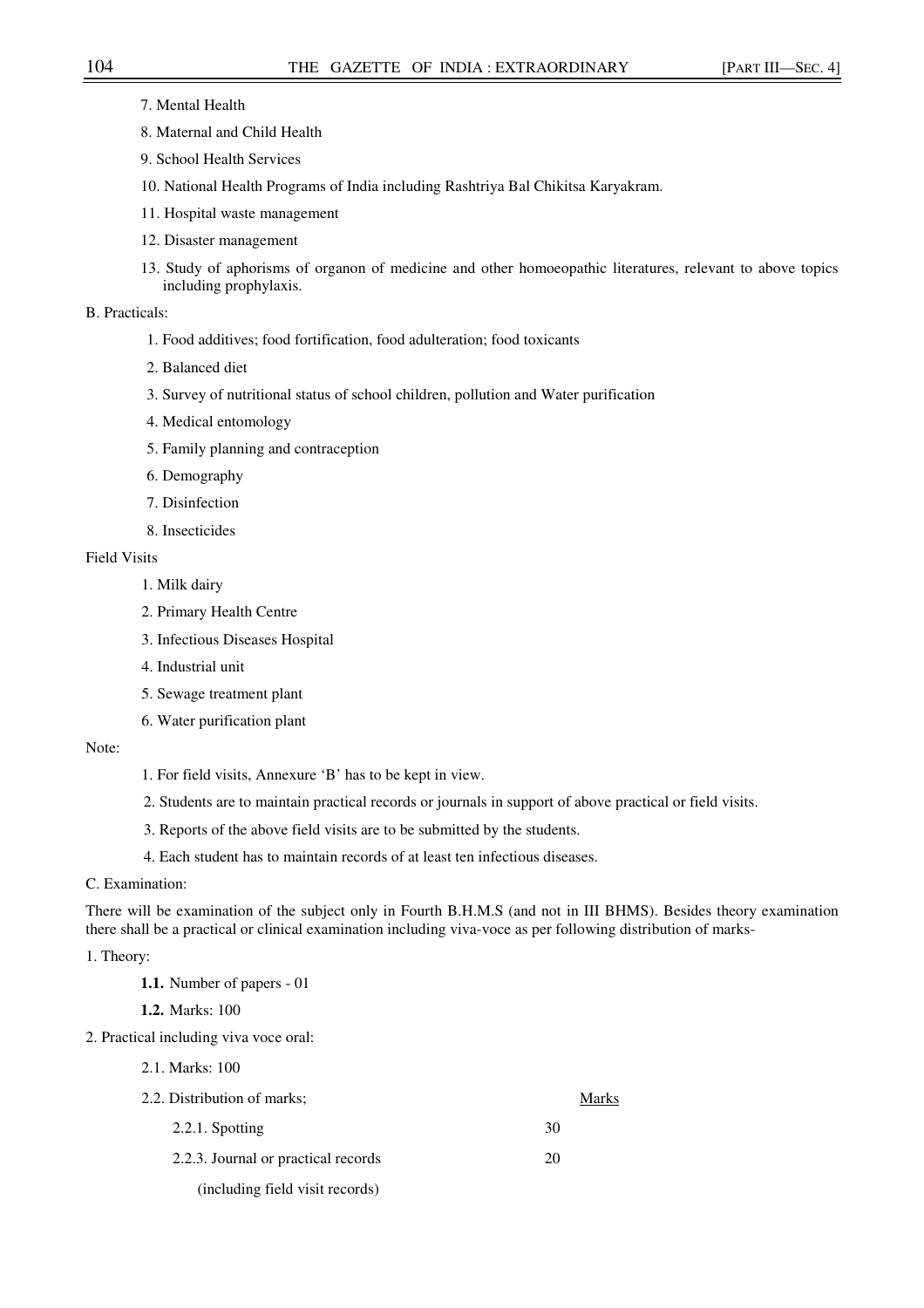- 7. Mental Health
- 8. Maternal and Child Health
- 9. School Health Services
- 10. National Health Programs of India including Rashtriya Bal Chikitsa Karyakram.
- 11. Hospital waste management
- 12. Disaster management
- 13. Study of aphorisms of organon of medicine and other homoeopathic literatures, relevant to above topics including prophylaxis.

## B. Practicals:

- 1. Food additives; food fortification, food adulteration; food toxicants
- 2. Balanced diet
- 3. Survey of nutritional status of school children, pollution and Water purification
- 4. Medical entomology
- 5. Family planning and contraception
- 6. Demography
- 7. Disinfection
- 8. Insecticides

## Field Visits

- 1. Milk dairy
- 2. Primary Health Centre
- 3. Infectious Diseases Hospital
- 4. Industrial unit
- 5. Sewage treatment plant
- 6. Water purification plant

### Note:

- 1. For field visits, Annexure 'B' has to be kept in view.
- 2. Students are to maintain practical records or journals in support of above practical or field visits.
- 3. Reports of the above field visits are to be submitted by the students.
- 4. Each student has to maintain records of at least ten infectious diseases.

## C. Examination:

There will be examination of the subject only in Fourth B.H.M.S (and not in III BHMS). Besides theory examination there shall be a practical or clinical examination including viva-voce as per following distribution of marks-

## 1. Theory:

**1.1.** Number of papers - 01

**1.2.** Marks: 100

- 2. Practical including viva voce oral:
	- 2.1. Marks: 100

| 2.2. Distribution of marks:         | Marks |
|-------------------------------------|-------|
| 2.2.1. Spotting                     | 30    |
| 2.2.3. Journal or practical records | 20    |
| (including field visit records)     |       |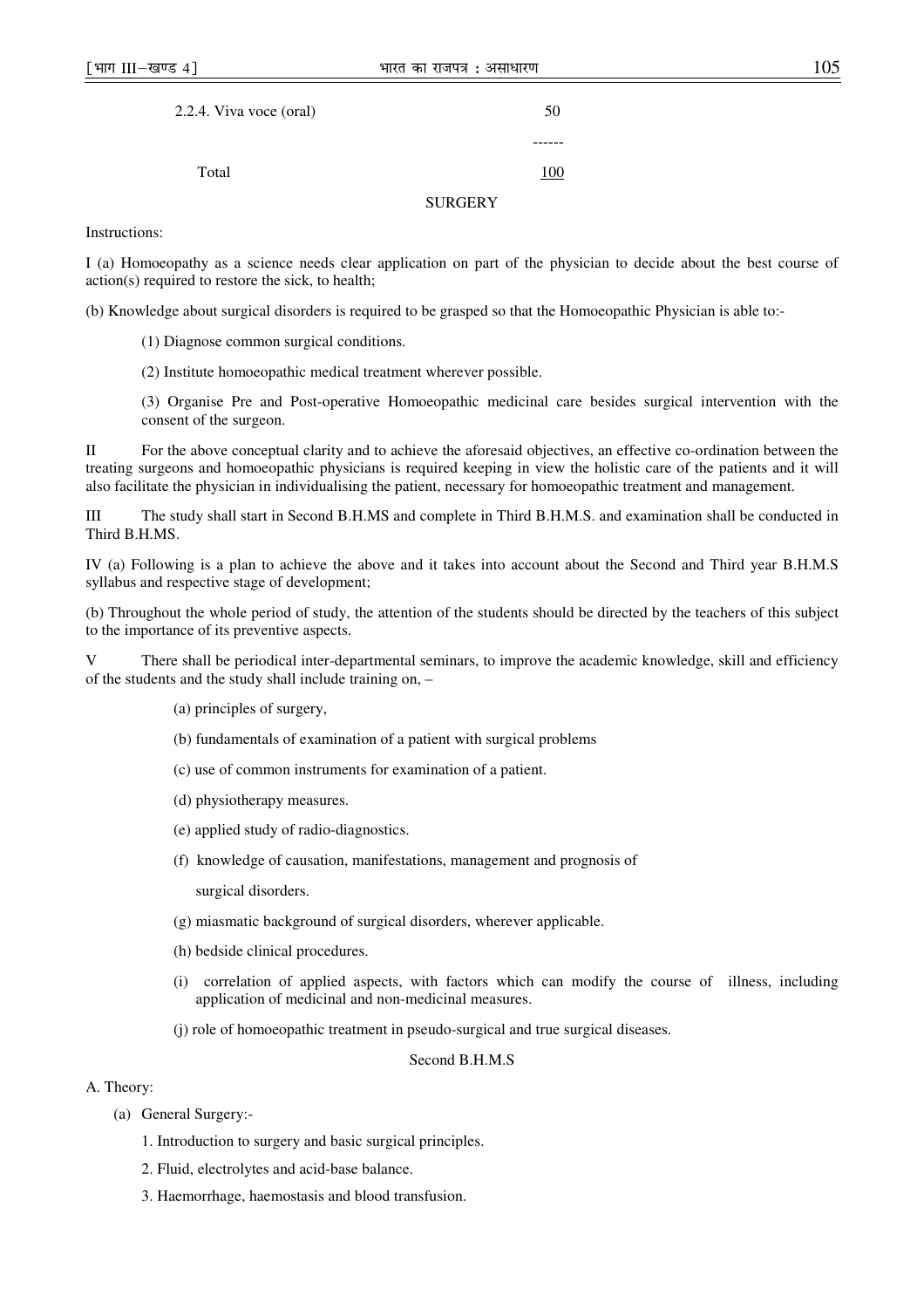|  | I<br>×<br>۹ | ×<br>٠<br>۰,<br>×<br>۰. |
|--|-------------|-------------------------|
|  |             |                         |

| 2.2.4. Viva voce (oral) |                | 50  |
|-------------------------|----------------|-----|
|                         |                |     |
| Total                   |                | 100 |
|                         | <b>SURGERY</b> |     |

Instructions:

I (a) Homoeopathy as a science needs clear application on part of the physician to decide about the best course of action(s) required to restore the sick, to health;

(b) Knowledge about surgical disorders is required to be grasped so that the Homoeopathic Physician is able to:-

- (1) Diagnose common surgical conditions.
- (2) Institute homoeopathic medical treatment wherever possible.

(3) Organise Pre and Post-operative Homoeopathic medicinal care besides surgical intervention with the consent of the surgeon.

II For the above conceptual clarity and to achieve the aforesaid objectives, an effective co-ordination between the treating surgeons and homoeopathic physicians is required keeping in view the holistic care of the patients and it will also facilitate the physician in individualising the patient, necessary for homoeopathic treatment and management.

III The study shall start in Second B.H.MS and complete in Third B.H.M.S. and examination shall be conducted in Third B.H.MS.

IV (a) Following is a plan to achieve the above and it takes into account about the Second and Third year B.H.M.S syllabus and respective stage of development;

(b) Throughout the whole period of study, the attention of the students should be directed by the teachers of this subject to the importance of its preventive aspects.

V There shall be periodical inter-departmental seminars, to improve the academic knowledge, skill and efficiency of the students and the study shall include training on, –

- (a) principles of surgery,
- (b) fundamentals of examination of a patient with surgical problems
- (c) use of common instruments for examination of a patient.
- (d) physiotherapy measures.
- (e) applied study of radio-diagnostics.
- (f) knowledge of causation, manifestations, management and prognosis of

surgical disorders.

- (g) miasmatic background of surgical disorders, wherever applicable.
- (h) bedside clinical procedures.
- (i) correlation of applied aspects, with factors which can modify the course of illness, including application of medicinal and non-medicinal measures.
- (j) role of homoeopathic treatment in pseudo-surgical and true surgical diseases.

### Second B.H.M.S

## A. Theory:

- (a) General Surgery:-
	- 1. Introduction to surgery and basic surgical principles.
	- 2. Fluid, electrolytes and acid-base balance.
	- 3. Haemorrhage, haemostasis and blood transfusion.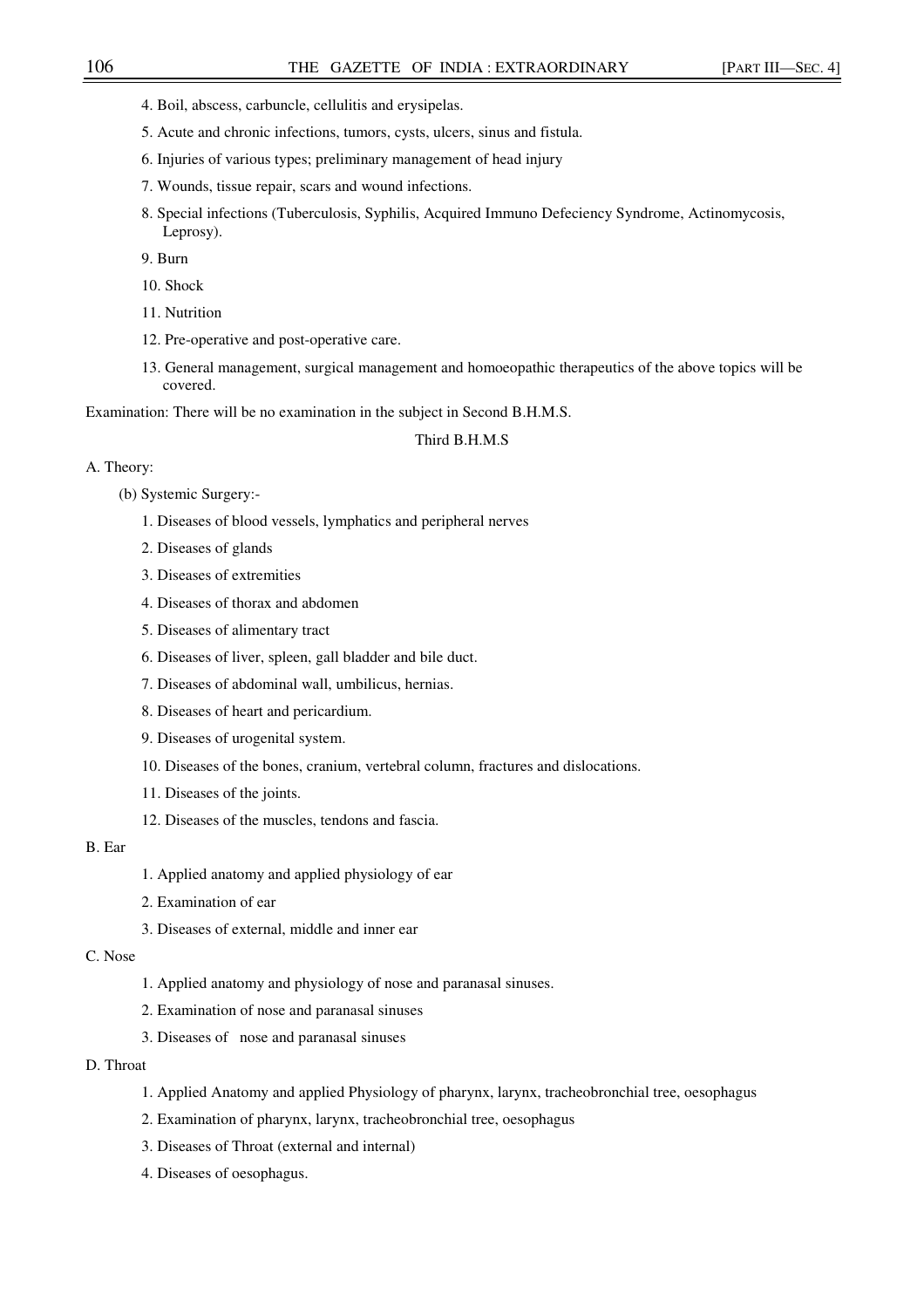- 4. Boil, abscess, carbuncle, cellulitis and erysipelas.
- 5. Acute and chronic infections, tumors, cysts, ulcers, sinus and fistula.
- 6. Injuries of various types; preliminary management of head injury
- 7. Wounds, tissue repair, scars and wound infections.
- 8. Special infections (Tuberculosis, Syphilis, Acquired Immuno Defeciency Syndrome, Actinomycosis, Leprosy).

9. Burn

10. Shock

- 11. Nutrition
- 12. Pre-operative and post-operative care.
- 13. General management, surgical management and homoeopathic therapeutics of the above topics will be covered.

Examination: There will be no examination in the subject in Second B.H.M.S.

### Third B.H.M.S

### A. Theory:

- (b) Systemic Surgery:-
	- 1. Diseases of blood vessels, lymphatics and peripheral nerves
	- 2. Diseases of glands
	- 3. Diseases of extremities
	- 4. Diseases of thorax and abdomen
	- 5. Diseases of alimentary tract
	- 6. Diseases of liver, spleen, gall bladder and bile duct.
	- 7. Diseases of abdominal wall, umbilicus, hernias.
	- 8. Diseases of heart and pericardium.
	- 9. Diseases of urogenital system.
	- 10. Diseases of the bones, cranium, vertebral column, fractures and dislocations.
	- 11. Diseases of the joints.
	- 12. Diseases of the muscles, tendons and fascia.

## B. Ear

- 1. Applied anatomy and applied physiology of ear
- 2. Examination of ear
- 3. Diseases of external, middle and inner ear

## C. Nose

- 1. Applied anatomy and physiology of nose and paranasal sinuses.
- 2. Examination of nose and paranasal sinuses
- 3. Diseases of nose and paranasal sinuses

## D. Throat

- 1. Applied Anatomy and applied Physiology of pharynx, larynx, tracheobronchial tree, oesophagus
- 2. Examination of pharynx, larynx, tracheobronchial tree, oesophagus
- 3. Diseases of Throat (external and internal)
- 4. Diseases of oesophagus.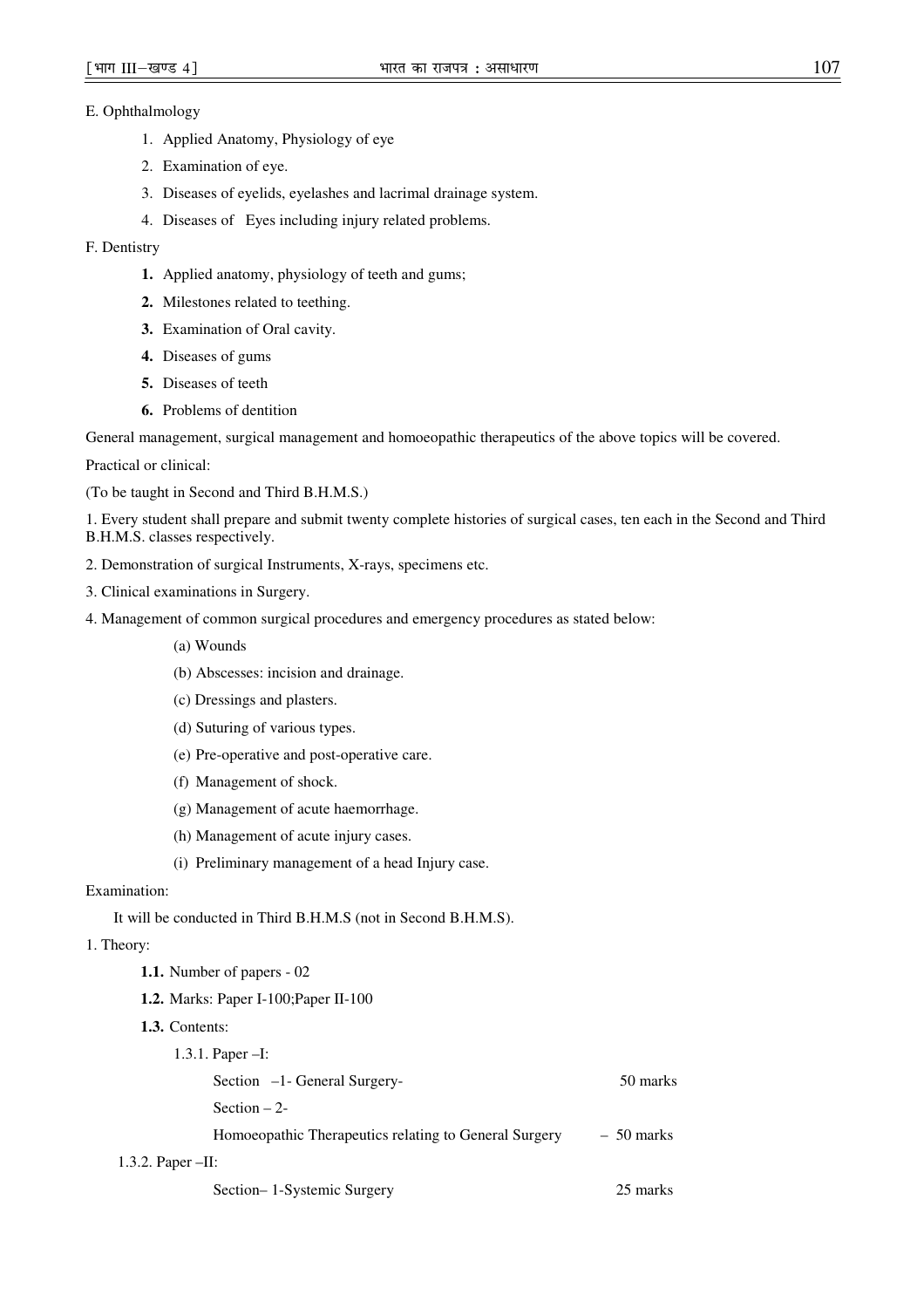## E. Ophthalmology

- 1. Applied Anatomy, Physiology of eye
- 2. Examination of eye.
- 3. Diseases of eyelids, eyelashes and lacrimal drainage system.
- 4. Diseases of Eyes including injury related problems.

## F. Dentistry

- **1.** Applied anatomy, physiology of teeth and gums;
- **2.** Milestones related to teething.
- **3.** Examination of Oral cavity.
- **4.** Diseases of gums
- **5.** Diseases of teeth
- **6.** Problems of dentition

General management, surgical management and homoeopathic therapeutics of the above topics will be covered.

Practical or clinical:

(To be taught in Second and Third B.H.M.S.)

1. Every student shall prepare and submit twenty complete histories of surgical cases, ten each in the Second and Third B.H.M.S. classes respectively.

- 2. Demonstration of surgical Instruments, X-rays, specimens etc.
- 3. Clinical examinations in Surgery.
- 4. Management of common surgical procedures and emergency procedures as stated below:
	- (a) Wounds
	- (b) Abscesses: incision and drainage.
	- (c) Dressings and plasters.
	- (d) Suturing of various types.
	- (e) Pre-operative and post-operative care.
	- (f) Management of shock.
	- (g) Management of acute haemorrhage.
	- (h) Management of acute injury cases.
	- (i) Preliminary management of a head Injury case.

## Examination:

It will be conducted in Third B.H.M.S (not in Second B.H.M.S).

### 1. Theory:

- **1.1.** Number of papers 02
- **1.2.** Marks: Paper I-100;Paper II-100
- **1.3.** Contents:

|                     | 1.3.1. Paper $-I$ :                                   |             |
|---------------------|-------------------------------------------------------|-------------|
|                     | Section -1- General Surgery-                          | 50 marks    |
|                     | Section $-2$ -                                        |             |
|                     | Homoeopathic Therapeutics relating to General Surgery | $-50$ marks |
| 1.3.2. Paper $-H$ : |                                                       |             |

Section– 1-Systemic Surgery 25 marks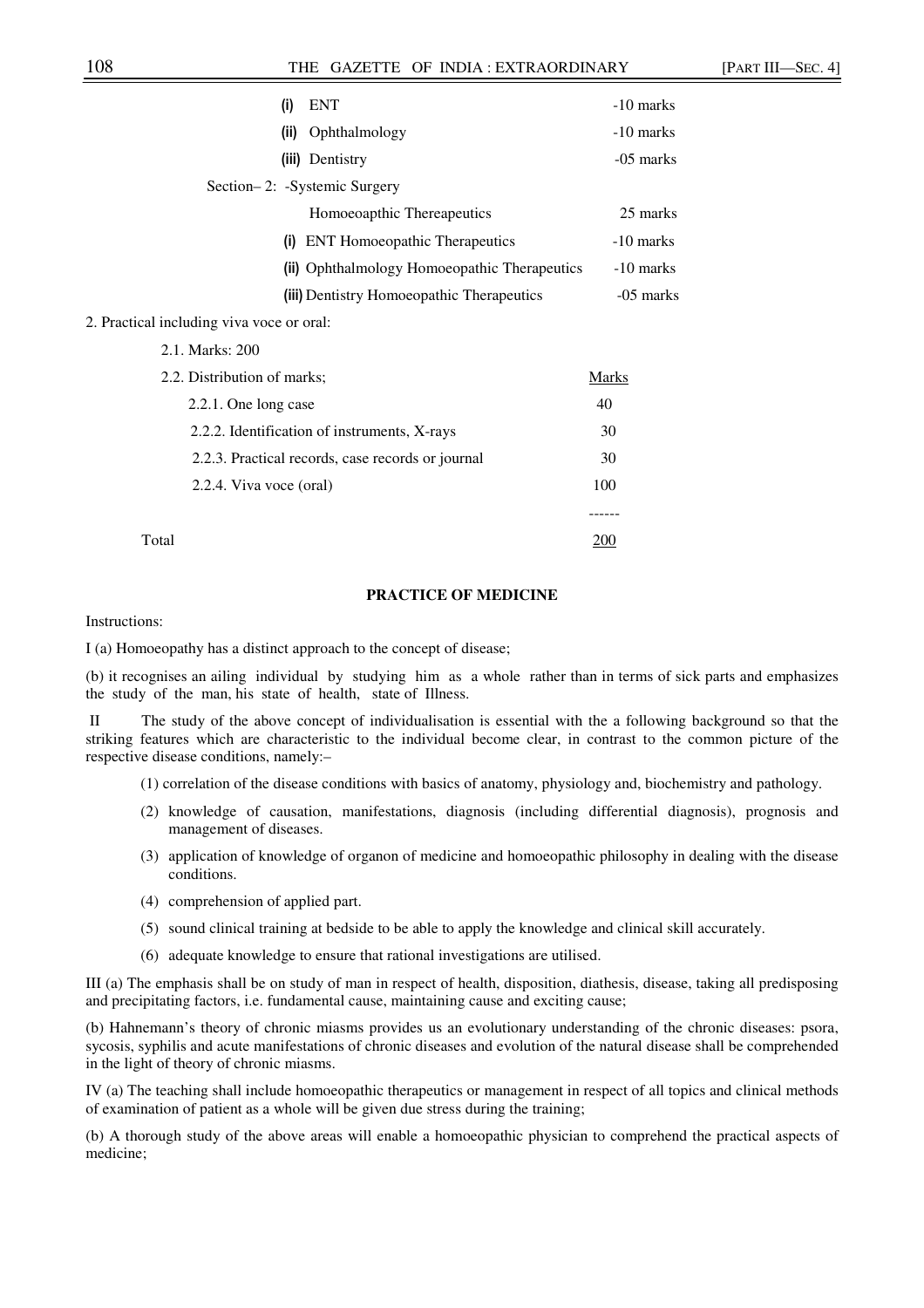| (i)<br><b>ENT</b>                                 | -10 marks |
|---------------------------------------------------|-----------|
| Ophthalmology<br>(ii)                             | -10 marks |
| (iii) Dentistry                                   | -05 marks |
| Section-2: -Systemic Surgery                      |           |
| Homoeoapthic Thereapeutics                        | 25 marks  |
| (i) ENT Homoeopathic Therapeutics                 | -10 marks |
| (ii) Ophthalmology Homoeopathic Therapeutics      | -10 marks |
| (iii) Dentistry Homoeopathic Therapeutics         | -05 marks |
| 2. Practical including viva voce or oral:         |           |
| 2.1. Marks: 200                                   |           |
| 2.2. Distribution of marks;                       | Marks     |
| 2.2.1. One long case                              | 40        |
| 2.2.2. Identification of instruments, X-rays      | 30        |
| 2.2.3. Practical records, case records or journal | 30        |

2.2.4. Viva voce (oral) 100

Total 200

------

#### **PRACTICE OF MEDICINE**

Instructions:

I (a) Homoeopathy has a distinct approach to the concept of disease;

(b) it recognises an ailing individual by studying him as a whole rather than in terms of sick parts and emphasizes the study of the man, his state of health, state of Illness.

 II The study of the above concept of individualisation is essential with the a following background so that the striking features which are characteristic to the individual become clear, in contrast to the common picture of the respective disease conditions, namely:–

(1) correlation of the disease conditions with basics of anatomy, physiology and, biochemistry and pathology.

- (2) knowledge of causation, manifestations, diagnosis (including differential diagnosis), prognosis and management of diseases.
- (3) application of knowledge of organon of medicine and homoeopathic philosophy in dealing with the disease conditions.
- (4) comprehension of applied part.
- (5) sound clinical training at bedside to be able to apply the knowledge and clinical skill accurately.
- (6) adequate knowledge to ensure that rational investigations are utilised.

III (a) The emphasis shall be on study of man in respect of health, disposition, diathesis, disease, taking all predisposing and precipitating factors, i.e. fundamental cause, maintaining cause and exciting cause;

(b) Hahnemann's theory of chronic miasms provides us an evolutionary understanding of the chronic diseases: psora, sycosis, syphilis and acute manifestations of chronic diseases and evolution of the natural disease shall be comprehended in the light of theory of chronic miasms.

IV (a) The teaching shall include homoeopathic therapeutics or management in respect of all topics and clinical methods of examination of patient as a whole will be given due stress during the training;

(b) A thorough study of the above areas will enable a homoeopathic physician to comprehend the practical aspects of medicine;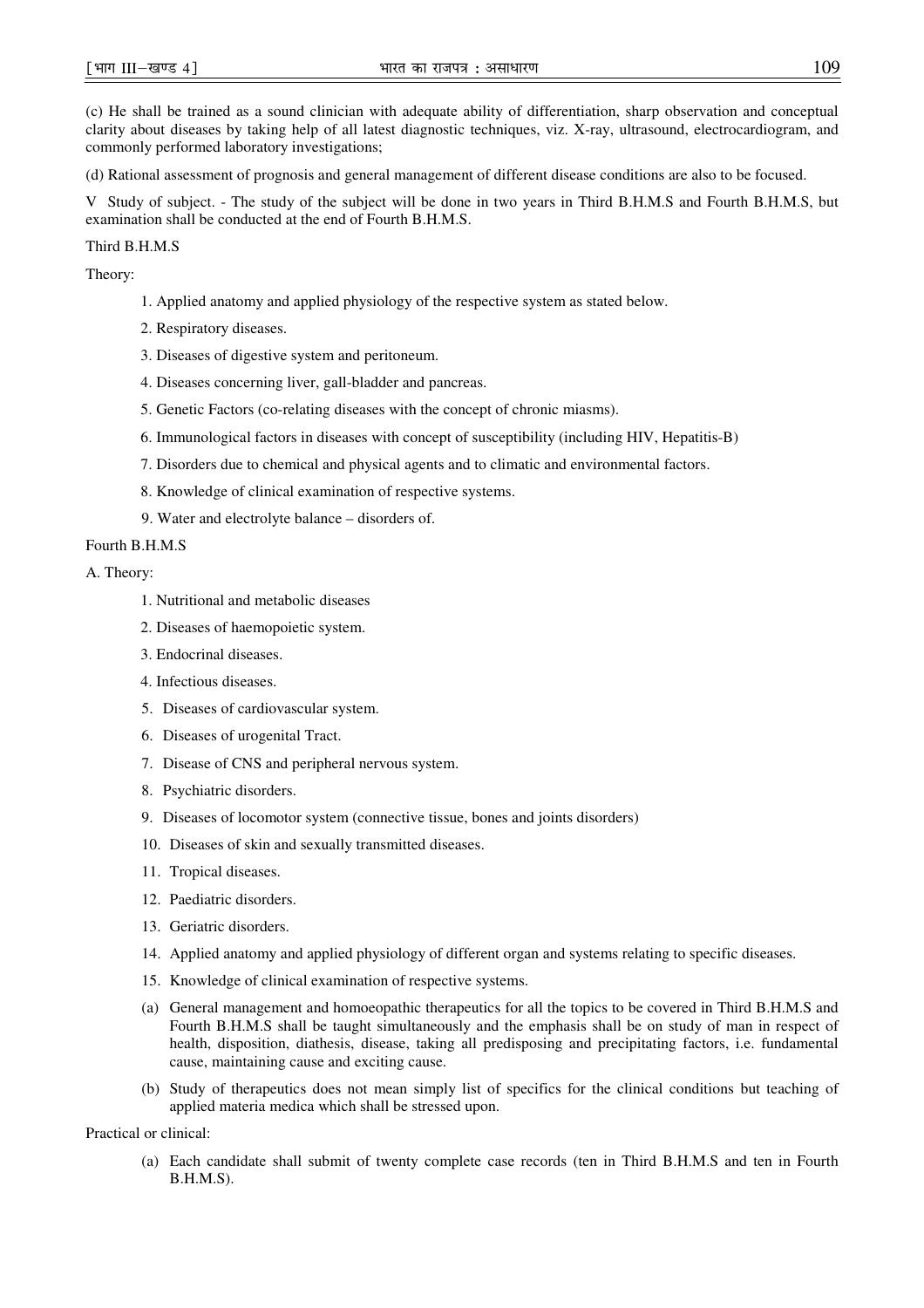(c) He shall be trained as a sound clinician with adequate ability of differentiation, sharp observation and conceptual clarity about diseases by taking help of all latest diagnostic techniques, viz. X-ray, ultrasound, electrocardiogram, and commonly performed laboratory investigations;

(d) Rational assessment of prognosis and general management of different disease conditions are also to be focused.

V Study of subject. - The study of the subject will be done in two years in Third B.H.M.S and Fourth B.H.M.S, but examination shall be conducted at the end of Fourth B.H.M.S.

Third B.H.M.S

Theory:

- 1. Applied anatomy and applied physiology of the respective system as stated below.
- 2. Respiratory diseases.
- 3. Diseases of digestive system and peritoneum.
- 4. Diseases concerning liver, gall-bladder and pancreas.
- 5. Genetic Factors (co-relating diseases with the concept of chronic miasms).
- 6. Immunological factors in diseases with concept of susceptibility (including HIV, Hepatitis-B)
- 7. Disorders due to chemical and physical agents and to climatic and environmental factors.
- 8. Knowledge of clinical examination of respective systems.
- 9. Water and electrolyte balance disorders of.

## Fourth B.H.M.S

A. Theory:

- 1. Nutritional and metabolic diseases
- 2. Diseases of haemopoietic system.
- 3. Endocrinal diseases.
- 4. Infectious diseases.
- 5. Diseases of cardiovascular system.
- 6. Diseases of urogenital Tract.
- 7. Disease of CNS and peripheral nervous system.
- 8. Psychiatric disorders.
- 9. Diseases of locomotor system (connective tissue, bones and joints disorders)
- 10. Diseases of skin and sexually transmitted diseases.
- 11. Tropical diseases.
- 12. Paediatric disorders.
- 13. Geriatric disorders.
- 14. Applied anatomy and applied physiology of different organ and systems relating to specific diseases.
- 15. Knowledge of clinical examination of respective systems.
- (a) General management and homoeopathic therapeutics for all the topics to be covered in Third B.H.M.S and Fourth B.H.M.S shall be taught simultaneously and the emphasis shall be on study of man in respect of health, disposition, diathesis, disease, taking all predisposing and precipitating factors, i.e. fundamental cause, maintaining cause and exciting cause.
- (b) Study of therapeutics does not mean simply list of specifics for the clinical conditions but teaching of applied materia medica which shall be stressed upon.

## Practical or clinical:

(a) Each candidate shall submit of twenty complete case records (ten in Third B.H.M.S and ten in Fourth B.H.M.S).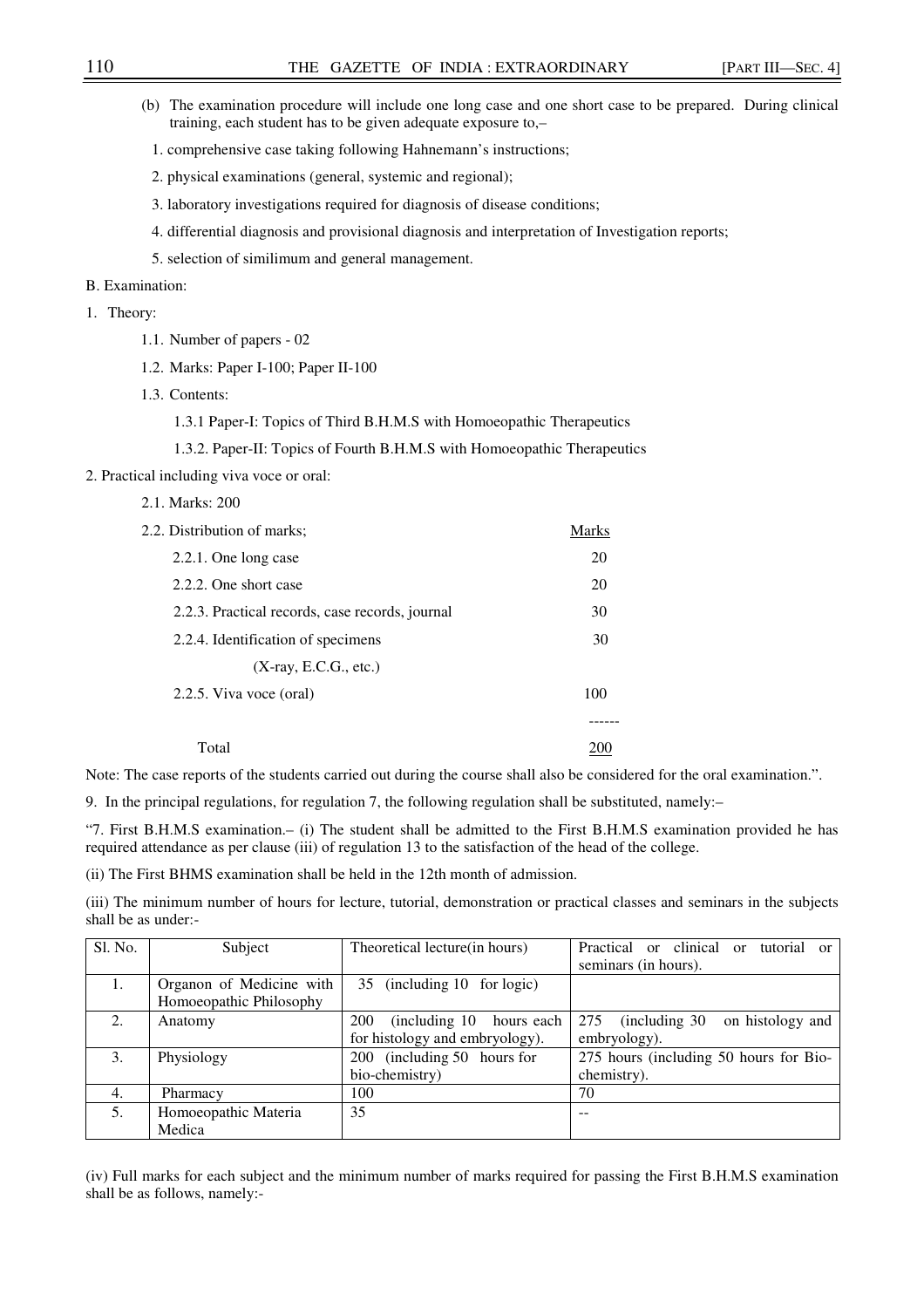| (b) The examination procedure will include one long case and one short case to be prepared. During clinical<br>training, each student has to be given adequate exposure to, $-$ |  |
|---------------------------------------------------------------------------------------------------------------------------------------------------------------------------------|--|
| 1. comprehensive case taking following Hahnemann's instructions;                                                                                                                |  |

- 2. physical examinations (general, systemic and regional);
- 3. laboratory investigations required for diagnosis of disease conditions;
- 4. differential diagnosis and provisional diagnosis and interpretation of Investigation reports;
- 5. selection of similimum and general management.

## B. Examination:

## 1. Theory:

- 1.1. Number of papers 02
- 1.2. Marks: Paper I-100; Paper II-100
- 1.3. Contents:
	- 1.3.1 Paper-I: Topics of Third B.H.M.S with Homoeopathic Therapeutics
	- 1.3.2. Paper-II: Topics of Fourth B.H.M.S with Homoeopathic Therapeutics
- 2. Practical including viva voce or oral:
	- 2.1. Marks: 200

| 2.2. Distribution of marks;                     | Marks |
|-------------------------------------------------|-------|
| 2.2.1. One long case                            | 20    |
| 2.2.2. One short case                           | 20    |
| 2.2.3. Practical records, case records, journal | 30    |
| 2.2.4. Identification of specimens              | 30    |
| $(X-ray, E.C.G., etc.)$                         |       |
| 2.2.5. Viva voce (oral)                         | 100   |
|                                                 |       |
| Total                                           |       |

Note: The case reports of the students carried out during the course shall also be considered for the oral examination.".

9. In the principal regulations, for regulation 7, the following regulation shall be substituted, namely:–

"7. First B.H.M.S examination.– (i) The student shall be admitted to the First B.H.M.S examination provided he has required attendance as per clause (iii) of regulation 13 to the satisfaction of the head of the college.

(ii) The First BHMS examination shall be held in the 12th month of admission.

(iii) The minimum number of hours for lecture, tutorial, demonstration or practical classes and seminars in the subjects shall be as under:-

| Sl. No. | Subject                  | Theoretical lecture (in hours)      | Practical or clinical<br>tutorial<br>$\alpha$<br>$\alpha$ |
|---------|--------------------------|-------------------------------------|-----------------------------------------------------------|
|         |                          |                                     | seminars (in hours).                                      |
| 1.      | Organon of Medicine with | 35 (including 10 for logic)         |                                                           |
|         | Homoeopathic Philosophy  |                                     |                                                           |
| 2.      | Anatomy                  | 200<br>(including 10)<br>hours each | (including 30)<br>275<br>on histology and                 |
|         |                          | for histology and embryology).      | embryology).                                              |
| 3.      | Physiology               | 200 (including 50 hours for         | 275 hours (including 50 hours for Bio-                    |
|         |                          | bio-chemistry)                      | chemistry).                                               |
| 4.      | Pharmacy                 | 100                                 | 70                                                        |
| 5.      | Homoeopathic Materia     | 35                                  |                                                           |
|         | Medica                   |                                     |                                                           |

(iv) Full marks for each subject and the minimum number of marks required for passing the First B.H.M.S examination shall be as follows, namely:-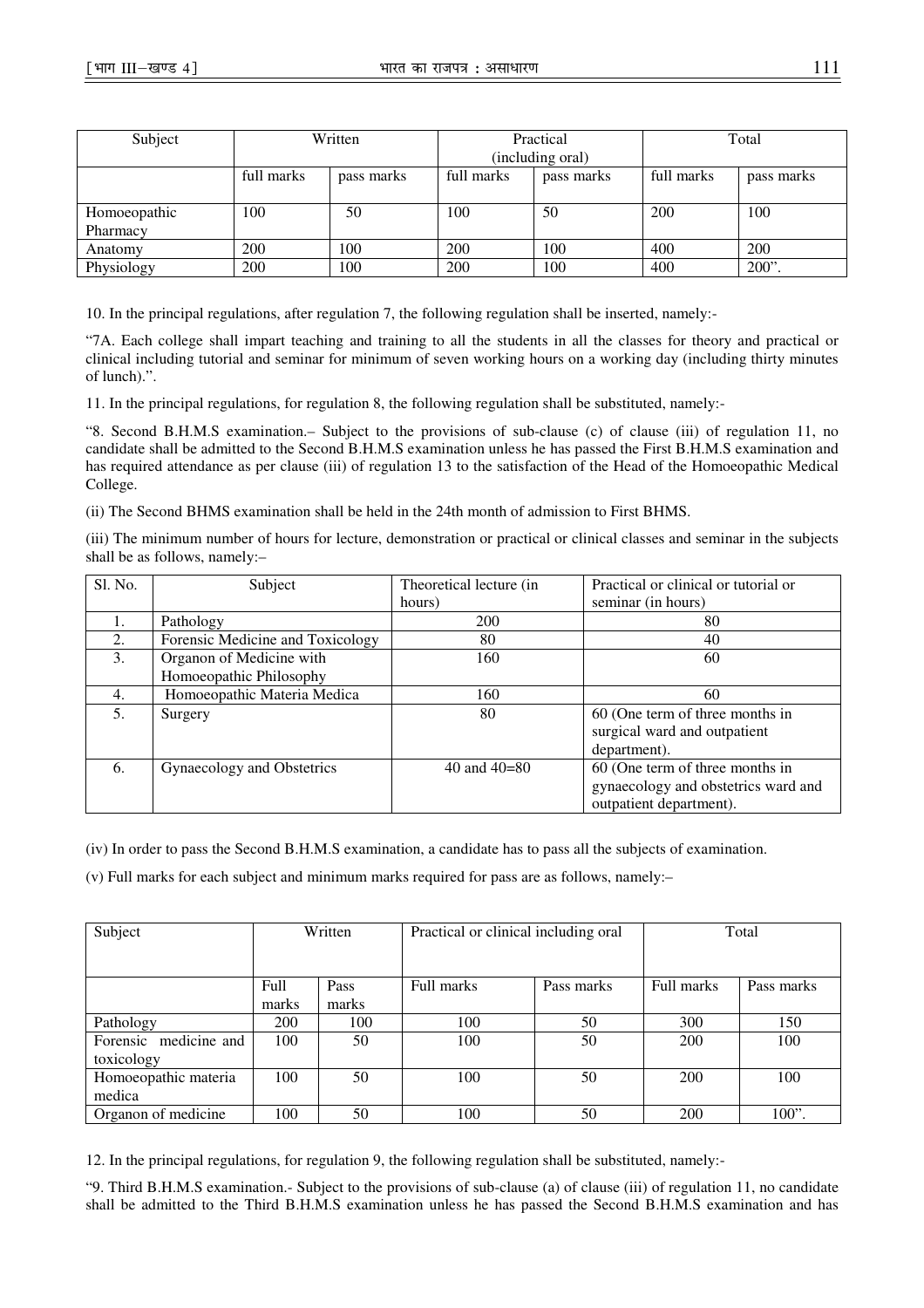| Subject      | Written    |            | Practical        |            | Total      |            |
|--------------|------------|------------|------------------|------------|------------|------------|
|              |            |            | (including oral) |            |            |            |
|              | full marks | pass marks | full marks       | pass marks | full marks | pass marks |
|              |            |            |                  |            |            |            |
| Homoeopathic | 100        | 50         | 100              | 50         | 200        | 100        |
| Pharmacy     |            |            |                  |            |            |            |
| Anatomy      | 200        | 100        | 200              | 100        | 400        | 200        |
| Physiology   | 200        | 100        | 200              | 100        | 400        | 200"       |

10. In the principal regulations, after regulation 7, the following regulation shall be inserted, namely:-

"7A. Each college shall impart teaching and training to all the students in all the classes for theory and practical or clinical including tutorial and seminar for minimum of seven working hours on a working day (including thirty minutes of lunch).".

11. In the principal regulations, for regulation 8, the following regulation shall be substituted, namely:-

"8. Second B.H.M.S examination.– Subject to the provisions of sub-clause (c) of clause (iii) of regulation 11, no candidate shall be admitted to the Second B.H.M.S examination unless he has passed the First B.H.M.S examination and has required attendance as per clause (iii) of regulation 13 to the satisfaction of the Head of the Homoeopathic Medical College.

(ii) The Second BHMS examination shall be held in the 24th month of admission to First BHMS.

(iii) The minimum number of hours for lecture, demonstration or practical or clinical classes and seminar in the subjects shall be as follows, namely:–

| Sl. No. | Subject                          | Theoretical lecture (in | Practical or clinical or tutorial or |
|---------|----------------------------------|-------------------------|--------------------------------------|
|         |                                  | hours)                  | seminar (in hours)                   |
|         | Pathology                        | 200                     | 80                                   |
| 2.      | Forensic Medicine and Toxicology | 80                      | 40                                   |
| 3.      | Organon of Medicine with         | 160                     | 60                                   |
|         | Homoeopathic Philosophy          |                         |                                      |
| 4.      | Homoeopathic Materia Medica      | 160                     | 60                                   |
| 5.      | Surgery                          | 80                      | 60 (One term of three months in      |
|         |                                  |                         | surgical ward and outpatient         |
|         |                                  |                         | department).                         |
| 6.      | Gynaecology and Obstetrics       | 40 and $40=80$          | 60 (One term of three months in      |
|         |                                  |                         | gynaecology and obstetrics ward and  |
|         |                                  |                         | outpatient department).              |

(iv) In order to pass the Second B.H.M.S examination, a candidate has to pass all the subjects of examination.

(v) Full marks for each subject and minimum marks required for pass are as follows, namely:–

| Subject                             | Written       |               | Practical or clinical including oral |            | Total      |            |
|-------------------------------------|---------------|---------------|--------------------------------------|------------|------------|------------|
|                                     | Full<br>marks | Pass<br>marks | Full marks                           | Pass marks | Full marks | Pass marks |
| Pathology                           | 200           | 100           | 100                                  | 50         | 300        | 150        |
| Forensic medicine and<br>toxicology | 100           | 50            | 100                                  | 50         | 200        | 100        |
| Homoeopathic materia<br>medica      | 100           | 50            | 100                                  | 50         | 200        | 100        |
| Organon of medicine                 | 100           | 50            | 100                                  | 50         | 200        | $100$ ".   |

12. In the principal regulations, for regulation 9, the following regulation shall be substituted, namely:-

"9. Third B.H.M.S examination.- Subject to the provisions of sub-clause (a) of clause (iii) of regulation 11, no candidate shall be admitted to the Third B.H.M.S examination unless he has passed the Second B.H.M.S examination and has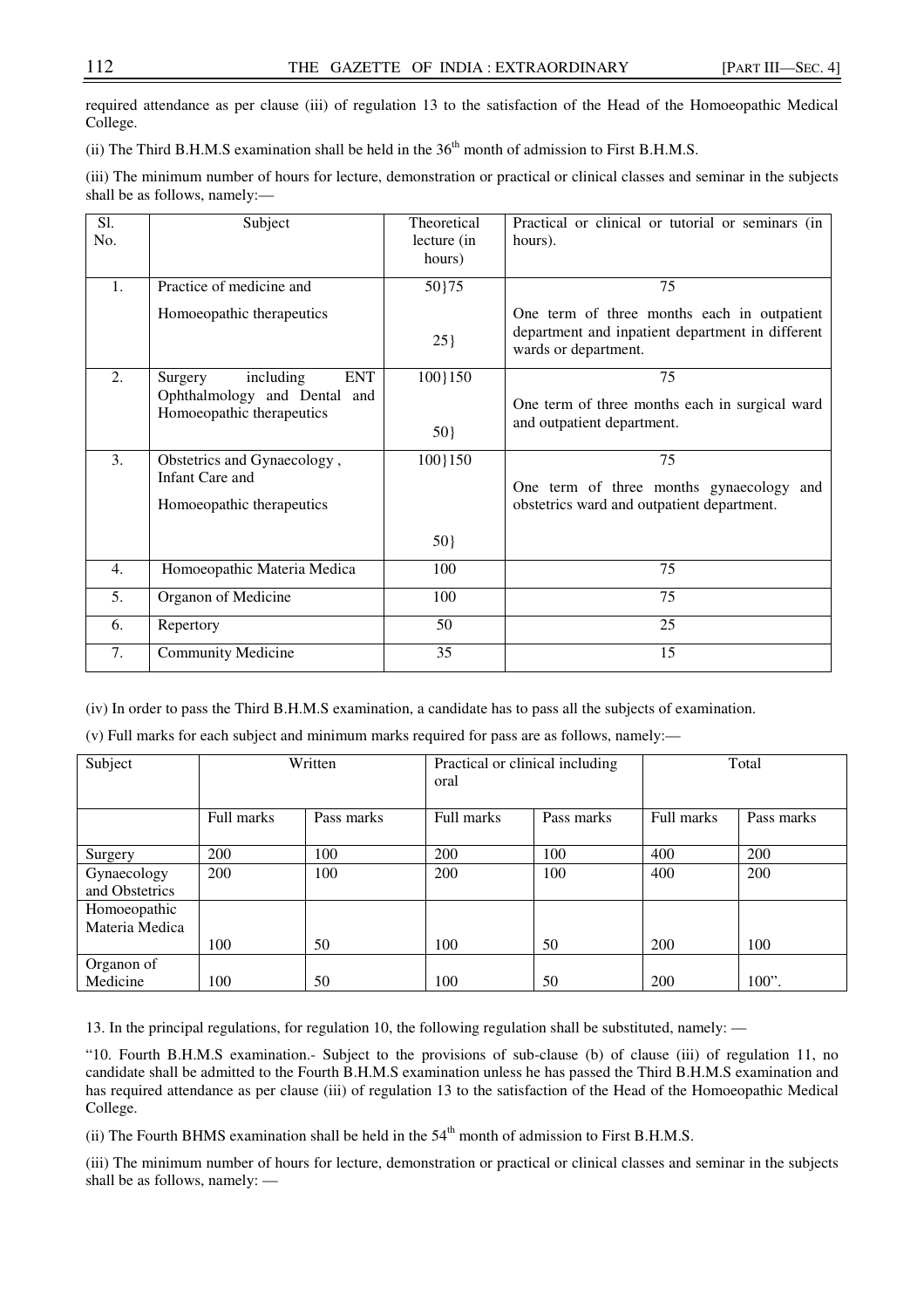required attendance as per clause (iii) of regulation 13 to the satisfaction of the Head of the Homoeopathic Medical College.

(ii) The Third B.H.M.S examination shall be held in the  $36<sup>th</sup>$  month of admission to First B.H.M.S.

(iii) The minimum number of hours for lecture, demonstration or practical or clinical classes and seminar in the subjects shall be as follows, namely:—

| S1.<br>No.       | Subject                                                                                         | Theoretical<br>lecture (in<br>hours) | Practical or clinical or tutorial or seminars (in<br>hours).                                                                  |
|------------------|-------------------------------------------------------------------------------------------------|--------------------------------------|-------------------------------------------------------------------------------------------------------------------------------|
| 1.               | Practice of medicine and<br>Homoeopathic therapeutics                                           | 50}75<br>$25$ }                      | 75<br>One term of three months each in outpatient<br>department and inpatient department in different<br>wards or department. |
| $\overline{2}$ . | <b>ENT</b><br>including<br>Surgery<br>Ophthalmology and Dental and<br>Homoeopathic therapeutics | 100}150<br>50}                       | 75<br>One term of three months each in surgical ward<br>and outpatient department.                                            |
| 3.               | Obstetrics and Gynaecology,<br>Infant Care and<br>Homoeopathic therapeutics                     | 100}150<br>50}                       | 75<br>One term of three months gynaecology and<br>obstetrics ward and outpatient department.                                  |
| $\overline{4}$ . | Homoeopathic Materia Medica                                                                     | 100                                  | 75                                                                                                                            |
| 5.               | Organon of Medicine                                                                             | 100                                  | 75                                                                                                                            |
| 6.               | Repertory                                                                                       | 50                                   | 25                                                                                                                            |
| 7.               | <b>Community Medicine</b>                                                                       | 35                                   | 15                                                                                                                            |

(iv) In order to pass the Third B.H.M.S examination, a candidate has to pass all the subjects of examination.

(v) Full marks for each subject and minimum marks required for pass are as follows, namely:—

| Subject                       | Written    |            | Practical or clinical including<br>oral |            | Total      |            |
|-------------------------------|------------|------------|-----------------------------------------|------------|------------|------------|
|                               | Full marks | Pass marks | Full marks                              | Pass marks | Full marks | Pass marks |
| Surgery                       | <b>200</b> | 100        | 200                                     | 100        | 400        | 200        |
| Gynaecology<br>and Obstetrics | 200        | 100        | 200                                     | 100        | 400        | 200        |
| Homoeopathic                  |            |            |                                         |            |            |            |
| Materia Medica                |            |            |                                         |            |            |            |
|                               | 100        | 50         | 100                                     | 50         | 200        | 100        |
| Organon of                    |            |            |                                         |            |            |            |
| Medicine                      | 100        | 50         | 100                                     | 50         | 200        | $100$ ".   |

13. In the principal regulations, for regulation 10, the following regulation shall be substituted, namely: —

"10. Fourth B.H.M.S examination.- Subject to the provisions of sub-clause (b) of clause (iii) of regulation 11, no candidate shall be admitted to the Fourth B.H.M.S examination unless he has passed the Third B.H.M.S examination and has required attendance as per clause (iii) of regulation 13 to the satisfaction of the Head of the Homoeopathic Medical College.

(ii) The Fourth BHMS examination shall be held in the  $54<sup>th</sup>$  month of admission to First B.H.M.S.

(iii) The minimum number of hours for lecture, demonstration or practical or clinical classes and seminar in the subjects shall be as follows, namely: —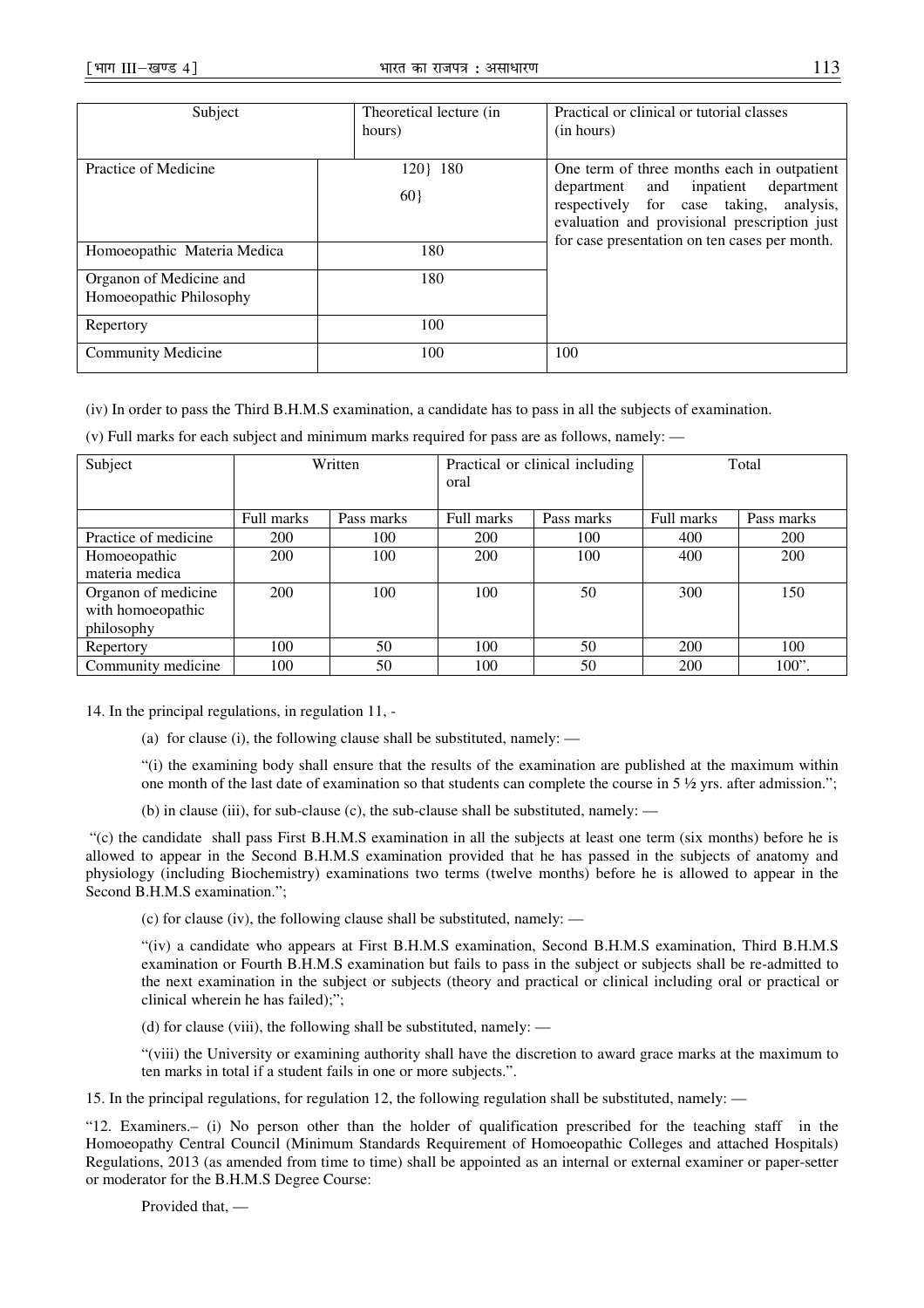| Subject                     | Theoretical lecture (in | Practical or clinical or tutorial classes     |  |  |
|-----------------------------|-------------------------|-----------------------------------------------|--|--|
|                             | hours)                  | (in hours)                                    |  |  |
|                             |                         |                                               |  |  |
|                             |                         |                                               |  |  |
| Practice of Medicine        | 120   180               | One term of three months each in outpatient   |  |  |
|                             |                         | inpatient<br>department and<br>department     |  |  |
|                             | 60                      |                                               |  |  |
|                             |                         | respectively for case taking,<br>analysis,    |  |  |
|                             |                         | evaluation and provisional prescription just  |  |  |
|                             |                         | for case presentation on ten cases per month. |  |  |
| Homoeopathic Materia Medica | 180                     |                                               |  |  |
|                             |                         |                                               |  |  |
| Organon of Medicine and     | 180                     |                                               |  |  |
|                             |                         |                                               |  |  |
| Homoeopathic Philosophy     |                         |                                               |  |  |
|                             |                         |                                               |  |  |
| Repertory                   | 100                     |                                               |  |  |
|                             |                         |                                               |  |  |
| <b>Community Medicine</b>   | 100                     | 100                                           |  |  |
|                             |                         |                                               |  |  |

(iv) In order to pass the Third B.H.M.S examination, a candidate has to pass in all the subjects of examination.

| Subject              | Written    |            | Practical or clinical including<br>oral |            | Total      |            |
|----------------------|------------|------------|-----------------------------------------|------------|------------|------------|
|                      | Full marks | Pass marks | Full marks                              | Pass marks | Full marks | Pass marks |
| Practice of medicine | 200        | 100        | 200                                     | 100        | 400        | <b>200</b> |
| Homoeopathic         | 200        | 100        | 200                                     | 100        | 400        | 200        |
| materia medica       |            |            |                                         |            |            |            |
| Organon of medicine  | 200        | 100        | 100                                     | 50         | 300        | 150        |
| with homoeopathic    |            |            |                                         |            |            |            |
| philosophy           |            |            |                                         |            |            |            |
| Repertory            | 100        | 50         | 100                                     | 50         | 200        | 100        |
| Community medicine   | 100        | 50         | 100                                     | 50         | 200        | $100$ ".   |

(v) Full marks for each subject and minimum marks required for pass are as follows, namely: —

14. In the principal regulations, in regulation 11, -

(a) for clause (i), the following clause shall be substituted, namely: —

"(i) the examining body shall ensure that the results of the examination are published at the maximum within one month of the last date of examination so that students can complete the course in  $5\frac{1}{2}$  yrs. after admission.";

(b) in clause (iii), for sub-clause (c), the sub-clause shall be substituted, namely:  $-$ 

 "(c) the candidate shall pass First B.H.M.S examination in all the subjects at least one term (six months) before he is allowed to appear in the Second B.H.M.S examination provided that he has passed in the subjects of anatomy and physiology (including Biochemistry) examinations two terms (twelve months) before he is allowed to appear in the Second B.H.M.S examination.";

(c) for clause (iv), the following clause shall be substituted, namely: —

"(iv) a candidate who appears at First B.H.M.S examination, Second B.H.M.S examination, Third B.H.M.S examination or Fourth B.H.M.S examination but fails to pass in the subject or subjects shall be re-admitted to the next examination in the subject or subjects (theory and practical or clinical including oral or practical or clinical wherein he has failed);";

(d) for clause (viii), the following shall be substituted, namely: —

"(viii) the University or examining authority shall have the discretion to award grace marks at the maximum to ten marks in total if a student fails in one or more subjects.".

15. In the principal regulations, for regulation 12, the following regulation shall be substituted, namely: —

"12. Examiners.– (i) No person other than the holder of qualification prescribed for the teaching staff in the Homoeopathy Central Council (Minimum Standards Requirement of Homoeopathic Colleges and attached Hospitals) Regulations, 2013 (as amended from time to time) shall be appointed as an internal or external examiner or paper-setter or moderator for the B.H.M.S Degree Course:

Provided that, —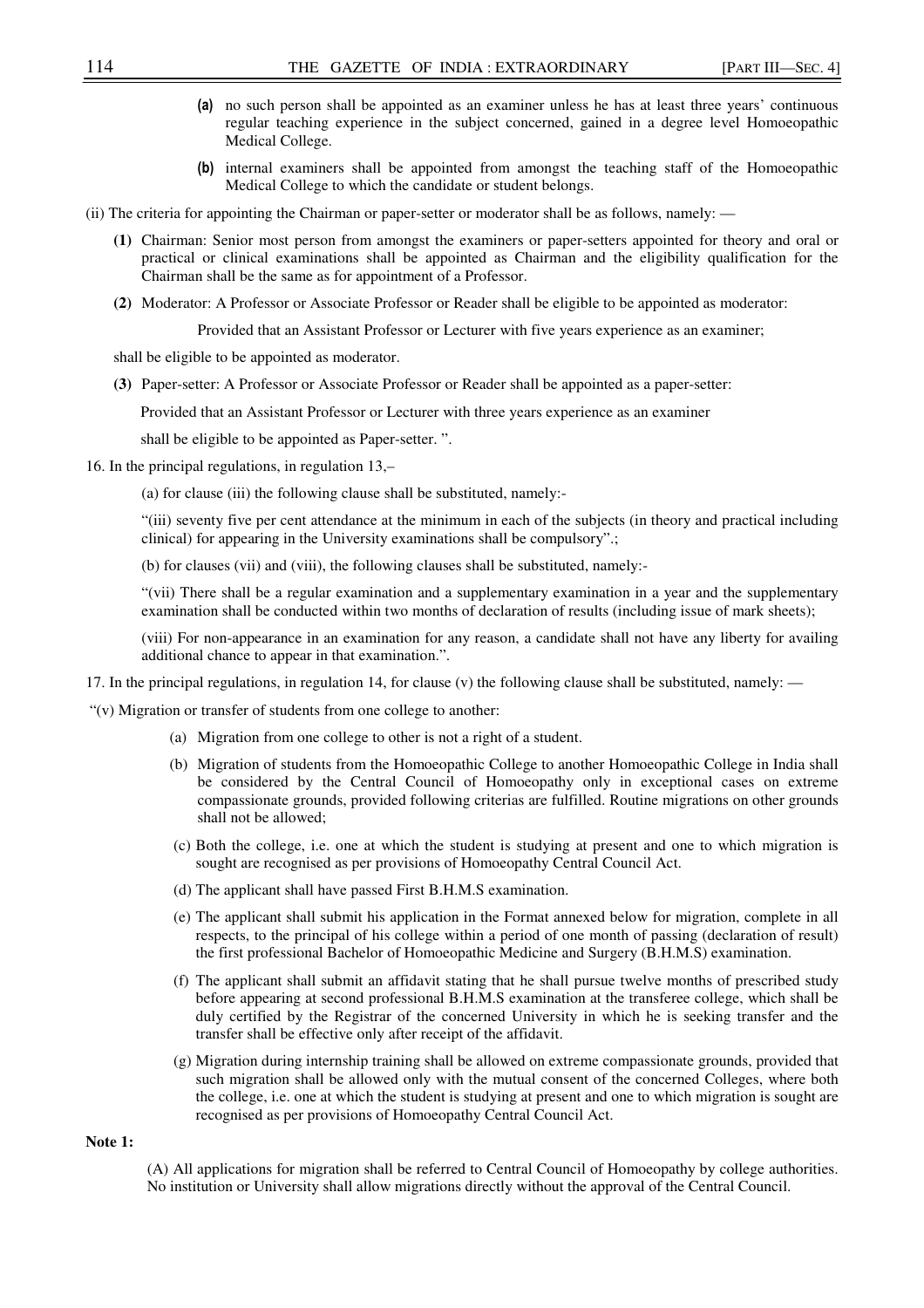- (a) no such person shall be appointed as an examiner unless he has at least three years' continuous regular teaching experience in the subject concerned, gained in a degree level Homoeopathic Medical College.
- (b) internal examiners shall be appointed from amongst the teaching staff of the Homoeopathic Medical College to which the candidate or student belongs.
- (ii) The criteria for appointing the Chairman or paper-setter or moderator shall be as follows, namely:
	- **(1)** Chairman: Senior most person from amongst the examiners or paper-setters appointed for theory and oral or practical or clinical examinations shall be appointed as Chairman and the eligibility qualification for the Chairman shall be the same as for appointment of a Professor.
	- **(2)** Moderator: A Professor or Associate Professor or Reader shall be eligible to be appointed as moderator:

Provided that an Assistant Professor or Lecturer with five years experience as an examiner;

shall be eligible to be appointed as moderator.

**(3)** Paper-setter: A Professor or Associate Professor or Reader shall be appointed as a paper-setter:

Provided that an Assistant Professor or Lecturer with three years experience as an examiner

shall be eligible to be appointed as Paper-setter. ".

16. In the principal regulations, in regulation 13,–

(a) for clause (iii) the following clause shall be substituted, namely:-

"(iii) seventy five per cent attendance at the minimum in each of the subjects (in theory and practical including clinical) for appearing in the University examinations shall be compulsory".;

(b) for clauses (vii) and (viii), the following clauses shall be substituted, namely:-

"(vii) There shall be a regular examination and a supplementary examination in a year and the supplementary examination shall be conducted within two months of declaration of results (including issue of mark sheets);

(viii) For non-appearance in an examination for any reason, a candidate shall not have any liberty for availing additional chance to appear in that examination.".

17. In the principal regulations, in regulation 14, for clause (v) the following clause shall be substituted, namely: —

"(v) Migration or transfer of students from one college to another:

- (a) Migration from one college to other is not a right of a student.
- (b) Migration of students from the Homoeopathic College to another Homoeopathic College in India shall be considered by the Central Council of Homoeopathy only in exceptional cases on extreme compassionate grounds, provided following criterias are fulfilled. Routine migrations on other grounds shall not be allowed;
- (c) Both the college, i.e. one at which the student is studying at present and one to which migration is sought are recognised as per provisions of Homoeopathy Central Council Act.
- (d) The applicant shall have passed First B.H.M.S examination.
- (e) The applicant shall submit his application in the Format annexed below for migration, complete in all respects, to the principal of his college within a period of one month of passing (declaration of result) the first professional Bachelor of Homoeopathic Medicine and Surgery (B.H.M.S) examination.
- (f) The applicant shall submit an affidavit stating that he shall pursue twelve months of prescribed study before appearing at second professional B.H.M.S examination at the transferee college, which shall be duly certified by the Registrar of the concerned University in which he is seeking transfer and the transfer shall be effective only after receipt of the affidavit.
- (g) Migration during internship training shall be allowed on extreme compassionate grounds, provided that such migration shall be allowed only with the mutual consent of the concerned Colleges, where both the college, i.e. one at which the student is studying at present and one to which migration is sought are recognised as per provisions of Homoeopathy Central Council Act.

**Note 1:** 

(A) All applications for migration shall be referred to Central Council of Homoeopathy by college authorities. No institution or University shall allow migrations directly without the approval of the Central Council.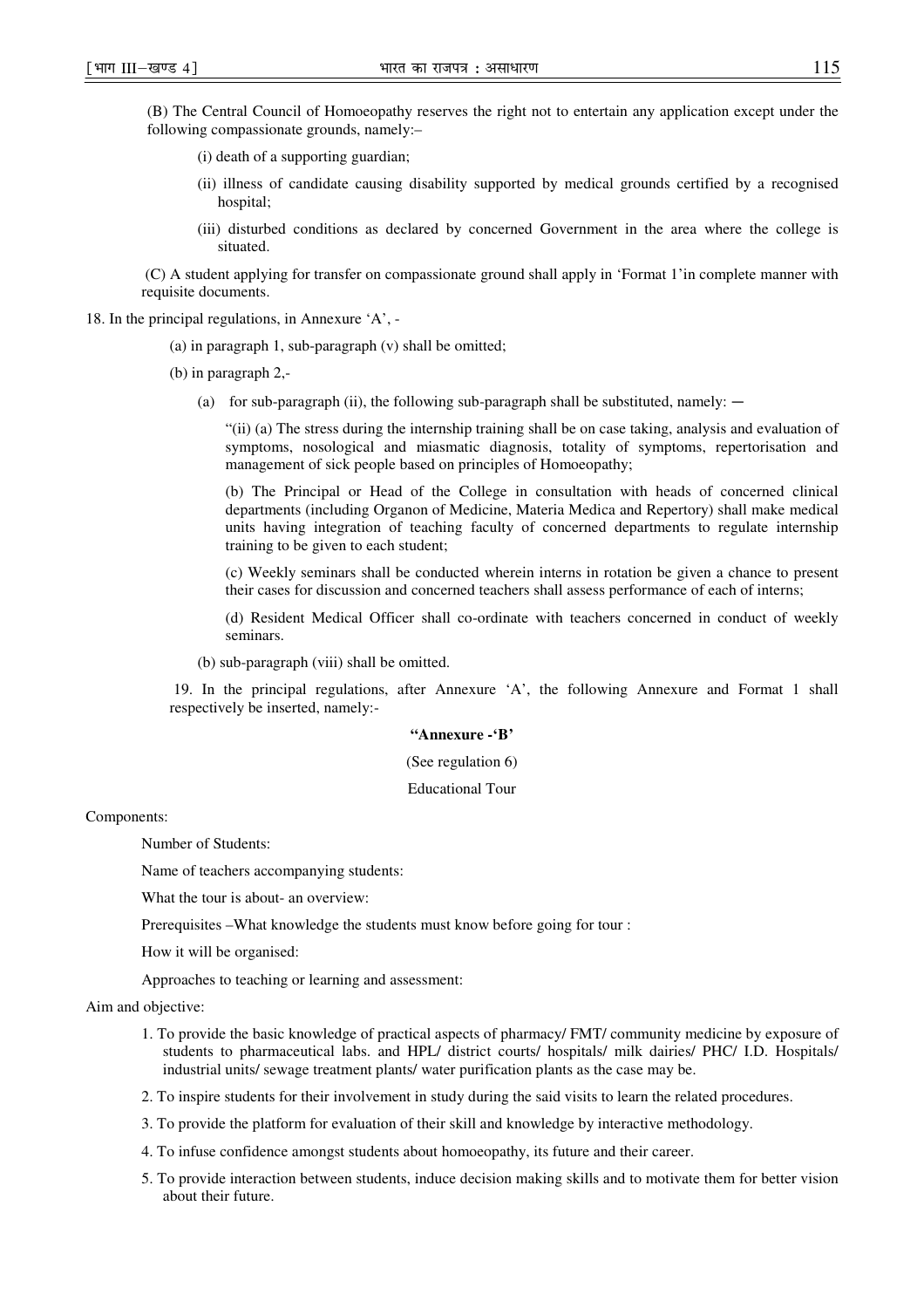(B) The Central Council of Homoeopathy reserves the right not to entertain any application except under the following compassionate grounds, namely:–

- (i) death of a supporting guardian;
- (ii) illness of candidate causing disability supported by medical grounds certified by a recognised hospital;
- (iii) disturbed conditions as declared by concerned Government in the area where the college is situated.

(C) A student applying for transfer on compassionate ground shall apply in 'Format 1'in complete manner with requisite documents.

18. In the principal regulations, in Annexure 'A', -

- (a) in paragraph 1, sub-paragraph (v) shall be omitted;
- (b) in paragraph 2,-
	- (a) for sub-paragraph (ii), the following sub-paragraph shall be substituted, namely:  $-$

"(ii) (a) The stress during the internship training shall be on case taking, analysis and evaluation of symptoms, nosological and miasmatic diagnosis, totality of symptoms, repertorisation and management of sick people based on principles of Homoeopathy;

(b) The Principal or Head of the College in consultation with heads of concerned clinical departments (including Organon of Medicine, Materia Medica and Repertory) shall make medical units having integration of teaching faculty of concerned departments to regulate internship training to be given to each student;

(c) Weekly seminars shall be conducted wherein interns in rotation be given a chance to present their cases for discussion and concerned teachers shall assess performance of each of interns;

(d) Resident Medical Officer shall co-ordinate with teachers concerned in conduct of weekly seminars.

(b) sub-paragraph (viii) shall be omitted.

 19. In the principal regulations, after Annexure 'A', the following Annexure and Format 1 shall respectively be inserted, namely:-

### **"Annexure -'B'**

## (See regulation 6)

## Educational Tour

Components:

Number of Students:

Name of teachers accompanying students:

What the tour is about- an overview:

Prerequisites –What knowledge the students must know before going for tour :

How it will be organised:

Approaches to teaching or learning and assessment:

Aim and objective:

- 1. To provide the basic knowledge of practical aspects of pharmacy/ FMT/ community medicine by exposure of students to pharmaceutical labs. and HPL/ district courts/ hospitals/ milk dairies/ PHC/ I.D. Hospitals/ industrial units/ sewage treatment plants/ water purification plants as the case may be.
- 2. To inspire students for their involvement in study during the said visits to learn the related procedures.
- 3. To provide the platform for evaluation of their skill and knowledge by interactive methodology.
- 4. To infuse confidence amongst students about homoeopathy, its future and their career.
- 5. To provide interaction between students, induce decision making skills and to motivate them for better vision about their future.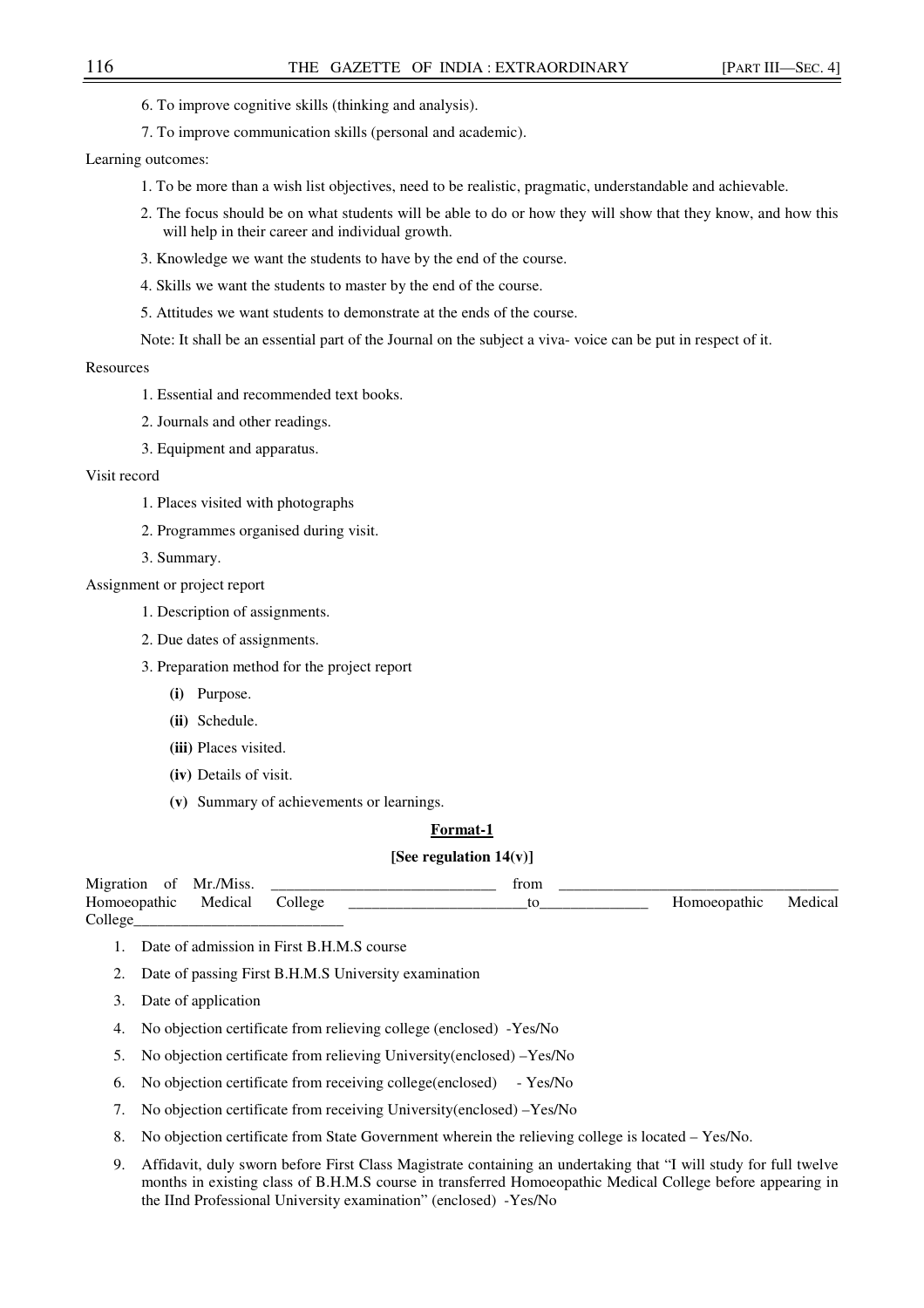- 6. To improve cognitive skills (thinking and analysis).
- 7. To improve communication skills (personal and academic).

Learning outcomes:

- 1. To be more than a wish list objectives, need to be realistic, pragmatic, understandable and achievable.
- 2. The focus should be on what students will be able to do or how they will show that they know, and how this will help in their career and individual growth.
- 3. Knowledge we want the students to have by the end of the course.
- 4. Skills we want the students to master by the end of the course.
- 5. Attitudes we want students to demonstrate at the ends of the course.
- Note: It shall be an essential part of the Journal on the subject a viva- voice can be put in respect of it.

## Resources

- 1. Essential and recommended text books.
- 2. Journals and other readings.
- 3. Equipment and apparatus.

#### Visit record

- 1. Places visited with photographs
- 2. Programmes organised during visit.
- 3. Summary.

## Assignment or project report

- 1. Description of assignments.
- 2. Due dates of assignments.
- 3. Preparation method for the project report
	- **(i)** Purpose.
	- **(ii)** Schedule.
	- **(iii)** Places visited.
	- **(iv)** Details of visit.
	- **(v)** Summary of achievements or learnings.

### **Format-1**

## **[See regulation 14(v)]**

| Migration<br>0t    | Mr /Miss | trom |             |         |
|--------------------|----------|------|-------------|---------|
| TT<br>Homoeopathic | Medical  |      | omoeopathic | Medical |
| College            |          |      |             |         |

- 1. Date of admission in First B.H.M.S course
- 2. Date of passing First B.H.M.S University examination
- 3. Date of application
- 4. No objection certificate from relieving college (enclosed) -Yes/No
- 5. No objection certificate from relieving University(enclosed) –Yes/No
- 6. No objection certificate from receiving college(enclosed) Yes/No
- 7. No objection certificate from receiving University(enclosed) –Yes/No
- 8. No objection certificate from State Government wherein the relieving college is located Yes/No.
- 9. Affidavit, duly sworn before First Class Magistrate containing an undertaking that "I will study for full twelve months in existing class of B.H.M.S course in transferred Homoeopathic Medical College before appearing in the IInd Professional University examination" (enclosed) -Yes/No